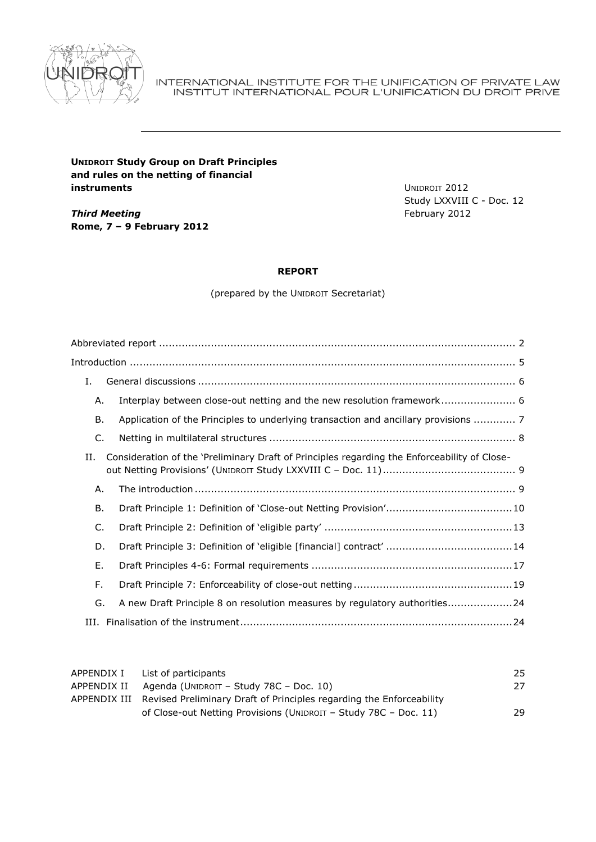

#### INTERNATIONAL INSTITUTE FOR THE UNIFICATION OF PRIVATE LAW INSTITUT INTERNATIONAL POUR L'UNIFICATION DU DROIT PRIVE

# **UNIDROIT Study Group on Draft Principles and rules on the netting of financial instruments**

*Third Meeting* **Rome, 7 – 9 February 2012** UNIDROIT 2012 Study LXXVIII C - Doc. 12 February 2012

# **REPORT**

(prepared by the UNIDROIT Secretariat)

| Ι. |                                                                                              |  |  |  |
|----|----------------------------------------------------------------------------------------------|--|--|--|
| Α. |                                                                                              |  |  |  |
| В. | Application of the Principles to underlying transaction and ancillary provisions  7          |  |  |  |
| C. |                                                                                              |  |  |  |
| H. | Consideration of the 'Preliminary Draft of Principles regarding the Enforceability of Close- |  |  |  |
| Α. |                                                                                              |  |  |  |
| В. |                                                                                              |  |  |  |
| C. |                                                                                              |  |  |  |
| D. |                                                                                              |  |  |  |
| Ε. |                                                                                              |  |  |  |
| F. |                                                                                              |  |  |  |
| G. | A new Draft Principle 8 on resolution measures by regulatory authorities24                   |  |  |  |
|    |                                                                                              |  |  |  |
|    |                                                                                              |  |  |  |

| APPENDIX I | List of participants                                                              | 25 |
|------------|-----------------------------------------------------------------------------------|----|
|            | APPENDIX II Agenda (UNIDROIT - Study 78C - Doc. 10)                               | 27 |
|            | APPENDIX III Revised Preliminary Draft of Principles regarding the Enforceability |    |
|            | of Close-out Netting Provisions (UNIDROIT – Study 78C – Doc. 11)                  | 29 |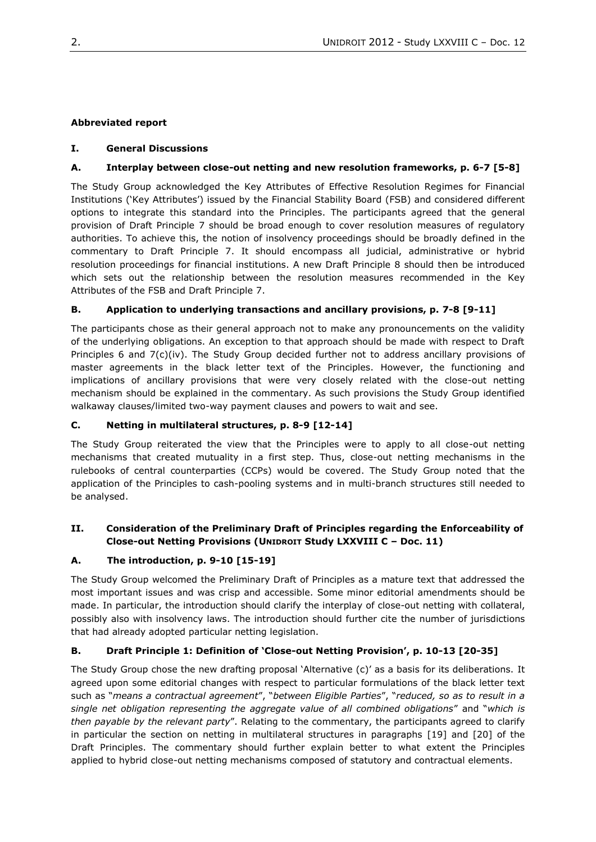# <span id="page-1-0"></span>**Abbreviated report**

## **I. General Discussions**

# **A. Interplay between close-out netting and new resolution frameworks, p. 6-7 [5-8]**

The Study Group acknowledged the Key Attributes of Effective Resolution Regimes for Financial Institutions ('Key Attributes') issued by the Financial Stability Board (FSB) and considered different options to integrate this standard into the Principles. The participants agreed that the general provision of Draft Principle 7 should be broad enough to cover resolution measures of regulatory authorities. To achieve this, the notion of insolvency proceedings should be broadly defined in the commentary to Draft Principle 7. It should encompass all judicial, administrative or hybrid resolution proceedings for financial institutions. A new Draft Principle 8 should then be introduced which sets out the relationship between the resolution measures recommended in the Key Attributes of the FSB and Draft Principle 7.

## **B. Application to underlying transactions and ancillary provisions, p. 7-8 [9-11]**

The participants chose as their general approach not to make any pronouncements on the validity of the underlying obligations. An exception to that approach should be made with respect to Draft Principles 6 and 7(c)(iv). The Study Group decided further not to address ancillary provisions of master agreements in the black letter text of the Principles. However, the functioning and implications of ancillary provisions that were very closely related with the close-out netting mechanism should be explained in the commentary. As such provisions the Study Group identified walkaway clauses/limited two-way payment clauses and powers to wait and see.

## **C. Netting in multilateral structures, p. 8-9 [12-14]**

The Study Group reiterated the view that the Principles were to apply to all close-out netting mechanisms that created mutuality in a first step. Thus, close-out netting mechanisms in the rulebooks of central counterparties (CCPs) would be covered. The Study Group noted that the application of the Principles to cash-pooling systems and in multi-branch structures still needed to be analysed.

# **II. Consideration of the Preliminary Draft of Principles regarding the Enforceability of Close-out Netting Provisions (UNIDROIT Study LXXVIII C – Doc. 11)**

# **A. The introduction, p. 9-10 [15-19]**

The Study Group welcomed the Preliminary Draft of Principles as a mature text that addressed the most important issues and was crisp and accessible. Some minor editorial amendments should be made. In particular, the introduction should clarify the interplay of close-out netting with collateral, possibly also with insolvency laws. The introduction should further cite the number of jurisdictions that had already adopted particular netting legislation.

# **B. Draft Principle 1: Definition of 'Close-out Netting Provision', p. 10-13 [20-35]**

The Study Group chose the new drafting proposal 'Alternative (c)' as a basis for its deliberations. It agreed upon some editorial changes with respect to particular formulations of the black letter text such as "*means a contractual agreement*", "*between Eligible Parties*", "*reduced, so as to result in a single net obligation representing the aggregate value of all combined obligations*" and "*which is then payable by the relevant party*". Relating to the commentary, the participants agreed to clarify in particular the section on netting in multilateral structures in paragraphs [19] and [20] of the Draft Principles. The commentary should further explain better to what extent the Principles applied to hybrid close-out netting mechanisms composed of statutory and contractual elements.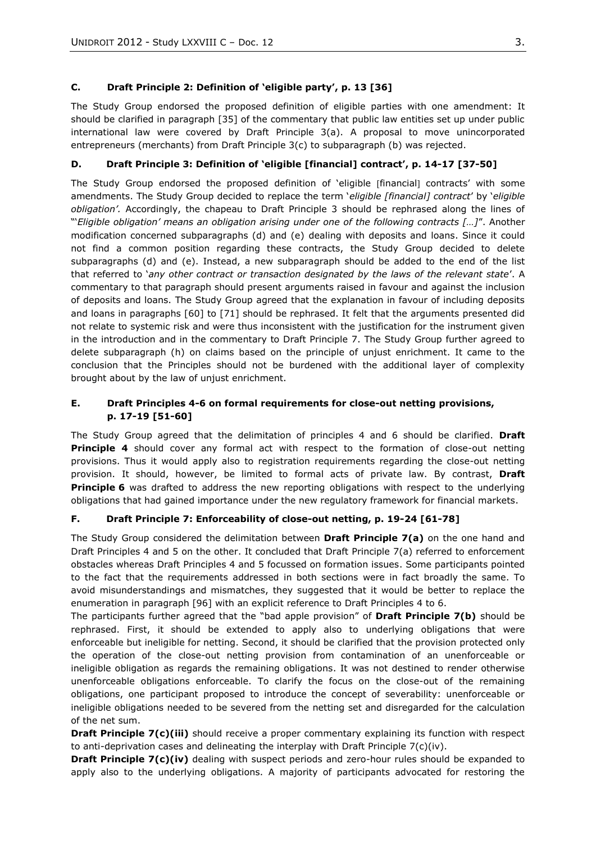## **C. Draft Principle 2: Definition of 'eligible party', p. 13 [36]**

The Study Group endorsed the proposed definition of eligible parties with one amendment: It should be clarified in paragraph [35] of the commentary that public law entities set up under public international law were covered by Draft Principle 3(a). A proposal to move unincorporated entrepreneurs (merchants) from Draft Principle 3(c) to subparagraph (b) was rejected.

# **D. Draft Principle 3: Definition of 'eligible [financial] contract', p. 14-17 [37-50]**

The Study Group endorsed the proposed definition of 'eligible [financial] contracts' with some amendments. The Study Group decided to replace the term '*eligible [financial] contract*' by '*eligible obligation'.* Accordingly, the chapeau to Draft Principle 3 should be rephrased along the lines of "'*Eligible obligation' means an obligation arising under one of the following contracts […]*". Another modification concerned subparagraphs (d) and (e) dealing with deposits and loans. Since it could not find a common position regarding these contracts, the Study Group decided to delete subparagraphs (d) and (e). Instead, a new subparagraph should be added to the end of the list that referred to '*any other contract or transaction designated by the laws of the relevant state*'. A commentary to that paragraph should present arguments raised in favour and against the inclusion of deposits and loans. The Study Group agreed that the explanation in favour of including deposits and loans in paragraphs [60] to [71] should be rephrased. It felt that the arguments presented did not relate to systemic risk and were thus inconsistent with the justification for the instrument given in the introduction and in the commentary to Draft Principle 7. The Study Group further agreed to delete subparagraph (h) on claims based on the principle of unjust enrichment. It came to the conclusion that the Principles should not be burdened with the additional layer of complexity brought about by the law of unjust enrichment.

# **E. Draft Principles 4-6 on formal requirements for close-out netting provisions, p. 17-19 [51-60]**

The Study Group agreed that the delimitation of principles 4 and 6 should be clarified. **Draft Principle 4** should cover any formal act with respect to the formation of close-out netting provisions. Thus it would apply also to registration requirements regarding the close-out netting provision. It should, however, be limited to formal acts of private law. By contrast, **Draft Principle 6** was drafted to address the new reporting obligations with respect to the underlying obligations that had gained importance under the new regulatory framework for financial markets.

## **F. Draft Principle 7: Enforceability of close-out netting, p. 19-24 [61-78]**

The Study Group considered the delimitation between **Draft Principle 7(a)** on the one hand and Draft Principles 4 and 5 on the other. It concluded that Draft Principle 7(a) referred to enforcement obstacles whereas Draft Principles 4 and 5 focussed on formation issues. Some participants pointed to the fact that the requirements addressed in both sections were in fact broadly the same. To avoid misunderstandings and mismatches, they suggested that it would be better to replace the enumeration in paragraph [96] with an explicit reference to Draft Principles 4 to 6.

The participants further agreed that the "bad apple provision" of **Draft Principle 7(b)** should be rephrased. First, it should be extended to apply also to underlying obligations that were enforceable but ineligible for netting. Second, it should be clarified that the provision protected only the operation of the close-out netting provision from contamination of an unenforceable or ineligible obligation as regards the remaining obligations. It was not destined to render otherwise unenforceable obligations enforceable. To clarify the focus on the close-out of the remaining obligations, one participant proposed to introduce the concept of severability: unenforceable or ineligible obligations needed to be severed from the netting set and disregarded for the calculation of the net sum.

**Draft Principle 7(c)(iii)** should receive a proper commentary explaining its function with respect to anti-deprivation cases and delineating the interplay with Draft Principle  $7(c)(iv)$ .

**Draft Principle 7(c)(iv)** dealing with suspect periods and zero-hour rules should be expanded to apply also to the underlying obligations. A majority of participants advocated for restoring the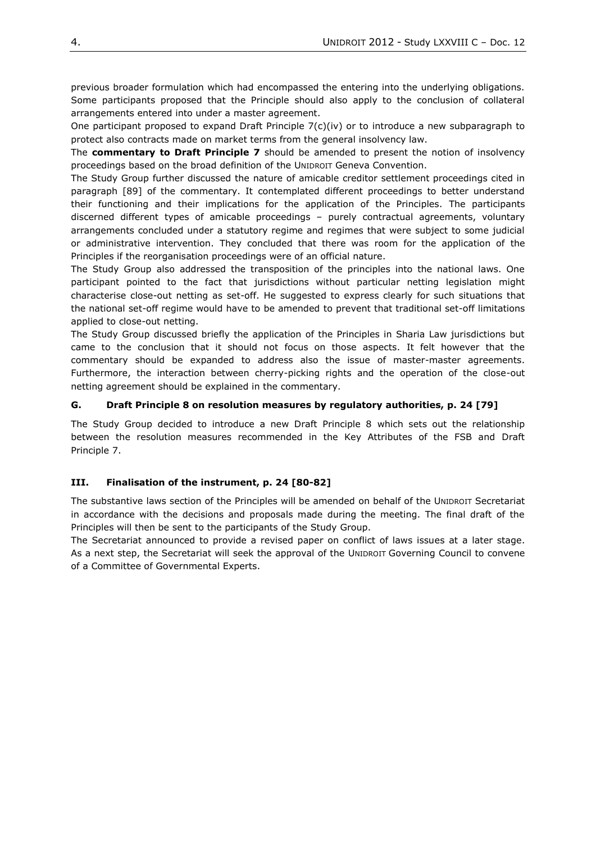previous broader formulation which had encompassed the entering into the underlying obligations. Some participants proposed that the Principle should also apply to the conclusion of collateral arrangements entered into under a master agreement.

One participant proposed to expand Draft Principle  $7(c)(iv)$  or to introduce a new subparagraph to protect also contracts made on market terms from the general insolvency law.

The **commentary to Draft Principle 7** should be amended to present the notion of insolvency proceedings based on the broad definition of the UNIDROIT Geneva Convention.

The Study Group further discussed the nature of amicable creditor settlement proceedings cited in paragraph [89] of the commentary. It contemplated different proceedings to better understand their functioning and their implications for the application of the Principles. The participants discerned different types of amicable proceedings – purely contractual agreements, voluntary arrangements concluded under a statutory regime and regimes that were subject to some judicial or administrative intervention. They concluded that there was room for the application of the Principles if the reorganisation proceedings were of an official nature.

The Study Group also addressed the transposition of the principles into the national laws. One participant pointed to the fact that jurisdictions without particular netting legislation might characterise close-out netting as set-off. He suggested to express clearly for such situations that the national set-off regime would have to be amended to prevent that traditional set-off limitations applied to close-out netting.

The Study Group discussed briefly the application of the Principles in Sharia Law jurisdictions but came to the conclusion that it should not focus on those aspects. It felt however that the commentary should be expanded to address also the issue of master-master agreements. Furthermore, the interaction between cherry-picking rights and the operation of the close-out netting agreement should be explained in the commentary.

## **G. Draft Principle 8 on resolution measures by regulatory authorities, p. 24 [79]**

The Study Group decided to introduce a new Draft Principle 8 which sets out the relationship between the resolution measures recommended in the Key Attributes of the FSB and Draft Principle 7.

## **III. Finalisation of the instrument, p. 24 [80-82]**

The substantive laws section of the Principles will be amended on behalf of the UNIDROIT Secretariat in accordance with the decisions and proposals made during the meeting. The final draft of the Principles will then be sent to the participants of the Study Group.

The Secretariat announced to provide a revised paper on conflict of laws issues at a later stage. As a next step, the Secretariat will seek the approval of the UNIDROIT Governing Council to convene of a Committee of Governmental Experts.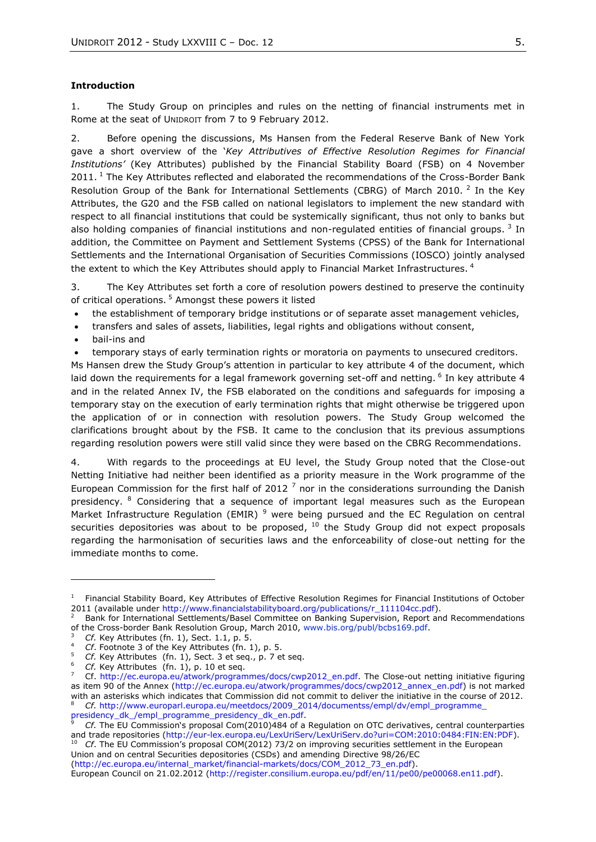#### <span id="page-4-0"></span>**Introduction**

1. The Study Group on principles and rules on the netting of financial instruments met in Rome at the seat of UNIDROIT from 7 to 9 February 2012.

2. Before opening the discussions, Ms Hansen from the Federal Reserve Bank of New York gave a short overview of the '*Key Attributives of Effective Resolution Regimes for Financial Institutions'* (Key Attributes) published by the Financial Stability Board (FSB) on 4 November  $2011$ . <sup>1</sup> The Key Attributes reflected and elaborated the recommendations of the Cross-Border Bank Resolution Group of the Bank for International Settlements (CBRG) of March 2010. <sup>2</sup> In the Key Attributes, the G20 and the FSB called on national legislators to implement the new standard with respect to all financial institutions that could be systemically significant, thus not only to banks but also holding companies of financial institutions and non-regulated entities of financial groups.  $3$  In addition, the Committee on Payment and Settlement Systems (CPSS) of the Bank for International Settlements and the International Organisation of Securities Commissions (IOSCO) jointly analysed the extent to which the Key Attributes should apply to Financial Market Infrastructures.  $^4$ 

3. The Key Attributes set forth a core of resolution powers destined to preserve the continuity of critical operations.<sup>5</sup> Amongst these powers it listed

- the establishment of temporary bridge institutions or of separate asset management vehicles,
- transfers and sales of assets, liabilities, legal rights and obligations without consent,
- bail-ins and

temporary stays of early termination rights or moratoria on payments to unsecured creditors.

Ms Hansen drew the Study Group's attention in particular to key attribute 4 of the document, which laid down the requirements for a legal framework governing set-off and netting. <sup>6</sup> In key attribute 4 and in the related Annex IV, the FSB elaborated on the conditions and safeguards for imposing a temporary stay on the execution of early termination rights that might otherwise be triggered upon the application of or in connection with resolution powers. The Study Group welcomed the clarifications brought about by the FSB. It came to the conclusion that its previous assumptions regarding resolution powers were still valid since they were based on the CBRG Recommendations.

4. With regards to the proceedings at EU level, the Study Group noted that the Close-out Netting Initiative had neither been identified as a priority measure in the Work programme of the European Commission for the first half of 2012<sup>7</sup> nor in the considerations surrounding the Danish presidency. <sup>8</sup> Considering that a sequence of important legal measures such as the European Market Infrastructure Regulation (EMIR)<sup>9</sup> were being pursued and the EC Regulation on central securities depositories was about to be proposed,  $^{10}$  the Study Group did not expect proposals regarding the harmonisation of securities laws and the enforceability of close-out netting for the immediate months to come.

<sup>10</sup> *Cf*. The EU Commission's proposal COM(2012) 73/2 on improving securities settlement in the European Union and on central Securities depositories (CSDs) and amending Directive 98/26/EC

[\(http://ec.europa.eu/internal\\_market/financial-markets/docs/COM\\_2012\\_73\\_en.pdf\)](http://ec.europa.eu/internal_market/financial-markets/docs/COM_2012_73_en.pdf). European Council on 21.02.2012 [\(http://register.consilium.europa.eu/pdf/en/11/pe00/pe00068.en11.pdf\)](http://register.consilium.europa.eu/pdf/en/11/pe00/pe00068.en11.pdf).

<sup>&</sup>lt;sup>1</sup> Financial Stability Board, Key Attributes of Effective Resolution Regimes for Financial Institutions of October 2011 (available under [http://www.financialstabilityboard.org/publications/r\\_111104cc.pdf\)](http://www.financialstabilityboard.org/publications/r_111104cc.pdf).

<sup>2</sup> Bank for International Settlements/Basel Committee on Banking Supervision, Report and Recommendations of the Cross-border Bank Resolution Group, March 2010, www.bis.org/publ/bcbs169.pdf.

<sup>3</sup> *Cf.* Key Attributes (fn. 1), Sect. 1.1, p. 5.

<sup>4</sup> *Cf*. Footnote 3 of the Key Attributes (fn. 1), p. 5.

<sup>5</sup> *Cf.* Key Attributes (fn. 1), Sect. 3 et seq., p. 7 et seq.

<sup>6</sup> *Cf.* Key Attributes (fn. 1), p. 10 et seq.

<sup>7</sup> Cf. [http://ec.europa.eu/atwork/programmes/docs/cwp2012\\_en.pdf.](http://ec.europa.eu/atwork/programmes/docs/cwp2012_en.pdf) The Close-out netting initiative figuring as item 90 of the Annex [\(http://ec.europa.eu/atwork/programmes/docs/cwp2012\\_annex\\_en.pdf\)](http://ec.europa.eu/atwork/programmes/docs/cwp2012_annex_en.pdf) is not marked with an asterisks which indicates that Commission did not commit to deliver the initiative in the course of 2012. <sup>8</sup> *Cf.* [http://www.europarl.europa.eu/meetdocs/2009\\_2014/documentss/empl/dv/empl\\_programme\\_](http://www.europarl.europa.eu/meetdocs/2009_2014/documentss/empl/dv/empl_programme_presidency_dk_/empl_programme_presidency_dk_en.pdf) [presidency\\_dk\\_/empl\\_programme\\_presidency\\_dk\\_en.pdf.](http://www.europarl.europa.eu/meetdocs/2009_2014/documentss/empl/dv/empl_programme_presidency_dk_/empl_programme_presidency_dk_en.pdf)

<sup>9</sup> *Cf.* The EU Commission's proposal Com(2010)484 of a Regulation on OTC derivatives, central counterparties and trade repositories [\(http://eur-lex.europa.eu/LexUriServ/LexUriServ.do?uri=COM:2010:0484:FIN:EN:PDF\)](http://eur-lex.europa.eu/LexUriServ/LexUriServ.do?uri=COM:2010:0484:FIN:EN:PDF).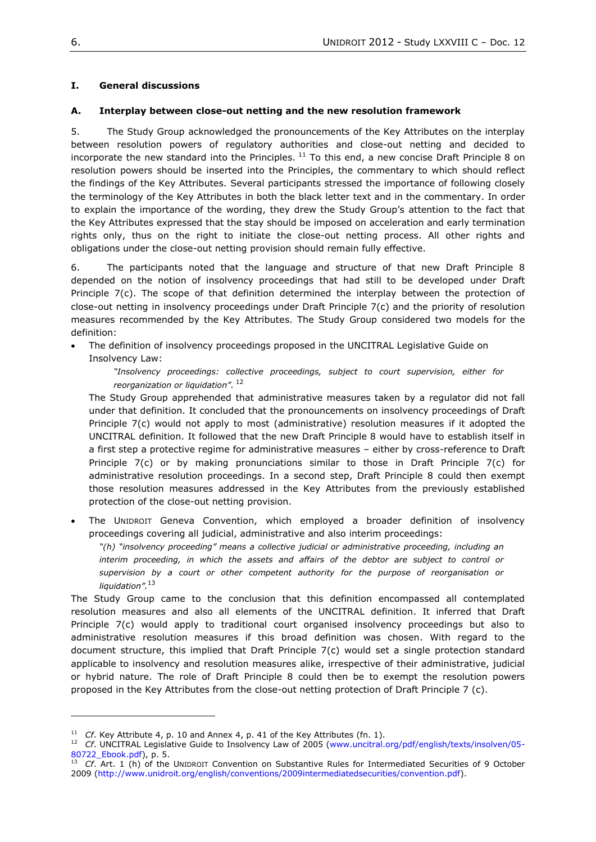## <span id="page-5-0"></span>**I. General discussions**

## <span id="page-5-1"></span>**A. Interplay between close-out netting and the new resolution framework**

5. The Study Group acknowledged the pronouncements of the Key Attributes on the interplay between resolution powers of regulatory authorities and close-out netting and decided to incorporate the new standard into the Principles.  $^{11}$  To this end, a new concise Draft Principle 8 on resolution powers should be inserted into the Principles, the commentary to which should reflect the findings of the Key Attributes. Several participants stressed the importance of following closely the terminology of the Key Attributes in both the black letter text and in the commentary. In order to explain the importance of the wording, they drew the Study Group's attention to the fact that the Key Attributes expressed that the stay should be imposed on acceleration and early termination rights only, thus on the right to initiate the close-out netting process. All other rights and obligations under the close-out netting provision should remain fully effective.

6. The participants noted that the language and structure of that new Draft Principle 8 depended on the notion of insolvency proceedings that had still to be developed under Draft Principle 7(c). The scope of that definition determined the interplay between the protection of close-out netting in insolvency proceedings under Draft Principle 7(c) and the priority of resolution measures recommended by the Key Attributes. The Study Group considered two models for the definition:

 The definition of insolvency proceedings proposed in the UNCITRAL Legislative Guide on Insolvency Law:

*"Insolvency proceedings: collective proceedings, subject to court supervision, either for reorganization or liquidation".* 12

The Study Group apprehended that administrative measures taken by a regulator did not fall under that definition. It concluded that the pronouncements on insolvency proceedings of Draft Principle 7(c) would not apply to most (administrative) resolution measures if it adopted the UNCITRAL definition. It followed that the new Draft Principle 8 would have to establish itself in a first step a protective regime for administrative measures – either by cross-reference to Draft Principle 7(c) or by making pronunciations similar to those in Draft Principle 7(c) for administrative resolution proceedings. In a second step, Draft Principle 8 could then exempt those resolution measures addressed in the Key Attributes from the previously established protection of the close-out netting provision.

 The UNIDROIT Geneva Convention, which employed a broader definition of insolvency proceedings covering all judicial, administrative and also interim proceedings:

*"(h) "insolvency proceeding" means a collective judicial or administrative proceeding, including an*  interim proceeding, in which the assets and affairs of the debtor are subject to control or *supervision by a court or other competent authority for the purpose of reorganisation or liquidation".* 13

The Study Group came to the conclusion that this definition encompassed all contemplated resolution measures and also all elements of the UNCITRAL definition. It inferred that Draft Principle 7(c) would apply to traditional court organised insolvency proceedings but also to administrative resolution measures if this broad definition was chosen. With regard to the document structure, this implied that Draft Principle 7(c) would set a single protection standard applicable to insolvency and resolution measures alike, irrespective of their administrative, judicial or hybrid nature. The role of Draft Principle 8 could then be to exempt the resolution powers proposed in the Key Attributes from the close-out netting protection of Draft Principle 7 (c).

<sup>&</sup>lt;sup>11</sup> *Cf.* Key Attribute 4, p. 10 and Annex 4, p. 41 of the Key Attributes (fn. 1).

<sup>&</sup>lt;sup>12</sup> *Cf.* UNCITRAL Legislative Guide to Insolvency Law of 2005 [\(www.uncitral.org/pdf/english/texts/insolven/05-](http://www.uncitral.org/pdf/english/texts/insolven/05-80722_Ebook.pdf) [80722\\_Ebook.pdf\)](http://www.uncitral.org/pdf/english/texts/insolven/05-80722_Ebook.pdf), p. 5.

<sup>13</sup> *Cf*. Art. 1 (h) of the UNIDROIT Convention on Substantive Rules for Intermediated Securities of 9 October 2009 [\(http://www.unidroit.org/english/conventions/2009intermediatedsecurities/convention.pdf\)](http://www.unidroit.org/english/conventions/2009intermediatedsecurities/convention.pdf).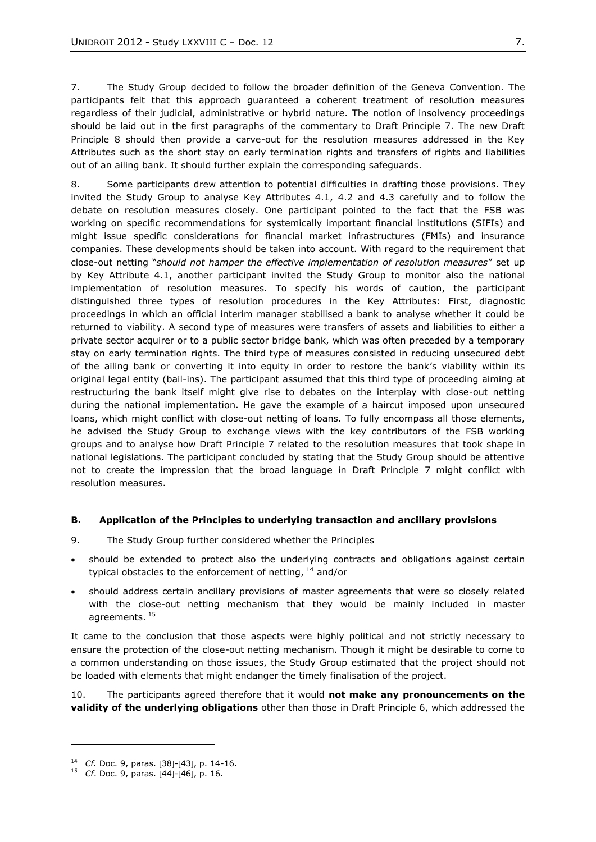7. The Study Group decided to follow the broader definition of the Geneva Convention. The participants felt that this approach guaranteed a coherent treatment of resolution measures regardless of their judicial, administrative or hybrid nature. The notion of insolvency proceedings should be laid out in the first paragraphs of the commentary to Draft Principle 7. The new Draft Principle 8 should then provide a carve-out for the resolution measures addressed in the Key Attributes such as the short stay on early termination rights and transfers of rights and liabilities out of an ailing bank. It should further explain the corresponding safeguards.

8. Some participants drew attention to potential difficulties in drafting those provisions. They invited the Study Group to analyse Key Attributes 4.1, 4.2 and 4.3 carefully and to follow the debate on resolution measures closely. One participant pointed to the fact that the FSB was working on specific recommendations for systemically important financial institutions (SIFIs) and might issue specific considerations for financial market infrastructures (FMIs) and insurance companies. These developments should be taken into account. With regard to the requirement that close-out netting "*should not hamper the effective implementation of resolution measures*" set up by Key Attribute 4.1, another participant invited the Study Group to monitor also the national implementation of resolution measures. To specify his words of caution, the participant distinguished three types of resolution procedures in the Key Attributes: First, diagnostic proceedings in which an official interim manager stabilised a bank to analyse whether it could be returned to viability. A second type of measures were transfers of assets and liabilities to either a private sector acquirer or to a public sector bridge bank, which was often preceded by a temporary stay on early termination rights. The third type of measures consisted in reducing unsecured debt of the ailing bank or converting it into equity in order to restore the bank's viability within its original legal entity (bail-ins). The participant assumed that this third type of proceeding aiming at restructuring the bank itself might give rise to debates on the interplay with close-out netting during the national implementation. He gave the example of a haircut imposed upon unsecured loans, which might conflict with close-out netting of loans. To fully encompass all those elements, he advised the Study Group to exchange views with the key contributors of the FSB working groups and to analyse how Draft Principle 7 related to the resolution measures that took shape in national legislations. The participant concluded by stating that the Study Group should be attentive not to create the impression that the broad language in Draft Principle 7 might conflict with resolution measures.

#### <span id="page-6-0"></span>**B. Application of the Principles to underlying transaction and ancillary provisions**

- 9. The Study Group further considered whether the Principles
- should be extended to protect also the underlying contracts and obligations against certain typical obstacles to the enforcement of netting,  $^{14}$  and/or
- should address certain ancillary provisions of master agreements that were so closely related with the close-out netting mechanism that they would be mainly included in master agreements.<sup>15</sup>

It came to the conclusion that those aspects were highly political and not strictly necessary to ensure the protection of the close-out netting mechanism. Though it might be desirable to come to a common understanding on those issues, the Study Group estimated that the project should not be loaded with elements that might endanger the timely finalisation of the project.

10. The participants agreed therefore that it would **not make any pronouncements on the validity of the underlying obligations** other than those in Draft Principle 6, which addressed the

 $\overline{a}$ 

<sup>&</sup>lt;sup>14</sup> *Cf.* Doc. 9, paras. [38]-[43], p. 14-16.

<sup>&</sup>lt;sup>15</sup> *Cf.* Doc. 9, paras. [44]-[46], p. 16.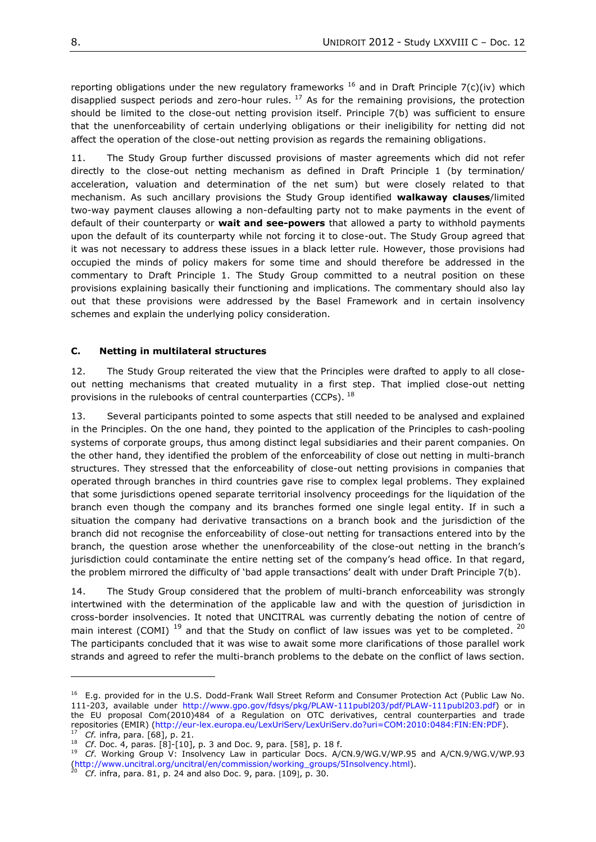reporting obligations under the new regulatory frameworks  $^{16}$  and in Draft Principle 7(c)(iv) which disapplied suspect periods and zero-hour rules.  $^{17}$  As for the remaining provisions, the protection should be limited to the close-out netting provision itself. Principle 7(b) was sufficient to ensure that the unenforceability of certain underlying obligations or their ineligibility for netting did not affect the operation of the close-out netting provision as regards the remaining obligations.

11. The Study Group further discussed provisions of master agreements which did not refer directly to the close-out netting mechanism as defined in Draft Principle 1 (by termination/ acceleration, valuation and determination of the net sum) but were closely related to that mechanism. As such ancillary provisions the Study Group identified **walkaway clauses**/limited two-way payment clauses allowing a non-defaulting party not to make payments in the event of default of their counterparty or **wait and see-powers** that allowed a party to withhold payments upon the default of its counterparty while not forcing it to close-out. The Study Group agreed that it was not necessary to address these issues in a black letter rule. However, those provisions had occupied the minds of policy makers for some time and should therefore be addressed in the commentary to Draft Principle 1. The Study Group committed to a neutral position on these provisions explaining basically their functioning and implications. The commentary should also lay out that these provisions were addressed by the Basel Framework and in certain insolvency schemes and explain the underlying policy consideration.

#### <span id="page-7-0"></span>**C. Netting in multilateral structures**

12. The Study Group reiterated the view that the Principles were drafted to apply to all closeout netting mechanisms that created mutuality in a first step. That implied close-out netting provisions in the rulebooks of central counterparties (CCPs).  $^{18}$ 

13. Several participants pointed to some aspects that still needed to be analysed and explained in the Principles. On the one hand, they pointed to the application of the Principles to cash-pooling systems of corporate groups, thus among distinct legal subsidiaries and their parent companies. On the other hand, they identified the problem of the enforceability of close out netting in multi-branch structures. They stressed that the enforceability of close-out netting provisions in companies that operated through branches in third countries gave rise to complex legal problems. They explained that some jurisdictions opened separate territorial insolvency proceedings for the liquidation of the branch even though the company and its branches formed one single legal entity. If in such a situation the company had derivative transactions on a branch book and the jurisdiction of the branch did not recognise the enforceability of close-out netting for transactions entered into by the branch, the question arose whether the unenforceability of the close-out netting in the branch's jurisdiction could contaminate the entire netting set of the company's head office. In that regard, the problem mirrored the difficulty of 'bad apple transactions' dealt with under Draft Principle 7(b).

14. The Study Group considered that the problem of multi-branch enforceability was strongly intertwined with the determination of the applicable law and with the question of jurisdiction in cross-border insolvencies. It noted that UNCITRAL was currently debating the notion of centre of main interest (COMI)  $^{19}$  and that the Study on conflict of law issues was yet to be completed.  $^{20}$ The participants concluded that it was wise to await some more clarifications of those parallel work strands and agreed to refer the multi-branch problems to the debate on the conflict of laws section.

<sup>&</sup>lt;sup>16</sup> E.g. provided for in the U.S. Dodd-Frank Wall Street Reform and Consumer Protection Act (Public Law No. 111-203, available under [http://www.gpo.gov/fdsys/pkg/PLAW-111publ203/pdf/PLAW-111publ203.pdf\)](http://www.gpo.gov/fdsys/pkg/PLAW-111publ203/pdf/PLAW-111publ203.pdf) or in the EU proposal Com(2010)484 of a Regulation on OTC derivatives, central counterparties and trade repositories (EMIR) [\(http://eur-lex.europa.eu/LexUriServ/LexUriServ.do?uri=COM:2010:0484:FIN:EN:PDF\)](http://eur-lex.europa.eu/LexUriServ/LexUriServ.do?uri=COM:2010:0484:FIN:EN:PDF). *Cf.* infra, para. [68], p. 21.

<sup>18</sup> *Cf*. Doc. 4, paras. [8]-[10], p. 3 and Doc. 9, para. [58], p. 18 f.

<sup>19</sup> *Cf*. Working Group V: Insolvency Law in particular Docs. A/CN.9/WG.V/WP.95 and A/CN.9/WG.V/WP.93 [\(http://www.uncitral.org/uncitral/en/commission/working\\_groups/5Insolvency.html\)](http://www.uncitral.org/uncitral/en/commission/working_groups/5Insolvency.html).

*Cf.* infra, para. 81, p. 24 and also Doc. 9, para. [109], p. 30.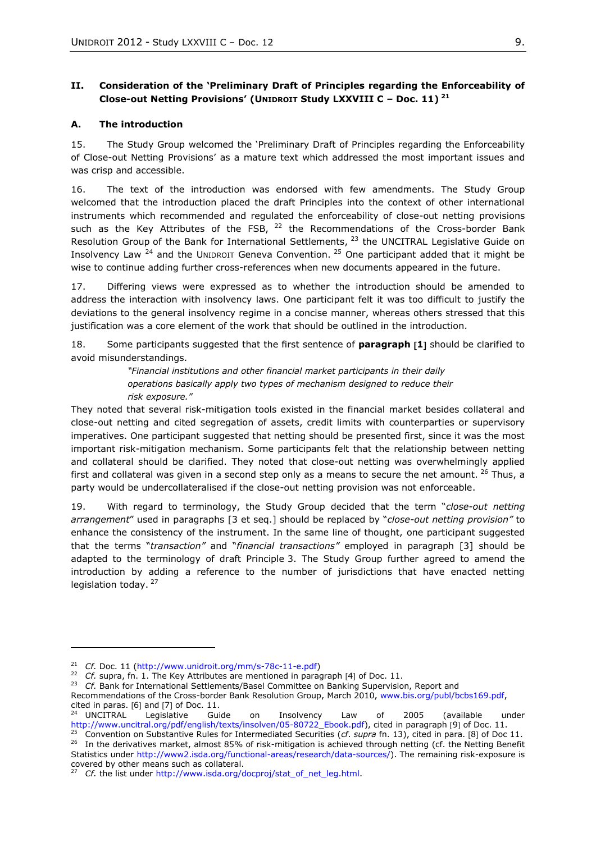## <span id="page-8-0"></span>**II. Consideration of the 'Preliminary Draft of Principles regarding the Enforceability of Close-out Netting Provisions' (UNIDROIT Study LXXVIII C – Doc. 11) 21**

#### <span id="page-8-1"></span>**A. The introduction**

15. The Study Group welcomed the 'Preliminary Draft of Principles regarding the Enforceability of Close-out Netting Provisions' as a mature text which addressed the most important issues and was crisp and accessible.

16. The text of the introduction was endorsed with few amendments. The Study Group welcomed that the introduction placed the draft Principles into the context of other international instruments which recommended and regulated the enforceability of close-out netting provisions such as the Key Attributes of the FSB,  $^{22}$  the Recommendations of the Cross-border Bank Resolution Group of the Bank for International Settlements, <sup>23</sup> the UNCITRAL Legislative Guide on Insolvency Law  $^{24}$  and the UNIDROIT Geneva Convention.  $^{25}$  One participant added that it might be wise to continue adding further cross-references when new documents appeared in the future.

17. Differing views were expressed as to whether the introduction should be amended to address the interaction with insolvency laws. One participant felt it was too difficult to justify the deviations to the general insolvency regime in a concise manner, whereas others stressed that this justification was a core element of the work that should be outlined in the introduction.

18. Some participants suggested that the first sentence of **paragraph 1** should be clarified to avoid misunderstandings.

> *"Financial institutions and other financial market participants in their daily operations basically apply two types of mechanism designed to reduce their risk exposure."*

They noted that several risk-mitigation tools existed in the financial market besides collateral and close-out netting and cited segregation of assets, credit limits with counterparties or supervisory imperatives. One participant suggested that netting should be presented first, since it was the most important risk-mitigation mechanism. Some participants felt that the relationship between netting and collateral should be clarified. They noted that close-out netting was overwhelmingly applied first and collateral was given in a second step only as a means to secure the net amount. <sup>26</sup> Thus, a party would be undercollateralised if the close-out netting provision was not enforceable.

19. With regard to terminology, the Study Group decided that the term "*close-out netting arrangement*" used in paragraphs [3 et seq.] should be replaced by "*close-out netting provision"* to enhance the consistency of the instrument. In the same line of thought, one participant suggested that the terms "*transaction"* and "*financial transactions"* employed in paragraph [3] should be adapted to the terminology of draft Principle 3. The Study Group further agreed to amend the introduction by adding a reference to the number of jurisdictions that have enacted netting legislation today.<sup>27</sup>

 $\overline{a}$ 

<sup>21</sup> *Cf.* Doc. 11 [\(http://www.unidroit.org/mm/s-78c-11-e.pdf\)](http://www.unidroit.org/mm/s-78c-11-e.pdf)

<sup>&</sup>lt;sup>22</sup> *Cf.* supra, fn. 1. The Key Attributes are mentioned in paragraph [4] of Doc. 11.

<sup>&</sup>lt;sup>23</sup> *Cf.* Bank for International Settlements/Basel Committee on Banking Supervision, Report and

Recommendations of the Cross-border Bank Resolution Group, March 2010, [www.bis.org/publ/bcbs169.pdf,](http://www.bis.org/publ/bcbs169.pdf) cited in paras.  $[6]$  and  $[7]$  of Doc. 11.

<sup>&</sup>lt;sup>24</sup> UNCITRAL Legislative Guide on Insolvency Law of 2005 (available under [http://www.uncitral.org/pdf/english/texts/insolven/05-80722\\_Ebook.pdf\)](http://www.uncitral.org/pdf/english/texts/insolven/05-80722_Ebook.pdf), cited in paragraph [9] of Doc. 11.

Convention on Substantive Rules for Intermediated Securities (cf. supra fn. 13), cited in para. [8] of Doc 11. <sup>26</sup> In the derivatives market, almost 85% of risk-mitigation is achieved through netting (cf. the Netting Benefit Statistics under [http://www2.isda.org/functional-areas/research/data-sources/\)](http://www2.isda.org/functional-areas/research/data-sources/). The remaining risk-exposure is covered by other means such as collateral.

<sup>27</sup> *Cf.* the list under [http://www.isda.org/docproj/stat\\_of\\_net\\_leg.html.](http://www.isda.org/docproj/stat_of_net_leg.html)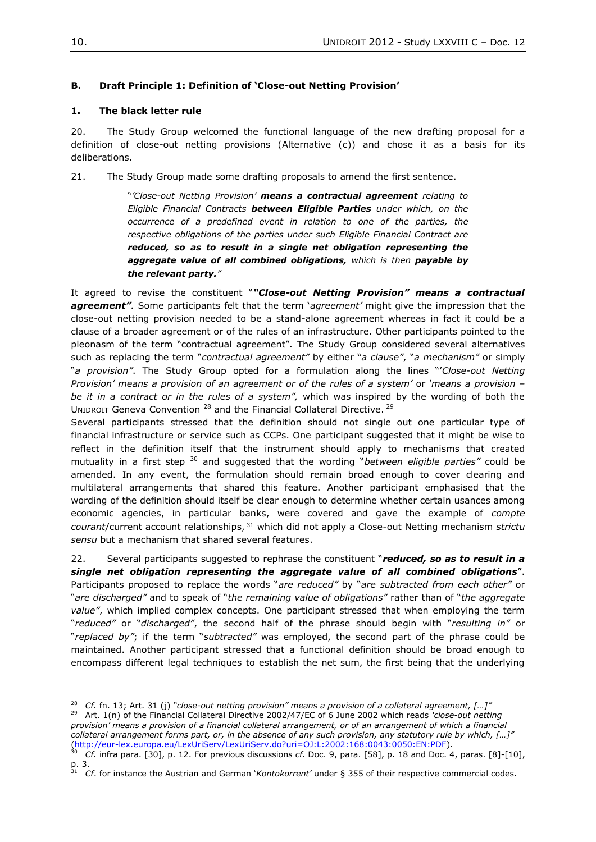## <span id="page-9-0"></span>**B. Draft Principle 1: Definition of 'Close-out Netting Provision'**

#### **1. The black letter rule**

20. The Study Group welcomed the functional language of the new drafting proposal for a definition of close-out netting provisions (Alternative (c)) and chose it as a basis for its deliberations.

21. The Study Group made some drafting proposals to amend the first sentence.

"*'Close-out Netting Provision' means a contractual agreement relating to Eligible Financial Contracts between Eligible Parties under which, on the occurrence of a predefined event in relation to one of the parties, the respective obligations of the parties under such Eligible Financial Contract are reduced, so as to result in a single net obligation representing the aggregate value of all combined obligations, which is then payable by the relevant party."*

It agreed to revise the constituent "*"Close-out Netting Provision" means a contractual agreement".* Some participants felt that the term '*agreement'* might give the impression that the close-out netting provision needed to be a stand-alone agreement whereas in fact it could be a clause of a broader agreement or of the rules of an infrastructure. Other participants pointed to the pleonasm of the term "contractual agreement". The Study Group considered several alternatives such as replacing the term "*contractual agreement"* by either "*a clause"*, "*a mechanism"* or simply "*a provision"*. The Study Group opted for a formulation along the lines "'*Close-out Netting Provision' means a provision of an agreement or of the rules of a system'* or *'means a provision – be it in a contract or in the rules of a system",* which was inspired by the wording of both the UNIDROIT Geneva Convention <sup>28</sup> and the Financial Collateral Directive. <sup>29</sup>

Several participants stressed that the definition should not single out one particular type of financial infrastructure or service such as CCPs. One participant suggested that it might be wise to reflect in the definition itself that the instrument should apply to mechanisms that created mutuality in a first step <sup>30</sup> and suggested that the wording "*between eligible parties"* could be amended. In any event, the formulation should remain broad enough to cover clearing and multilateral arrangements that shared this feature. Another participant emphasised that the wording of the definition should itself be clear enough to determine whether certain usances among economic agencies, in particular banks, were covered and gave the example of *compte courant*/current account relationships, <sup>31</sup> which did not apply a Close-out Netting mechanism *strictu sensu* but a mechanism that shared several features.

22. Several participants suggested to rephrase the constituent "*reduced, so as to result in a single net obligation representing the aggregate value of all combined obligations*". Participants proposed to replace the words "*are reduced"* by "*are subtracted from each other"* or "*are discharged"* and to speak of "*the remaining value of obligations"* rather than of "*the aggregate value"*, which implied complex concepts. One participant stressed that when employing the term "*reduced"* or "*discharged"*, the second half of the phrase should begin with "*resulting in"* or "*replaced by"*; if the term "*subtracted"* was employed, the second part of the phrase could be maintained. Another participant stressed that a functional definition should be broad enough to encompass different legal techniques to establish the net sum, the first being that the underlying

 $\overline{a}$ 

<sup>28</sup> *Cf.* fn. 13; Art. 31 (j) *"close-out netting provision" means a provision of a collateral agreement, […]"* <sup>29</sup> Art. 1(n) of the Financial Collateral Directive 2002/47/EC of 6 June 2002 which reads *'close-out netting provision' means a provision of a financial collateral arrangement, or of an arrangement of which a financial collateral arrangement forms part, or, in the absence of any such provision, any statutory rule by which, […]"* (http://eur-lex.europa.eu/LexUriServ/LexUriServ.do?uri=OJ:L:2002:168:0043:0050:EN:PDF).

<sup>30</sup> *Cf.* infra para. [30], p. 12. For previous discussions *cf*. Doc. 9, para. [58], p. 18 and Doc. 4, paras. [8]-[10], p. 3.

<sup>31</sup> *Cf*. for instance the Austrian and German '*Kontokorrent'* under § 355 of their respective commercial codes.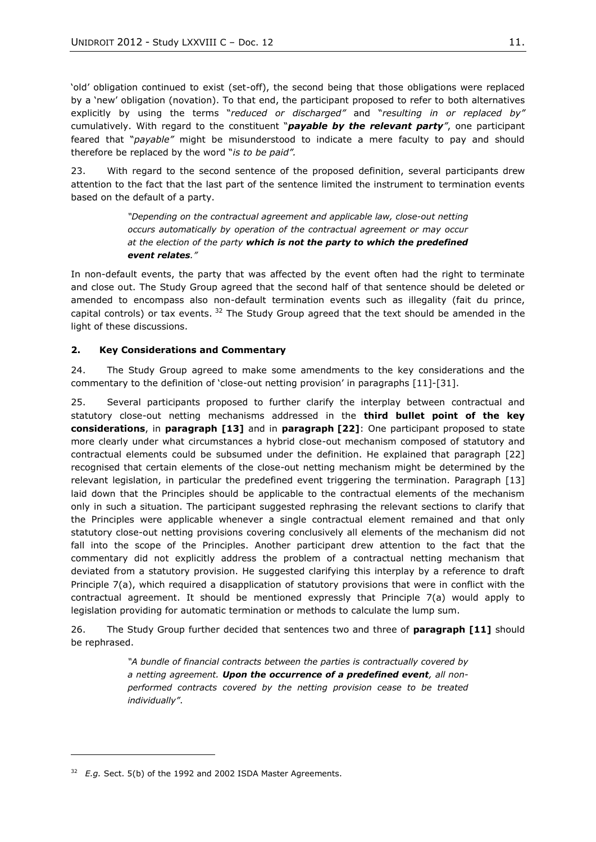'old' obligation continued to exist (set-off), the second being that those obligations were replaced by a 'new' obligation (novation). To that end, the participant proposed to refer to both alternatives explicitly by using the terms "*reduced or discharged"* and "*resulting in or replaced by"* cumulatively. With regard to the constituent "*payable by the relevant party"*, one participant feared that "*payable"* might be misunderstood to indicate a mere faculty to pay and should therefore be replaced by the word "*is to be paid".* 

23. With regard to the second sentence of the proposed definition, several participants drew attention to the fact that the last part of the sentence limited the instrument to termination events based on the default of a party.

> *"Depending on the contractual agreement and applicable law, close-out netting occurs automatically by operation of the contractual agreement or may occur at the election of the party which is not the party to which the predefined event relates."*

In non-default events, the party that was affected by the event often had the right to terminate and close out. The Study Group agreed that the second half of that sentence should be deleted or amended to encompass also non-default termination events such as illegality (fait du prince, capital controls) or tax events.  $32$  The Study Group agreed that the text should be amended in the light of these discussions.

## **2. Key Considerations and Commentary**

24. The Study Group agreed to make some amendments to the key considerations and the commentary to the definition of 'close-out netting provision' in paragraphs [11]-[31].

25. Several participants proposed to further clarify the interplay between contractual and statutory close-out netting mechanisms addressed in the **third bullet point of the key considerations**, in **paragraph [13]** and in **paragraph [22]**: One participant proposed to state more clearly under what circumstances a hybrid close-out mechanism composed of statutory and contractual elements could be subsumed under the definition. He explained that paragraph [22] recognised that certain elements of the close-out netting mechanism might be determined by the relevant legislation, in particular the predefined event triggering the termination. Paragraph [13] laid down that the Principles should be applicable to the contractual elements of the mechanism only in such a situation. The participant suggested rephrasing the relevant sections to clarify that the Principles were applicable whenever a single contractual element remained and that only statutory close-out netting provisions covering conclusively all elements of the mechanism did not fall into the scope of the Principles. Another participant drew attention to the fact that the commentary did not explicitly address the problem of a contractual netting mechanism that deviated from a statutory provision. He suggested clarifying this interplay by a reference to draft Principle 7(a), which required a disapplication of statutory provisions that were in conflict with the contractual agreement. It should be mentioned expressly that Principle 7(a) would apply to legislation providing for automatic termination or methods to calculate the lump sum.

26. The Study Group further decided that sentences two and three of **paragraph [11]** should be rephrased.

> *"A bundle of financial contracts between the parties is contractually covered by a netting agreement. Upon the occurrence of a predefined event, all nonperformed contracts covered by the netting provision cease to be treated individually"*.

<sup>&</sup>lt;sup>32</sup> *E.g.* Sect. 5(b) of the 1992 and 2002 ISDA Master Agreements.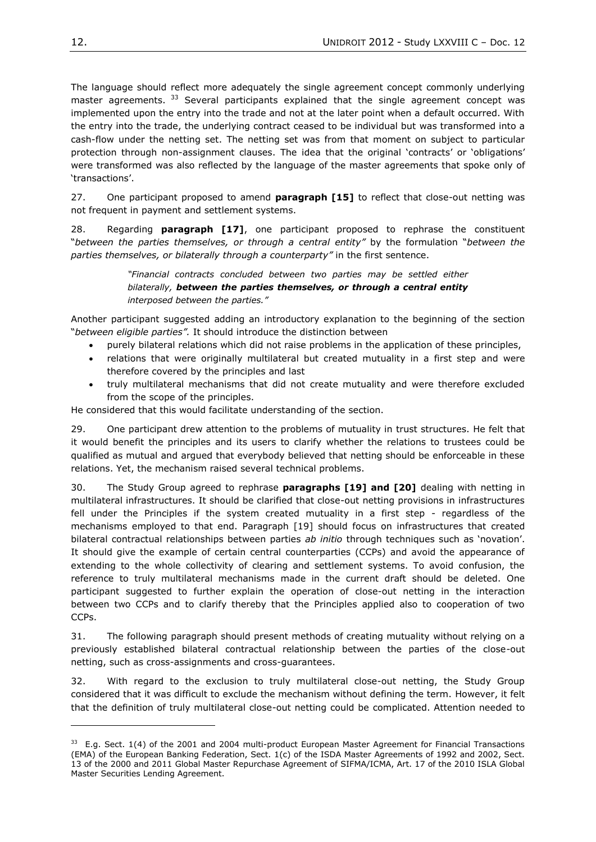The language should reflect more adequately the single agreement concept commonly underlying master agreements.  $33$  Several participants explained that the single agreement concept was implemented upon the entry into the trade and not at the later point when a default occurred. With the entry into the trade, the underlying contract ceased to be individual but was transformed into a cash-flow under the netting set. The netting set was from that moment on subject to particular protection through non-assignment clauses. The idea that the original 'contracts' or 'obligations' were transformed was also reflected by the language of the master agreements that spoke only of 'transactions'.

27. One participant proposed to amend **paragraph [15]** to reflect that close-out netting was not frequent in payment and settlement systems.

28. Regarding **paragraph [17]**, one participant proposed to rephrase the constituent "*between the parties themselves, or through a central entity"* by the formulation "*between the parties themselves, or bilaterally through a counterparty"* in the first sentence.

> *"Financial contracts concluded between two parties may be settled either bilaterally, between the parties themselves, or through a central entity interposed between the parties."*

Another participant suggested adding an introductory explanation to the beginning of the section "*between eligible parties".* It should introduce the distinction between

- purely bilateral relations which did not raise problems in the application of these principles,
- relations that were originally multilateral but created mutuality in a first step and were therefore covered by the principles and last
- truly multilateral mechanisms that did not create mutuality and were therefore excluded from the scope of the principles.

He considered that this would facilitate understanding of the section.

29. One participant drew attention to the problems of mutuality in trust structures. He felt that it would benefit the principles and its users to clarify whether the relations to trustees could be qualified as mutual and argued that everybody believed that netting should be enforceable in these relations. Yet, the mechanism raised several technical problems.

30. The Study Group agreed to rephrase **paragraphs [19] and [20]** dealing with netting in multilateral infrastructures. It should be clarified that close-out netting provisions in infrastructures fell under the Principles if the system created mutuality in a first step - regardless of the mechanisms employed to that end. Paragraph [19] should focus on infrastructures that created bilateral contractual relationships between parties *ab initio* through techniques such as 'novation'. It should give the example of certain central counterparties (CCPs) and avoid the appearance of extending to the whole collectivity of clearing and settlement systems. To avoid confusion, the reference to truly multilateral mechanisms made in the current draft should be deleted. One participant suggested to further explain the operation of close-out netting in the interaction between two CCPs and to clarify thereby that the Principles applied also to cooperation of two CCPs.

31. The following paragraph should present methods of creating mutuality without relying on a previously established bilateral contractual relationship between the parties of the close-out netting, such as cross-assignments and cross-guarantees.

32. With regard to the exclusion to truly multilateral close-out netting, the Study Group considered that it was difficult to exclude the mechanism without defining the term. However, it felt that the definition of truly multilateral close-out netting could be complicated. Attention needed to

 $33$  E.g. Sect. 1(4) of the 2001 and 2004 multi-product European Master Agreement for Financial Transactions (EMA) of the European Banking Federation, Sect. 1(c) of the ISDA Master Agreements of 1992 and 2002, Sect. 13 of the 2000 and 2011 Global Master Repurchase Agreement of SIFMA/ICMA, Art. 17 of the 2010 ISLA Global Master Securities Lending Agreement.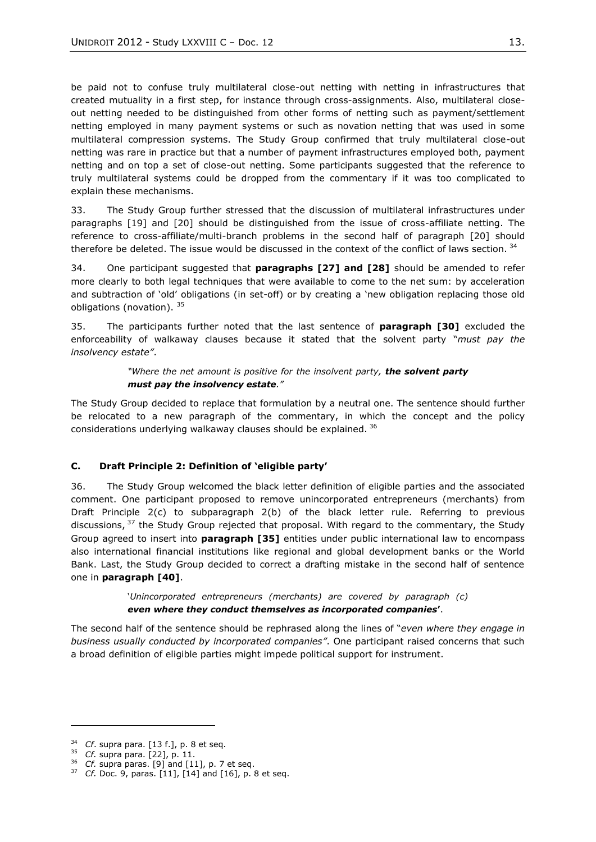be paid not to confuse truly multilateral close-out netting with netting in infrastructures that created mutuality in a first step, for instance through cross-assignments. Also, multilateral closeout netting needed to be distinguished from other forms of netting such as payment/settlement netting employed in many payment systems or such as novation netting that was used in some multilateral compression systems. The Study Group confirmed that truly multilateral close-out netting was rare in practice but that a number of payment infrastructures employed both, payment netting and on top a set of close-out netting. Some participants suggested that the reference to truly multilateral systems could be dropped from the commentary if it was too complicated to explain these mechanisms.

33. The Study Group further stressed that the discussion of multilateral infrastructures under paragraphs [19] and [20] should be distinguished from the issue of cross-affiliate netting. The reference to cross-affiliate/multi-branch problems in the second half of paragraph [20] should therefore be deleted. The issue would be discussed in the context of the conflict of laws section.  $34$ 

34. One participant suggested that **paragraphs [27] and [28]** should be amended to refer more clearly to both legal techniques that were available to come to the net sum: by acceleration and subtraction of 'old' obligations (in set-off) or by creating a 'new obligation replacing those old obligations (novation). 35

35. The participants further noted that the last sentence of **paragraph [30]** excluded the enforceability of walkaway clauses because it stated that the solvent party "*must pay the insolvency estate"*.

#### *"Where the net amount is positive for the insolvent party, the solvent party must pay the insolvency estate."*

The Study Group decided to replace that formulation by a neutral one. The sentence should further be relocated to a new paragraph of the commentary, in which the concept and the policy considerations underlying walkaway clauses should be explained. <sup>36</sup>

## <span id="page-12-0"></span>**C. Draft Principle 2: Definition of 'eligible party'**

36. The Study Group welcomed the black letter definition of eligible parties and the associated comment. One participant proposed to remove unincorporated entrepreneurs (merchants) from Draft Principle 2(c) to subparagraph 2(b) of the black letter rule. Referring to previous discussions, <sup>37</sup> the Study Group rejected that proposal. With regard to the commentary, the Study Group agreed to insert into **paragraph [35]** entities under public international law to encompass also international financial institutions like regional and global development banks or the World Bank. Last, the Study Group decided to correct a drafting mistake in the second half of sentence one in **paragraph [40]**.

> '*Unincorporated entrepreneurs (merchants) are covered by paragraph (c) even where they conduct themselves as incorporated companies***'**.

The second half of the sentence should be rephrased along the lines of "*even where they engage in business usually conducted by incorporated companies"*. One participant raised concerns that such a broad definition of eligible parties might impede political support for instrument.

<sup>34</sup> *Cf*. supra para. [13 f.], p. 8 et seq.

 $^{35}$  *Cf.* supra para. [22], p. 11.<br> $^{36}$  *Cf* supra paras. [9] and [1]

*Cf.* supra paras. [9] and [11], p. 7 et seq.

<sup>37</sup> *Cf.* Doc. 9, paras. [11], [14] and [16], p. 8 et seq.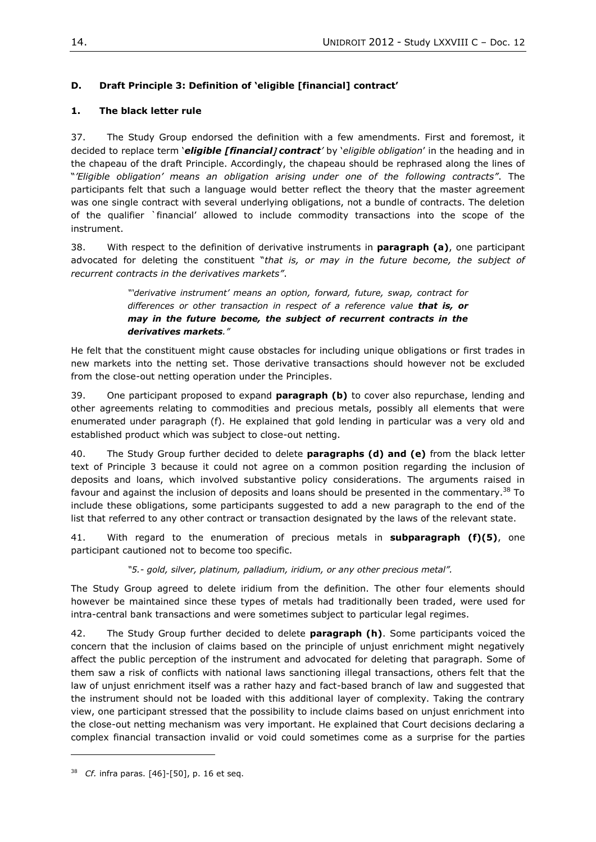# <span id="page-13-0"></span>**D. Draft Principle 3: Definition of 'eligible [financial] contract'**

# **1. The black letter rule**

37. The Study Group endorsed the definition with a few amendments. First and foremost, it decided to replace term '*eligible [financial contract'* by '*eligible obligation*' in the heading and in the chapeau of the draft Principle. Accordingly, the chapeau should be rephrased along the lines of "*'Eligible obligation' means an obligation arising under one of the following contracts"*. The participants felt that such a language would better reflect the theory that the master agreement was one single contract with several underlying obligations, not a bundle of contracts. The deletion of the qualifier `financial' allowed to include commodity transactions into the scope of the instrument.

38. With respect to the definition of derivative instruments in **paragraph (a)**, one participant advocated for deleting the constituent "*that is, or may in the future become, the subject of recurrent contracts in the derivatives markets"*.

> *"'derivative instrument' means an option, forward, future, swap, contract for differences or other transaction in respect of a reference value that is, or may in the future become, the subject of recurrent contracts in the derivatives markets."*

He felt that the constituent might cause obstacles for including unique obligations or first trades in new markets into the netting set. Those derivative transactions should however not be excluded from the close-out netting operation under the Principles.

39. One participant proposed to expand **paragraph (b)** to cover also repurchase, lending and other agreements relating to commodities and precious metals, possibly all elements that were enumerated under paragraph (f). He explained that gold lending in particular was a very old and established product which was subject to close-out netting.

40. The Study Group further decided to delete **paragraphs (d) and (e)** from the black letter text of Principle 3 because it could not agree on a common position regarding the inclusion of deposits and loans, which involved substantive policy considerations. The arguments raised in favour and against the inclusion of deposits and loans should be presented in the commentary.<sup>38</sup> To include these obligations, some participants suggested to add a new paragraph to the end of the list that referred to any other contract or transaction designated by the laws of the relevant state.

41. With regard to the enumeration of precious metals in **subparagraph (f)(5)**, one participant cautioned not to become too specific.

*"5.- gold, silver, platinum, palladium, iridium, or any other precious metal".*

The Study Group agreed to delete iridium from the definition. The other four elements should however be maintained since these types of metals had traditionally been traded, were used for intra-central bank transactions and were sometimes subject to particular legal regimes.

42. The Study Group further decided to delete **paragraph (h)**. Some participants voiced the concern that the inclusion of claims based on the principle of unjust enrichment might negatively affect the public perception of the instrument and advocated for deleting that paragraph. Some of them saw a risk of conflicts with national laws sanctioning illegal transactions, others felt that the law of unjust enrichment itself was a rather hazy and fact-based branch of law and suggested that the instrument should not be loaded with this additional layer of complexity. Taking the contrary view, one participant stressed that the possibility to include claims based on unjust enrichment into the close-out netting mechanism was very important. He explained that Court decisions declaring a complex financial transaction invalid or void could sometimes come as a surprise for the parties

<sup>38</sup> *Cf.* infra paras. [46]-[50], p. 16 et seq.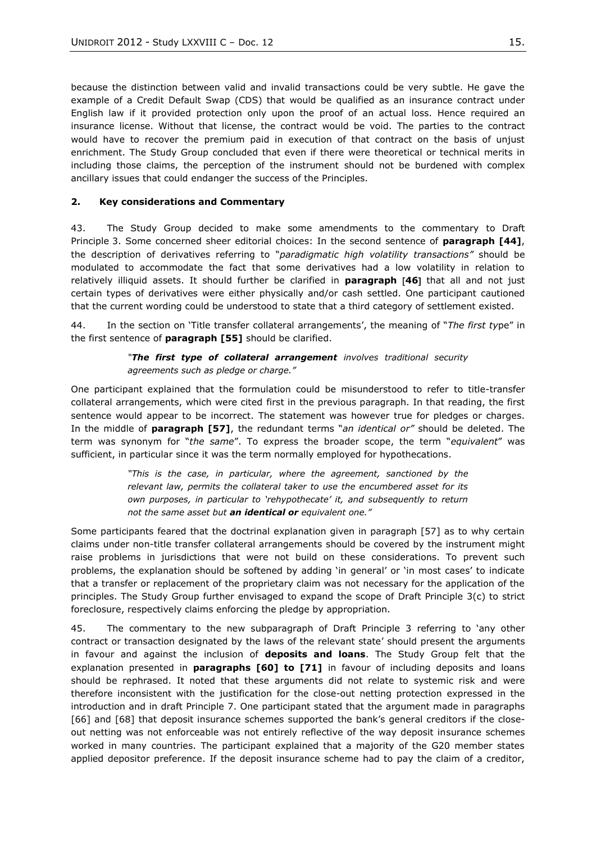because the distinction between valid and invalid transactions could be very subtle. He gave the example of a Credit Default Swap (CDS) that would be qualified as an insurance contract under English law if it provided protection only upon the proof of an actual loss. Hence required an insurance license. Without that license, the contract would be void. The parties to the contract would have to recover the premium paid in execution of that contract on the basis of unjust enrichment. The Study Group concluded that even if there were theoretical or technical merits in including those claims, the perception of the instrument should not be burdened with complex ancillary issues that could endanger the success of the Principles.

#### **2. Key considerations and Commentary**

43. The Study Group decided to make some amendments to the commentary to Draft Principle 3. Some concerned sheer editorial choices: In the second sentence of **paragraph [44]**, the description of derivatives referring to "*paradigmatic high volatility transactions"* should be modulated to accommodate the fact that some derivatives had a low volatility in relation to relatively illiquid assets. It should further be clarified in **paragraph 46** that all and not just certain types of derivatives were either physically and/or cash settled. One participant cautioned that the current wording could be understood to state that a third category of settlement existed.

44. In the section on 'Title transfer collateral arrangements', the meaning of "*The first ty*pe" in the first sentence of **paragraph [55]** should be clarified.

## *"The first type of collateral arrangement involves traditional security agreements such as pledge or charge."*

One participant explained that the formulation could be misunderstood to refer to title-transfer collateral arrangements, which were cited first in the previous paragraph. In that reading, the first sentence would appear to be incorrect. The statement was however true for pledges or charges. In the middle of **paragraph [57]**, the redundant terms "*an identical or"* should be deleted. The term was synonym for "*the same*". To express the broader scope, the term "*equivalent*" was sufficient, in particular since it was the term normally employed for hypothecations.

> *"This is the case, in particular, where the agreement, sanctioned by the relevant law, permits the collateral taker to use the encumbered asset for its own purposes, in particular to 'rehypothecate' it, and subsequently to return not the same asset but an identical or equivalent one."*

Some participants feared that the doctrinal explanation given in paragraph [57] as to why certain claims under non-title transfer collateral arrangements should be covered by the instrument might raise problems in jurisdictions that were not build on these considerations. To prevent such problems, the explanation should be softened by adding 'in general' or 'in most cases' to indicate that a transfer or replacement of the proprietary claim was not necessary for the application of the principles. The Study Group further envisaged to expand the scope of Draft Principle 3(c) to strict foreclosure, respectively claims enforcing the pledge by appropriation.

45. The commentary to the new subparagraph of Draft Principle 3 referring to 'any other contract or transaction designated by the laws of the relevant state' should present the arguments in favour and against the inclusion of **deposits and loans**. The Study Group felt that the explanation presented in **paragraphs [60] to [71]** in favour of including deposits and loans should be rephrased. It noted that these arguments did not relate to systemic risk and were therefore inconsistent with the justification for the close-out netting protection expressed in the introduction and in draft Principle 7. One participant stated that the argument made in paragraphs [66] and [68] that deposit insurance schemes supported the bank's general creditors if the closeout netting was not enforceable was not entirely reflective of the way deposit insurance schemes worked in many countries. The participant explained that a majority of the G20 member states applied depositor preference. If the deposit insurance scheme had to pay the claim of a creditor,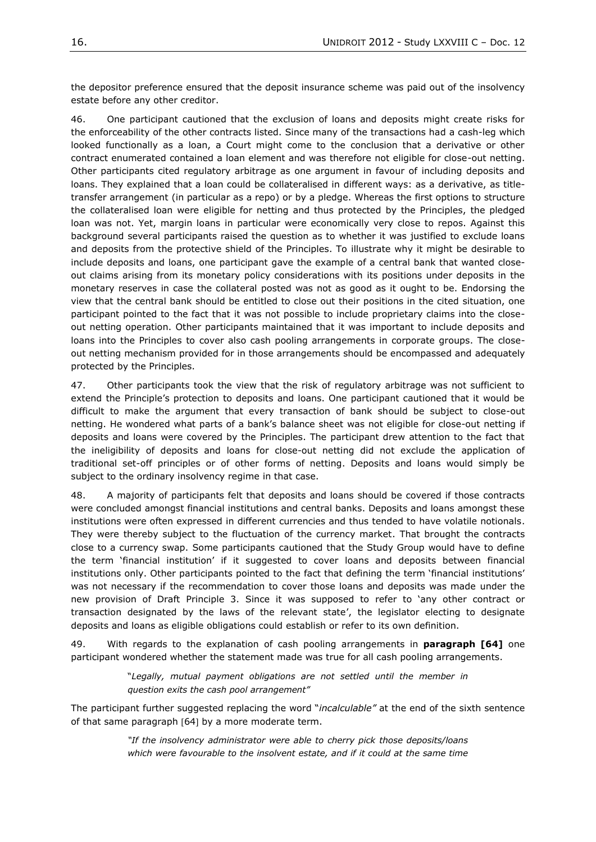the depositor preference ensured that the deposit insurance scheme was paid out of the insolvency estate before any other creditor.

46. One participant cautioned that the exclusion of loans and deposits might create risks for the enforceability of the other contracts listed. Since many of the transactions had a cash-leg which looked functionally as a loan, a Court might come to the conclusion that a derivative or other contract enumerated contained a loan element and was therefore not eligible for close-out netting. Other participants cited regulatory arbitrage as one argument in favour of including deposits and loans. They explained that a loan could be collateralised in different ways: as a derivative, as titletransfer arrangement (in particular as a repo) or by a pledge. Whereas the first options to structure the collateralised loan were eligible for netting and thus protected by the Principles, the pledged loan was not. Yet, margin loans in particular were economically very close to repos. Against this background several participants raised the question as to whether it was justified to exclude loans and deposits from the protective shield of the Principles. To illustrate why it might be desirable to include deposits and loans, one participant gave the example of a central bank that wanted closeout claims arising from its monetary policy considerations with its positions under deposits in the monetary reserves in case the collateral posted was not as good as it ought to be. Endorsing the view that the central bank should be entitled to close out their positions in the cited situation, one participant pointed to the fact that it was not possible to include proprietary claims into the closeout netting operation. Other participants maintained that it was important to include deposits and loans into the Principles to cover also cash pooling arrangements in corporate groups. The closeout netting mechanism provided for in those arrangements should be encompassed and adequately protected by the Principles.

47. Other participants took the view that the risk of regulatory arbitrage was not sufficient to extend the Principle's protection to deposits and loans. One participant cautioned that it would be difficult to make the argument that every transaction of bank should be subject to close-out netting. He wondered what parts of a bank's balance sheet was not eligible for close-out netting if deposits and loans were covered by the Principles. The participant drew attention to the fact that the ineligibility of deposits and loans for close-out netting did not exclude the application of traditional set-off principles or of other forms of netting. Deposits and loans would simply be subject to the ordinary insolvency regime in that case.

48. A majority of participants felt that deposits and loans should be covered if those contracts were concluded amongst financial institutions and central banks. Deposits and loans amongst these institutions were often expressed in different currencies and thus tended to have volatile notionals. They were thereby subject to the fluctuation of the currency market. That brought the contracts close to a currency swap. Some participants cautioned that the Study Group would have to define the term 'financial institution' if it suggested to cover loans and deposits between financial institutions only. Other participants pointed to the fact that defining the term 'financial institutions' was not necessary if the recommendation to cover those loans and deposits was made under the new provision of Draft Principle 3. Since it was supposed to refer to 'any other contract or transaction designated by the laws of the relevant state', the legislator electing to designate deposits and loans as eligible obligations could establish or refer to its own definition.

49. With regards to the explanation of cash pooling arrangements in **paragraph [64]** one participant wondered whether the statement made was true for all cash pooling arrangements.

> "*Legally, mutual payment obligations are not settled until the member in question exits the cash pool arrangement"*

The participant further suggested replacing the word "*incalculable"* at the end of the sixth sentence of that same paragraph [64] by a more moderate term.

> *"If the insolvency administrator were able to cherry pick those deposits/loans which were favourable to the insolvent estate, and if it could at the same time*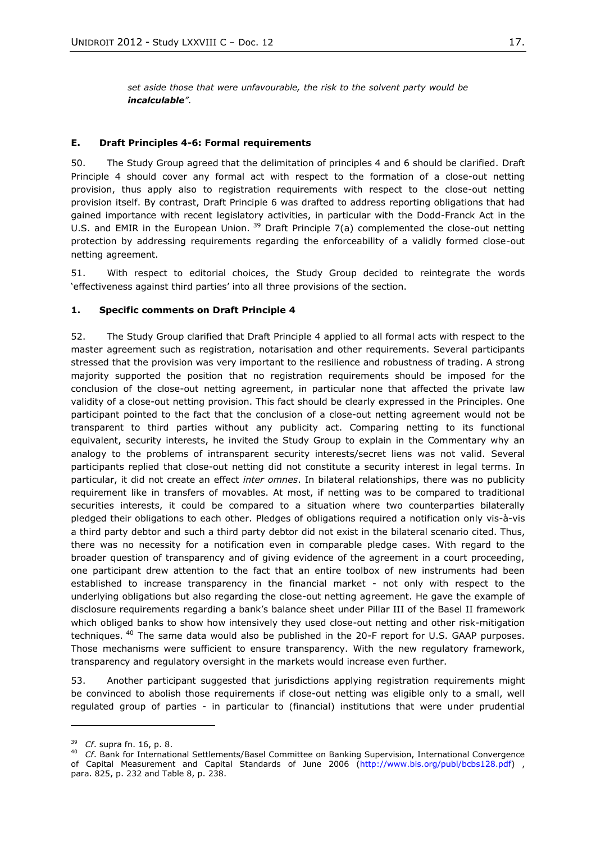*set aside those that were unfavourable, the risk to the solvent party would be incalculable".*

#### <span id="page-16-0"></span>**E. Draft Principles 4-6: Formal requirements**

50. The Study Group agreed that the delimitation of principles 4 and 6 should be clarified. Draft Principle 4 should cover any formal act with respect to the formation of a close-out netting provision, thus apply also to registration requirements with respect to the close-out netting provision itself. By contrast, Draft Principle 6 was drafted to address reporting obligations that had gained importance with recent legislatory activities, in particular with the Dodd-Franck Act in the U.S. and EMIR in the European Union.  $39$  Draft Principle 7(a) complemented the close-out netting protection by addressing requirements regarding the enforceability of a validly formed close-out netting agreement.

51. With respect to editorial choices, the Study Group decided to reintegrate the words 'effectiveness against third parties' into all three provisions of the section.

#### **1. Specific comments on Draft Principle 4**

52. The Study Group clarified that Draft Principle 4 applied to all formal acts with respect to the master agreement such as registration, notarisation and other requirements. Several participants stressed that the provision was very important to the resilience and robustness of trading. A strong majority supported the position that no registration requirements should be imposed for the conclusion of the close-out netting agreement, in particular none that affected the private law validity of a close-out netting provision. This fact should be clearly expressed in the Principles. One participant pointed to the fact that the conclusion of a close-out netting agreement would not be transparent to third parties without any publicity act. Comparing netting to its functional equivalent, security interests, he invited the Study Group to explain in the Commentary why an analogy to the problems of intransparent security interests/secret liens was not valid. Several participants replied that close-out netting did not constitute a security interest in legal terms. In particular, it did not create an effect *inter omnes*. In bilateral relationships, there was no publicity requirement like in transfers of movables. At most, if netting was to be compared to traditional securities interests, it could be compared to a situation where two counterparties bilaterally pledged their obligations to each other. Pledges of obligations required a notification only vis-à-vis a third party debtor and such a third party debtor did not exist in the bilateral scenario cited. Thus, there was no necessity for a notification even in comparable pledge cases. With regard to the broader question of transparency and of giving evidence of the agreement in a court proceeding, one participant drew attention to the fact that an entire toolbox of new instruments had been established to increase transparency in the financial market - not only with respect to the underlying obligations but also regarding the close-out netting agreement. He gave the example of disclosure requirements regarding a bank's balance sheet under Pillar III of the Basel II framework which obliged banks to show how intensively they used close-out netting and other risk-mitigation techniques. <sup>40</sup> The same data would also be published in the 20-F report for U.S. GAAP purposes. Those mechanisms were sufficient to ensure transparency. With the new regulatory framework, transparency and regulatory oversight in the markets would increase even further.

53. Another participant suggested that jurisdictions applying registration requirements might be convinced to abolish those requirements if close-out netting was eligible only to a small, well regulated group of parties - in particular to (financial) institutions that were under prudential

<sup>39</sup> *Cf*. supra fn. 16, p. 8.

<sup>40</sup> *Cf*. Bank for International Settlements/Basel Committee on Banking Supervision, International Convergence of Capital Measurement and Capital Standards of June 2006 [\(http://www.bis.org/publ/bcbs128.pdf\)](http://www.bis.org/publ/bcbs128.pdf) , para. 825, p. 232 and Table 8, p. 238.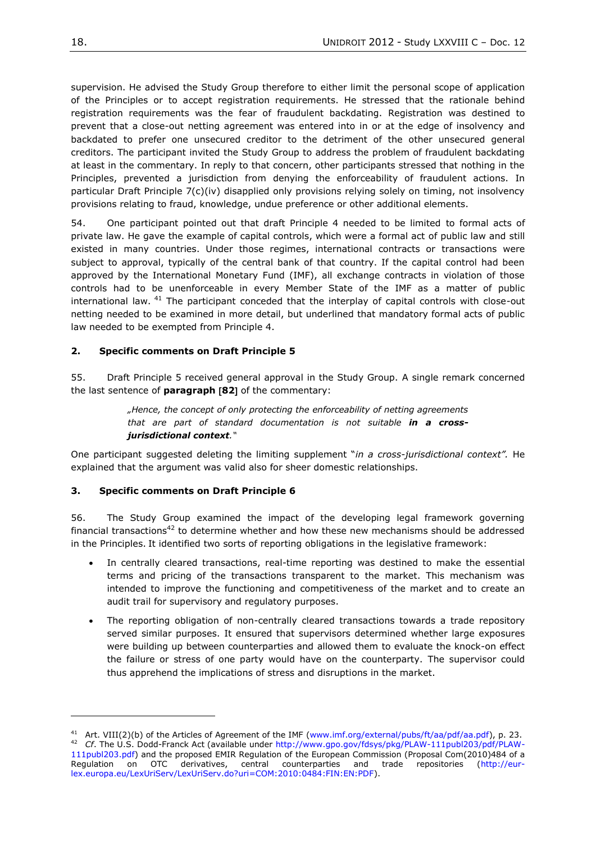supervision. He advised the Study Group therefore to either limit the personal scope of application of the Principles or to accept registration requirements. He stressed that the rationale behind registration requirements was the fear of fraudulent backdating. Registration was destined to prevent that a close-out netting agreement was entered into in or at the edge of insolvency and backdated to prefer one unsecured creditor to the detriment of the other unsecured general creditors. The participant invited the Study Group to address the problem of fraudulent backdating at least in the commentary. In reply to that concern, other participants stressed that nothing in the Principles, prevented a jurisdiction from denying the enforceability of fraudulent actions. In particular Draft Principle 7(c)(iv) disapplied only provisions relying solely on timing, not insolvency provisions relating to fraud, knowledge, undue preference or other additional elements.

54. One participant pointed out that draft Principle 4 needed to be limited to formal acts of private law. He gave the example of capital controls, which were a formal act of public law and still existed in many countries. Under those regimes, international contracts or transactions were subject to approval, typically of the central bank of that country. If the capital control had been approved by the International Monetary Fund (IMF), all exchange contracts in violation of those controls had to be unenforceable in every Member State of the IMF as a matter of public international law. <sup>41</sup> The participant conceded that the interplay of capital controls with close-out netting needed to be examined in more detail, but underlined that mandatory formal acts of public law needed to be exempted from Principle 4.

## **2. Specific comments on Draft Principle 5**

55. Draft Principle 5 received general approval in the Study Group. A single remark concerned the last sentence of **paragraph 82** of the commentary:

> *"Hence, the concept of only protecting the enforceability of netting agreements that are part of standard documentation is not suitable in a crossjurisdictional context."*

One participant suggested deleting the limiting supplement "*in a cross-jurisdictional context".* He explained that the argument was valid also for sheer domestic relationships.

## **3. Specific comments on Draft Principle 6**

56. The Study Group examined the impact of the developing legal framework governing financial transactions<sup>42</sup> to determine whether and how these new mechanisms should be addressed in the Principles. It identified two sorts of reporting obligations in the legislative framework:

- In centrally cleared transactions, real-time reporting was destined to make the essential terms and pricing of the transactions transparent to the market. This mechanism was intended to improve the functioning and competitiveness of the market and to create an audit trail for supervisory and regulatory purposes.
- The reporting obligation of non-centrally cleared transactions towards a trade repository served similar purposes. It ensured that supervisors determined whether large exposures were building up between counterparties and allowed them to evaluate the knock-on effect the failure or stress of one party would have on the counterparty. The supervisor could thus apprehend the implications of stress and disruptions in the market.

<sup>&</sup>lt;sup>41</sup> Art. VIII(2)(b) of the Articles of Agreement of the IMF [\(www.imf.org/external/pubs/ft/aa/pdf/aa.pdf\)](http://www.imf.org/external/pubs/ft/aa/pdf/aa.pdf), p. 23. <sup>42</sup> *Cf*. The U.S. Dodd-Franck Act (available under [http://www.gpo.gov/fdsys/pkg/PLAW-111publ203/pdf/PLAW-](http://www.gpo.gov/fdsys/pkg/PLAW-111publ203/pdf/PLAW-111publ203.pdf)[111publ203.pdf\)](http://www.gpo.gov/fdsys/pkg/PLAW-111publ203/pdf/PLAW-111publ203.pdf) and the proposed EMIR Regulation of the European Commission (Proposal Com(2010)484 of a Regulation on OTC derivatives, central counterparties and trade repositories [\(http://eur](http://eur-lex.europa.eu/LexUriServ/LexUriServ.do?uri=COM:2010:0484:FIN:EN:PDF)[lex.europa.eu/LexUriServ/LexUriServ.do?uri=COM:2010:0484:FIN:EN:PDF\)](http://eur-lex.europa.eu/LexUriServ/LexUriServ.do?uri=COM:2010:0484:FIN:EN:PDF).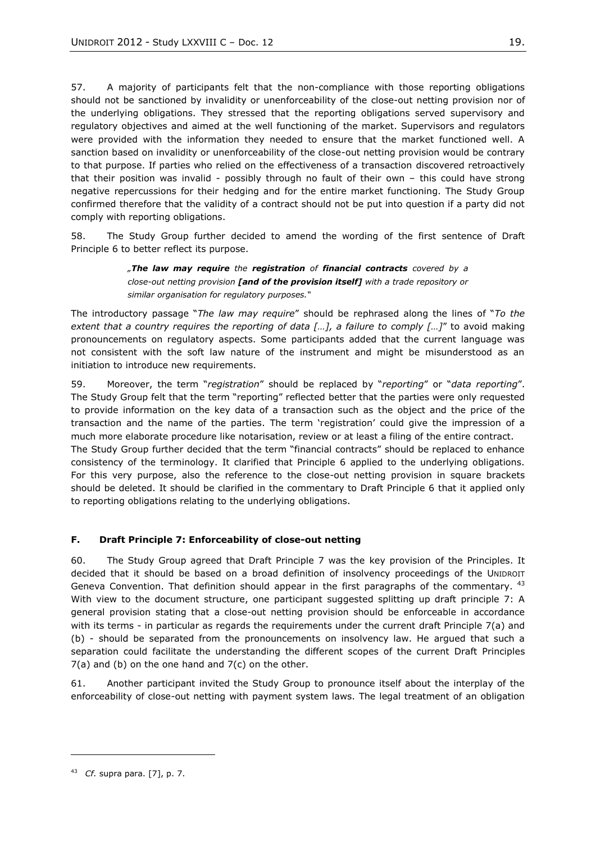57. A majority of participants felt that the non-compliance with those reporting obligations should not be sanctioned by invalidity or unenforceability of the close-out netting provision nor of the underlying obligations. They stressed that the reporting obligations served supervisory and regulatory objectives and aimed at the well functioning of the market. Supervisors and regulators were provided with the information they needed to ensure that the market functioned well. A sanction based on invalidity or unenforceability of the close-out netting provision would be contrary to that purpose. If parties who relied on the effectiveness of a transaction discovered retroactively that their position was invalid - possibly through no fault of their own – this could have strong negative repercussions for their hedging and for the entire market functioning. The Study Group confirmed therefore that the validity of a contract should not be put into question if a party did not comply with reporting obligations.

58. The Study Group further decided to amend the wording of the first sentence of Draft Principle 6 to better reflect its purpose.

> *"The law may require the registration of financial contracts covered by a close-out netting provision [and of the provision itself] with a trade repository or similar organisation for regulatory purposes."*

The introductory passage "*The law may require*" should be rephrased along the lines of "*To the extent that a country requires the reporting of data […], a failure to comply […]*" to avoid making pronouncements on regulatory aspects. Some participants added that the current language was not consistent with the soft law nature of the instrument and might be misunderstood as an initiation to introduce new requirements.

59. Moreover, the term "*registration*" should be replaced by "*reporting*" or "*data reporting*". The Study Group felt that the term "reporting" reflected better that the parties were only requested to provide information on the key data of a transaction such as the object and the price of the transaction and the name of the parties. The term 'registration' could give the impression of a much more elaborate procedure like notarisation, review or at least a filing of the entire contract. The Study Group further decided that the term "financial contracts" should be replaced to enhance consistency of the terminology. It clarified that Principle 6 applied to the underlying obligations. For this very purpose, also the reference to the close-out netting provision in square brackets should be deleted. It should be clarified in the commentary to Draft Principle 6 that it applied only to reporting obligations relating to the underlying obligations.

## <span id="page-18-0"></span>**F. Draft Principle 7: Enforceability of close-out netting**

60. The Study Group agreed that Draft Principle 7 was the key provision of the Principles. It decided that it should be based on a broad definition of insolvency proceedings of the UNIDROIT Geneva Convention. That definition should appear in the first paragraphs of the commentary. <sup>43</sup> With view to the document structure, one participant suggested splitting up draft principle 7: A general provision stating that a close-out netting provision should be enforceable in accordance with its terms - in particular as regards the requirements under the current draft Principle 7(a) and (b) - should be separated from the pronouncements on insolvency law. He argued that such a separation could facilitate the understanding the different scopes of the current Draft Principles  $7(a)$  and (b) on the one hand and  $7(c)$  on the other.

61. Another participant invited the Study Group to pronounce itself about the interplay of the enforceability of close-out netting with payment system laws. The legal treatment of an obligation

<sup>43</sup> *Cf.* supra para. [7], p. 7.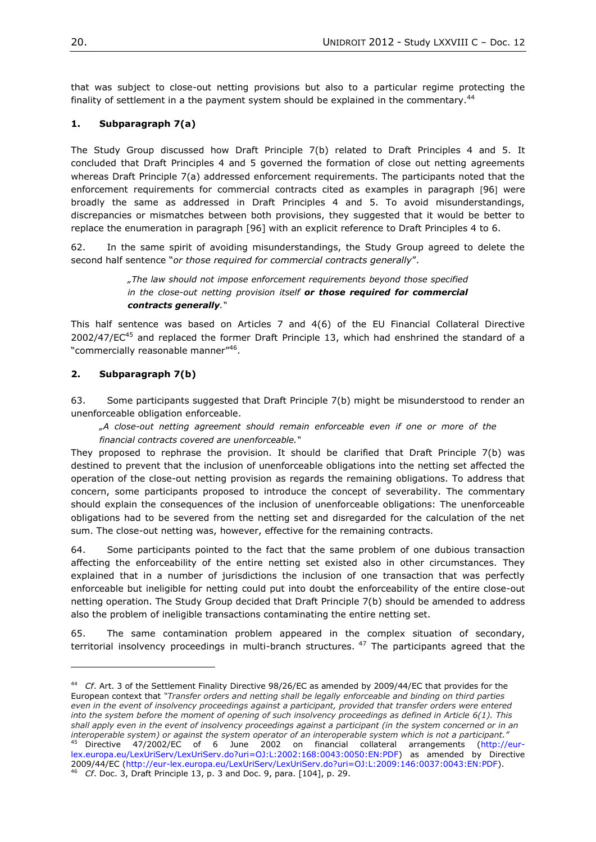that was subject to close-out netting provisions but also to a particular regime protecting the finality of settlement in a the payment system should be explained in the commentary.<sup>44</sup>

## **1. Subparagraph 7(a)**

The Study Group discussed how Draft Principle 7(b) related to Draft Principles 4 and 5. It concluded that Draft Principles 4 and 5 governed the formation of close out netting agreements whereas Draft Principle 7(a) addressed enforcement requirements. The participants noted that the enforcement requirements for commercial contracts cited as examples in paragraph [96] were broadly the same as addressed in Draft Principles 4 and 5. To avoid misunderstandings, discrepancies or mismatches between both provisions, they suggested that it would be better to replace the enumeration in paragraph [96] with an explicit reference to Draft Principles 4 to 6.

62. In the same spirit of avoiding misunderstandings, the Study Group agreed to delete the second half sentence "*or those required for commercial contracts generally*".

> *"The law should not impose enforcement requirements beyond those specified in the close-out netting provision itself or those required for commercial contracts generally."*

This half sentence was based on Articles 7 and 4(6) of the EU Financial Collateral Directive 2002/47/EC $45$  and replaced the former Draft Principle 13, which had enshrined the standard of a "commercially reasonable manner"<sup>46</sup>.

## **2. Subparagraph 7(b)**

 $\overline{a}$ 

63. Some participants suggested that Draft Principle 7(b) might be misunderstood to render an unenforceable obligation enforceable.

*"A close-out netting agreement should remain enforceable even if one or more of the financial contracts covered are unenforceable."*

They proposed to rephrase the provision. It should be clarified that Draft Principle 7(b) was destined to prevent that the inclusion of unenforceable obligations into the netting set affected the operation of the close-out netting provision as regards the remaining obligations. To address that concern, some participants proposed to introduce the concept of severability. The commentary should explain the consequences of the inclusion of unenforceable obligations: The unenforceable obligations had to be severed from the netting set and disregarded for the calculation of the net sum. The close-out netting was, however, effective for the remaining contracts.

64. Some participants pointed to the fact that the same problem of one dubious transaction affecting the enforceability of the entire netting set existed also in other circumstances. They explained that in a number of jurisdictions the inclusion of one transaction that was perfectly enforceable but ineligible for netting could put into doubt the enforceability of the entire close-out netting operation. The Study Group decided that Draft Principle 7(b) should be amended to address also the problem of ineligible transactions contaminating the entire netting set.

65. The same contamination problem appeared in the complex situation of secondary, territorial insolvency proceedings in multi-branch structures.  $47$  The participants agreed that the

<sup>44</sup> *Cf*. Art. 3 of the Settlement Finality Directive 98/26/EC as amended by 2009/44/EC that provides for the European context that *"Transfer orders and netting shall be legally enforceable and binding on third parties even in the event of insolvency proceedings against a participant, provided that transfer orders were entered into the system before the moment of opening of such insolvency proceedings as defined in Article 6(1). This shall apply even in the event of insolvency proceedings against a participant (in the system concerned or in an interoperable system) or against the system operator of an interoperable system which is not a participant."* <sup>45</sup> Directive 47/2002/EC of 6 June 2002 on financial collateral arrangements [\(http://eur](http://eur-lex.europa.eu/LexUriServ/LexUriServ.do?uri=OJ:L:2002:168:0043:0050:EN:PDF)[lex.europa.eu/LexUriServ/LexUriServ.do?uri=OJ:L:2002:168:0043:0050:EN:PDF\)](http://eur-lex.europa.eu/LexUriServ/LexUriServ.do?uri=OJ:L:2002:168:0043:0050:EN:PDF) as amended by Directive 2009/44/EC [\(http://eur-lex.europa.eu/LexUriServ/LexUriServ.do?uri=OJ:L:2009:146:0037:0043:EN:PDF\)](http://eur-lex.europa.eu/LexUriServ/LexUriServ.do?uri=OJ:L:2009:146:0037:0043:EN:PDF).  $6\,$  *Cf.* Doc. 3, Draft Principle 13, p. 3 and Doc. 9, para. [104], p. 29.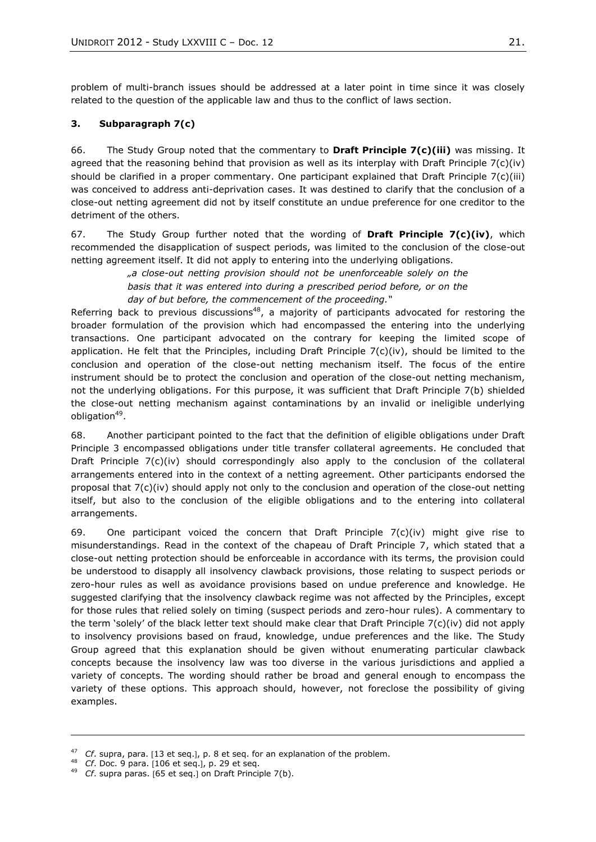problem of multi-branch issues should be addressed at a later point in time since it was closely related to the question of the applicable law and thus to the conflict of laws section.

#### **3. Subparagraph 7(c)**

66. The Study Group noted that the commentary to **Draft Principle 7(c)(iii)** was missing. It agreed that the reasoning behind that provision as well as its interplay with Draft Principle  $7(c)(iv)$ should be clarified in a proper commentary. One participant explained that Draft Principle 7(c)(iii) was conceived to address anti-deprivation cases. It was destined to clarify that the conclusion of a close-out netting agreement did not by itself constitute an undue preference for one creditor to the detriment of the others.

67. The Study Group further noted that the wording of **Draft Principle 7(c)(iv)**, which recommended the disapplication of suspect periods, was limited to the conclusion of the close-out netting agreement itself. It did not apply to entering into the underlying obligations.

> *"a close-out netting provision should not be unenforceable solely on the basis that it was entered into during a prescribed period before, or on the day of but before, the commencement of the proceeding."*

Referring back to previous discussions<sup>48</sup>, a majority of participants advocated for restoring the broader formulation of the provision which had encompassed the entering into the underlying transactions. One participant advocated on the contrary for keeping the limited scope of application. He felt that the Principles, including Draft Principle  $7(c)(iv)$ , should be limited to the conclusion and operation of the close-out netting mechanism itself. The focus of the entire instrument should be to protect the conclusion and operation of the close-out netting mechanism, not the underlying obligations. For this purpose, it was sufficient that Draft Principle 7(b) shielded the close-out netting mechanism against contaminations by an invalid or ineligible underlying obligation<sup>49</sup>.

68. Another participant pointed to the fact that the definition of eligible obligations under Draft Principle 3 encompassed obligations under title transfer collateral agreements. He concluded that Draft Principle 7(c)(iv) should correspondingly also apply to the conclusion of the collateral arrangements entered into in the context of a netting agreement. Other participants endorsed the proposal that 7(c)(iv) should apply not only to the conclusion and operation of the close-out netting itself, but also to the conclusion of the eligible obligations and to the entering into collateral arrangements.

69. One participant voiced the concern that Draft Principle  $7(c)(iv)$  might give rise to misunderstandings. Read in the context of the chapeau of Draft Principle 7, which stated that a close-out netting protection should be enforceable in accordance with its terms, the provision could be understood to disapply all insolvency clawback provisions, those relating to suspect periods or zero-hour rules as well as avoidance provisions based on undue preference and knowledge. He suggested clarifying that the insolvency clawback regime was not affected by the Principles, except for those rules that relied solely on timing (suspect periods and zero-hour rules). A commentary to the term 'solely' of the black letter text should make clear that Draft Principle 7(c)(iv) did not apply to insolvency provisions based on fraud, knowledge, undue preferences and the like. The Study Group agreed that this explanation should be given without enumerating particular clawback concepts because the insolvency law was too diverse in the various jurisdictions and applied a variety of concepts. The wording should rather be broad and general enough to encompass the variety of these options. This approach should, however, not foreclose the possibility of giving examples.

 $\overline{a}$ 

<sup>&</sup>lt;sup>47</sup> *Cf.* supra, para. [13 et seq.], p. 8 et seq. for an explanation of the problem.

*Cf.* Doc. 9 para. 106 et seq.1, p. 29 et seq.

<sup>&</sup>lt;sup>49</sup> *Cf.* supra paras. [65 et seq.] on Draft Principle 7(b).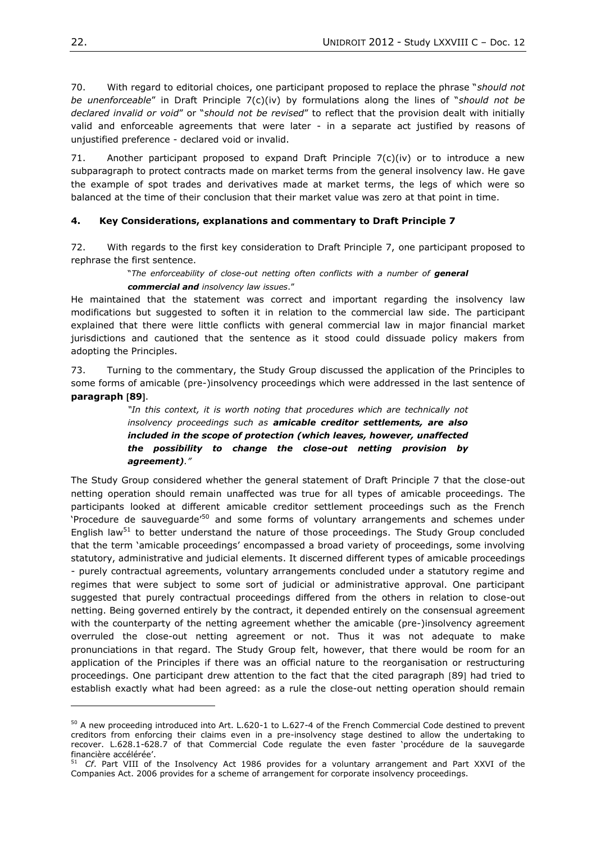70. With regard to editorial choices, one participant proposed to replace the phrase "*should not be unenforceable*" in Draft Principle 7(c)(iv) by formulations along the lines of "*should not be declared invalid or void*" or "*should not be revised*" to reflect that the provision dealt with initially valid and enforceable agreements that were later - in a separate act justified by reasons of unjustified preference - declared void or invalid.

71. Another participant proposed to expand Draft Principle  $7(c)(iv)$  or to introduce a new subparagraph to protect contracts made on market terms from the general insolvency law. He gave the example of spot trades and derivatives made at market terms, the legs of which were so balanced at the time of their conclusion that their market value was zero at that point in time.

## **4. Key Considerations, explanations and commentary to Draft Principle 7**

72. With regards to the first key consideration to Draft Principle 7, one participant proposed to rephrase the first sentence.

### "The enforceability of close-out netting often conflicts with a number of **general** *commercial and insolvency law issues*."

He maintained that the statement was correct and important regarding the insolvency law modifications but suggested to soften it in relation to the commercial law side. The participant explained that there were little conflicts with general commercial law in major financial market jurisdictions and cautioned that the sentence as it stood could dissuade policy makers from adopting the Principles.

73. Turning to the commentary, the Study Group discussed the application of the Principles to some forms of amicable (pre-)insolvency proceedings which were addressed in the last sentence of **paragraph 89**.

> *"In this context, it is worth noting that procedures which are technically not insolvency proceedings such as amicable creditor settlements, are also included in the scope of protection (which leaves, however, unaffected the possibility to change the close-out netting provision by agreement)."*

The Study Group considered whether the general statement of Draft Principle 7 that the close-out netting operation should remain unaffected was true for all types of amicable proceedings. The participants looked at different amicable creditor settlement proceedings such as the French 'Procedure de sauveguarde<sup>'50</sup> and some forms of voluntary arrangements and schemes under English law<sup>51</sup> to better understand the nature of those proceedings. The Study Group concluded that the term 'amicable proceedings' encompassed a broad variety of proceedings, some involving statutory, administrative and judicial elements. It discerned different types of amicable proceedings - purely contractual agreements, voluntary arrangements concluded under a statutory regime and regimes that were subject to some sort of judicial or administrative approval. One participant suggested that purely contractual proceedings differed from the others in relation to close-out netting. Being governed entirely by the contract, it depended entirely on the consensual agreement with the counterparty of the netting agreement whether the amicable (pre-)insolvency agreement overruled the close-out netting agreement or not. Thus it was not adequate to make pronunciations in that regard. The Study Group felt, however, that there would be room for an application of the Principles if there was an official nature to the reorganisation or restructuring proceedings. One participant drew attention to the fact that the cited paragraph [89] had tried to establish exactly what had been agreed: as a rule the close-out netting operation should remain

<sup>&</sup>lt;sup>50</sup> A new proceeding introduced into Art. L.620-1 to L.627-4 of the French Commercial Code destined to prevent creditors from enforcing their claims even in a pre-insolvency stage destined to allow the undertaking to recover. L.628.1-628.7 of that Commercial Code regulate the even faster 'procédure de la sauvegarde financière accélérée'.

<sup>51</sup> *Cf*. Part VIII of the Insolvency Act 1986 provides for a voluntary arrangement and Part XXVI of the Companies Act. 2006 provides for a scheme of arrangement for corporate insolvency proceedings.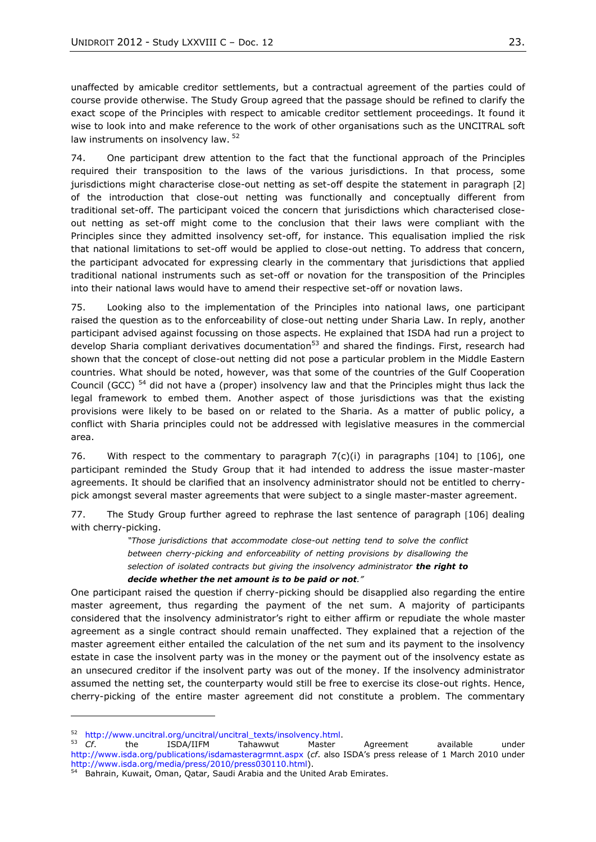unaffected by amicable creditor settlements, but a contractual agreement of the parties could of course provide otherwise. The Study Group agreed that the passage should be refined to clarify the exact scope of the Principles with respect to amicable creditor settlement proceedings. It found it wise to look into and make reference to the work of other organisations such as the UNCITRAL soft law instruments on insolvency law. <sup>52</sup>

74. One participant drew attention to the fact that the functional approach of the Principles required their transposition to the laws of the various jurisdictions. In that process, some jurisdictions might characterise close-out netting as set-off despite the statement in paragraph [2] of the introduction that close-out netting was functionally and conceptually different from traditional set-off. The participant voiced the concern that jurisdictions which characterised closeout netting as set-off might come to the conclusion that their laws were compliant with the Principles since they admitted insolvency set-off, for instance. This equalisation implied the risk that national limitations to set-off would be applied to close-out netting. To address that concern, the participant advocated for expressing clearly in the commentary that jurisdictions that applied traditional national instruments such as set-off or novation for the transposition of the Principles into their national laws would have to amend their respective set-off or novation laws.

75. Looking also to the implementation of the Principles into national laws, one participant raised the question as to the enforceability of close-out netting under Sharia Law. In reply, another participant advised against focussing on those aspects. He explained that ISDA had run a project to develop Sharia compliant derivatives documentation<sup>53</sup> and shared the findings. First, research had shown that the concept of close-out netting did not pose a particular problem in the Middle Eastern countries. What should be noted, however, was that some of the countries of the Gulf Cooperation Council (GCC)  $<sup>54</sup>$  did not have a (proper) insolvency law and that the Principles might thus lack the</sup> legal framework to embed them. Another aspect of those jurisdictions was that the existing provisions were likely to be based on or related to the Sharia. As a matter of public policy, a conflict with Sharia principles could not be addressed with legislative measures in the commercial area.

76. With respect to the commentary to paragraph  $7(c)(i)$  in paragraphs  $[104]$  to  $[106]$ , one participant reminded the Study Group that it had intended to address the issue master-master agreements. It should be clarified that an insolvency administrator should not be entitled to cherrypick amongst several master agreements that were subject to a single master-master agreement.

77. The Study Group further agreed to rephrase the last sentence of paragraph [106] dealing with cherry-picking.

> *"Those jurisdictions that accommodate close-out netting tend to solve the conflict between cherry-picking and enforceability of netting provisions by disallowing the selection of isolated contracts but giving the insolvency administrator the right to*

## *decide whether the net amount is to be paid or not."*

One participant raised the question if cherry-picking should be disapplied also regarding the entire master agreement, thus regarding the payment of the net sum. A majority of participants considered that the insolvency administrator's right to either affirm or repudiate the whole master agreement as a single contract should remain unaffected. They explained that a rejection of the master agreement either entailed the calculation of the net sum and its payment to the insolvency estate in case the insolvent party was in the money or the payment out of the insolvency estate as an unsecured creditor if the insolvent party was out of the money. If the insolvency administrator assumed the netting set, the counterparty would still be free to exercise its close-out rights. Hence, cherry-picking of the entire master agreement did not constitute a problem. The commentary

 $52 \text{ http://www.uncitral.org/uncitral/uncitral_texts/insolvency.html.}$  $52 \text{ http://www.uncitral.org/uncitral/uncitral_texts/insolvency.html.}$  $52 \text{ http://www.uncitral.org/uncitral/uncitral_texts/insolvency.html.}$   $53 \text{ Cf}$  the ISDA/IIFM Tahawwut Master

<sup>53</sup> *Cf*. the ISDA/IIFM Tahawwut Master Agreement available under <http://www.isda.org/publications/isdamasteragrmnt.aspx> (*cf*. also ISDA's press release of 1 March 2010 under [http://www.isda.org/media/press/2010/press030110.html\)](http://www.isda.org/media/press/2010/press030110.html).

<sup>54</sup> Bahrain, Kuwait, Oman, Qatar, Saudi Arabia and the United Arab Emirates.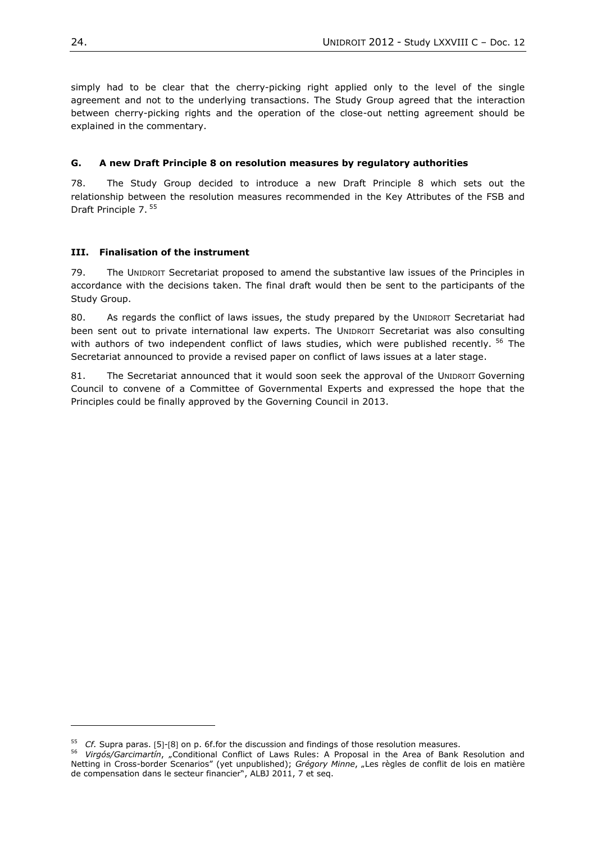simply had to be clear that the cherry-picking right applied only to the level of the single agreement and not to the underlying transactions. The Study Group agreed that the interaction between cherry-picking rights and the operation of the close-out netting agreement should be explained in the commentary.

## <span id="page-23-0"></span>**G. A new Draft Principle 8 on resolution measures by regulatory authorities**

78. The Study Group decided to introduce a new Draft Principle 8 which sets out the relationship between the resolution measures recommended in the Key Attributes of the FSB and Draft Principle 7. <sup>55</sup>

## <span id="page-23-1"></span>**III. Finalisation of the instrument**

79. The UNIDROIT Secretariat proposed to amend the substantive law issues of the Principles in accordance with the decisions taken. The final draft would then be sent to the participants of the Study Group.

80. As regards the conflict of laws issues, the study prepared by the UNIDROIT Secretariat had been sent out to private international law experts. The UNIDROIT Secretariat was also consulting with authors of two independent conflict of laws studies, which were published recently. <sup>56</sup> The Secretariat announced to provide a revised paper on conflict of laws issues at a later stage.

81. The Secretariat announced that it would soon seek the approval of the UNIDROIT Governing Council to convene of a Committee of Governmental Experts and expressed the hope that the Principles could be finally approved by the Governing Council in 2013.

<sup>&</sup>lt;sup>55</sup> *Cf.* Supra paras. [5]-[8] on p. 6f.for the discussion and findings of those resolution measures.

<sup>&</sup>lt;sup>56</sup> Virgós/Garcimartín, "Conditional Conflict of Laws Rules: A Proposal in the Area of Bank Resolution and Netting in Cross-border Scenarios" (yet unpublished); *Grégory Minne*, "Les règles de conflit de lois en matière de compensation dans le secteur financier", ALBJ 2011, 7 et seq.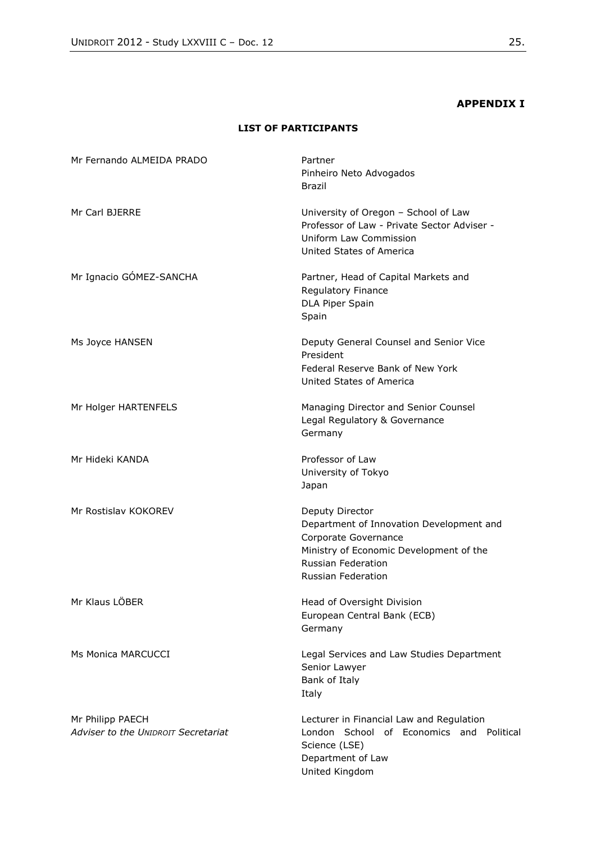# **APPENDIX I**

# **LIST OF PARTICIPANTS**

<span id="page-24-0"></span>

| Mr Fernando ALMEIDA PRADO                               | Partner<br>Pinheiro Neto Advogados<br>Brazil                                                                                                                                      |
|---------------------------------------------------------|-----------------------------------------------------------------------------------------------------------------------------------------------------------------------------------|
| Mr Carl BJERRE                                          | University of Oregon - School of Law<br>Professor of Law - Private Sector Adviser -<br>Uniform Law Commission<br>United States of America                                         |
| Mr Ignacio GÓMEZ-SANCHA                                 | Partner, Head of Capital Markets and<br>Regulatory Finance<br>DLA Piper Spain<br>Spain                                                                                            |
| Ms Joyce HANSEN                                         | Deputy General Counsel and Senior Vice<br>President<br>Federal Reserve Bank of New York<br>United States of America                                                               |
| Mr Holger HARTENFELS                                    | Managing Director and Senior Counsel<br>Legal Regulatory & Governance<br>Germany                                                                                                  |
| Mr Hideki KANDA                                         | Professor of Law<br>University of Tokyo<br>Japan                                                                                                                                  |
| Mr Rostislav KOKOREV                                    | Deputy Director<br>Department of Innovation Development and<br>Corporate Governance<br>Ministry of Economic Development of the<br>Russian Federation<br><b>Russian Federation</b> |
| Mr Klaus LÖBER                                          | Head of Oversight Division<br>European Central Bank (ECB)<br>Germany                                                                                                              |
| Ms Monica MARCUCCI                                      | Legal Services and Law Studies Department<br>Senior Lawyer<br>Bank of Italy<br>Italy                                                                                              |
| Mr Philipp PAECH<br>Adviser to the UNIDROIT Secretariat | Lecturer in Financial Law and Regulation<br>London School of Economics and Political<br>Science (LSE)<br>Department of Law<br>United Kingdom                                      |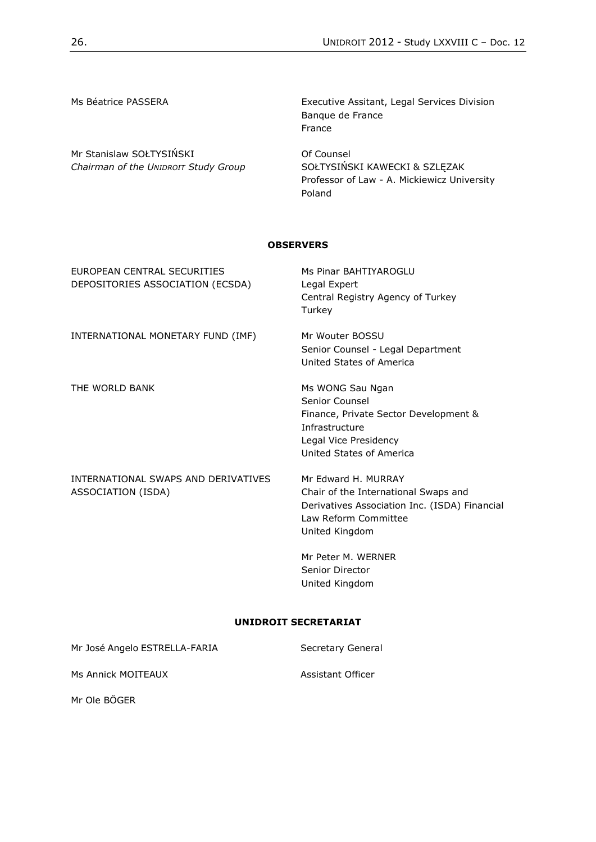Mr Stanislaw SOŁTYSIŃSKI *Chairman of the UNIDROIT Study Group*

Ms Béatrice PASSERA **Executive Assitant, Legal Services Division** Banque de France France

> Of Counsel SOŁTYSIŃSKI KAWECKI & SZLĘZAK Professor of Law - A. Mickiewicz University Poland

#### **OBSERVERS**

| FUROPEAN CENTRAL SECURITIES<br>DEPOSITORIES ASSOCIATION (ECSDA) | Ms Pinar BAHTIYAROGI U<br>Legal Expert<br>Central Registry Agency of Turkey<br>Turkey                                                                  |
|-----------------------------------------------------------------|--------------------------------------------------------------------------------------------------------------------------------------------------------|
| INTERNATIONAL MONETARY FUND (IMF)                               | Mr Wouter BOSSU<br>Senior Counsel - Legal Department<br>United States of America                                                                       |
| THE WORLD BANK                                                  | Ms WONG Sau Ngan<br>Senior Counsel<br>Finance, Private Sector Development &<br>Infrastructure<br>Legal Vice Presidency<br>United States of America     |
| INTERNATIONAL SWAPS AND DERIVATIVES<br>ASSOCIATION (ISDA)       | Mr Fdward H. MURRAY<br>Chair of the International Swaps and<br>Derivatives Association Inc. (ISDA) Financial<br>Law Reform Committee<br>United Kingdom |
|                                                                 | Mr Peter M. WERNER<br>Senior Director                                                                                                                  |

**UNIDROIT SECRETARIAT**

United Kingdom

| Mr José Angelo ESTRELLA-FARIA | Secretary General |
|-------------------------------|-------------------|
| Ms Annick MOITEAUX            | Assistant Officer |
| Mr Ole BÖGER                  |                   |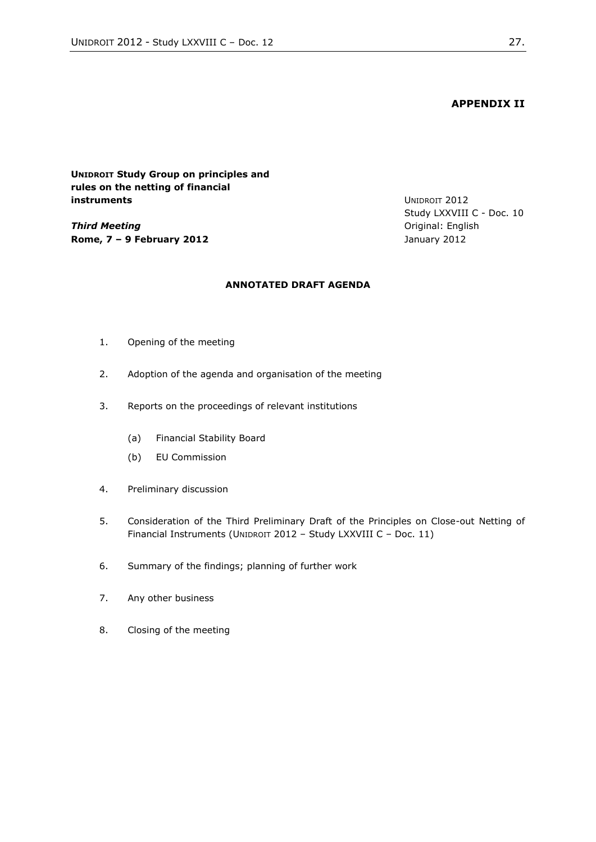**APPENDIX II**

<span id="page-26-0"></span>**UNIDROIT Study Group on principles and rules on the netting of financial instruments**

*Third Meeting* **Rome, 7 – 9 February 2012** UNIDROIT 2012 Study LXXVIII C - Doc. 10 Original: English January 2012

### **ANNOTATED DRAFT AGENDA**

- 1. Opening of the meeting
- 2. Adoption of the agenda and organisation of the meeting
- 3. Reports on the proceedings of relevant institutions
	- (a) Financial Stability Board
	- (b) EU Commission
- 4. Preliminary discussion
- 5. Consideration of the Third Preliminary Draft of the Principles on Close-out Netting of Financial Instruments (UNIDROIT 2012 - Study LXXVIII C - Doc. 11)
- 6. Summary of the findings; planning of further work
- 7. Any other business
- 8. Closing of the meeting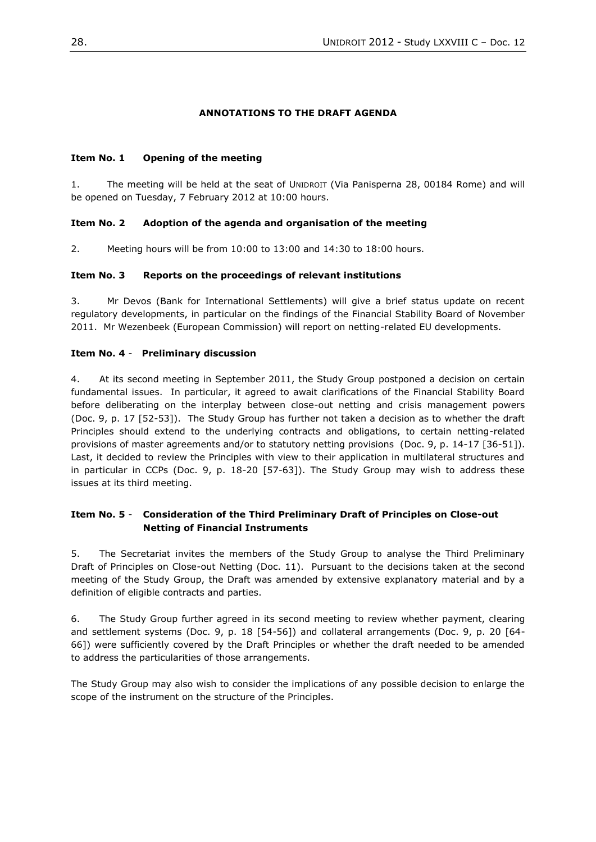## **ANNOTATIONS TO THE DRAFT AGENDA**

## **Item No. 1 Opening of the meeting**

1. The meeting will be held at the seat of UNIDROIT (Via Panisperna 28, 00184 Rome) and will be opened on Tuesday, 7 February 2012 at 10:00 hours.

## **Item No. 2 Adoption of the agenda and organisation of the meeting**

2. Meeting hours will be from 10:00 to 13:00 and 14:30 to 18:00 hours.

## **Item No. 3 Reports on the proceedings of relevant institutions**

3. Mr Devos (Bank for International Settlements) will give a brief status update on recent regulatory developments, in particular on the findings of the Financial Stability Board of November 2011. Mr Wezenbeek (European Commission) will report on netting-related EU developments.

## **Item No. 4** - **Preliminary discussion**

4. At its second meeting in September 2011, the Study Group postponed a decision on certain fundamental issues. In particular, it agreed to await clarifications of the Financial Stability Board before deliberating on the interplay between close-out netting and crisis management powers (Doc. 9, p. 17 [52-53]). The Study Group has further not taken a decision as to whether the draft Principles should extend to the underlying contracts and obligations, to certain netting-related provisions of master agreements and/or to statutory netting provisions (Doc. 9, p. 14-17 [36-51]). Last, it decided to review the Principles with view to their application in multilateral structures and in particular in CCPs (Doc. 9, p. 18-20 [57-63]). The Study Group may wish to address these issues at its third meeting.

## **Item No. 5** - **Consideration of the Third Preliminary Draft of Principles on Close-out Netting of Financial Instruments**

5. The Secretariat invites the members of the Study Group to analyse the Third Preliminary Draft of Principles on Close-out Netting (Doc. 11). Pursuant to the decisions taken at the second meeting of the Study Group, the Draft was amended by extensive explanatory material and by a definition of eligible contracts and parties.

6. The Study Group further agreed in its second meeting to review whether payment, clearing and settlement systems (Doc. 9, p. 18 [54-56]) and collateral arrangements (Doc. 9, p. 20 [64- 66]) were sufficiently covered by the Draft Principles or whether the draft needed to be amended to address the particularities of those arrangements.

The Study Group may also wish to consider the implications of any possible decision to enlarge the scope of the instrument on the structure of the Principles.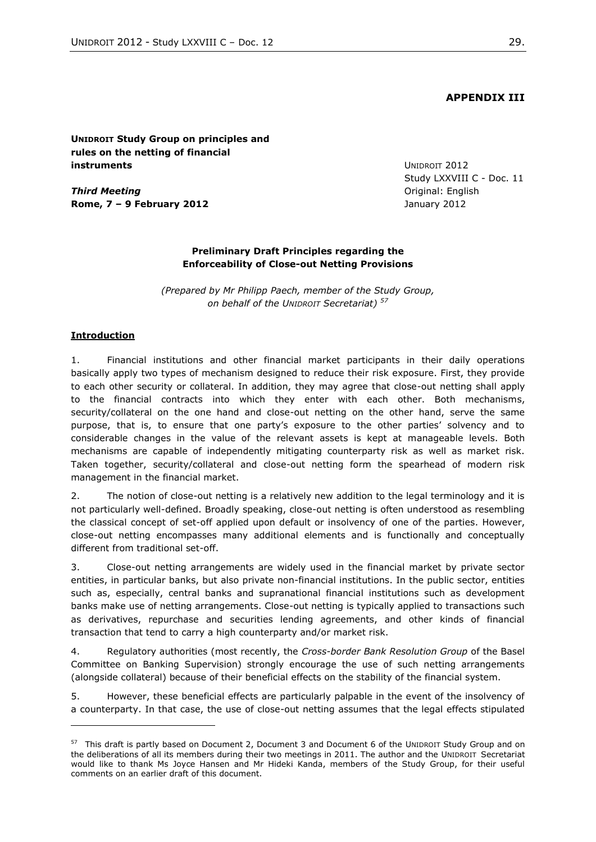## **APPENDIX III**

### <span id="page-28-0"></span>**UNIDROIT Study Group on principles and rules on the netting of financial instruments**

*Third Meeting* **Rome, 7 – 9 February 2012** UNIDROIT 2012 Study LXXVIII C - Doc. 11 Original: English January 2012

#### **Preliminary Draft Principles regarding the Enforceability of Close-out Netting Provisions**

*(Prepared by Mr Philipp Paech, member of the Study Group, on behalf of the UNIDROIT Secretariat) <sup>57</sup>*

#### **Introduction**

l

1. Financial institutions and other financial market participants in their daily operations basically apply two types of mechanism designed to reduce their risk exposure. First, they provide to each other security or collateral. In addition, they may agree that close-out netting shall apply to the financial contracts into which they enter with each other. Both mechanisms, security/collateral on the one hand and close-out netting on the other hand, serve the same purpose, that is, to ensure that one party's exposure to the other parties' solvency and to considerable changes in the value of the relevant assets is kept at manageable levels. Both mechanisms are capable of independently mitigating counterparty risk as well as market risk. Taken together, security/collateral and close-out netting form the spearhead of modern risk management in the financial market.

2. The notion of close-out netting is a relatively new addition to the legal terminology and it is not particularly well-defined. Broadly speaking, close-out netting is often understood as resembling the classical concept of set-off applied upon default or insolvency of one of the parties. However, close-out netting encompasses many additional elements and is functionally and conceptually different from traditional set-off.

3. Close-out netting arrangements are widely used in the financial market by private sector entities, in particular banks, but also private non-financial institutions. In the public sector, entities such as, especially, central banks and supranational financial institutions such as development banks make use of netting arrangements. Close-out netting is typically applied to transactions such as derivatives, repurchase and securities lending agreements, and other kinds of financial transaction that tend to carry a high counterparty and/or market risk.

4. Regulatory authorities (most recently, the *Cross-border Bank Resolution Group* of the Basel Committee on Banking Supervision) strongly encourage the use of such netting arrangements (alongside collateral) because of their beneficial effects on the stability of the financial system.

5. However, these beneficial effects are particularly palpable in the event of the insolvency of a counterparty. In that case, the use of close-out netting assumes that the legal effects stipulated

<sup>&</sup>lt;sup>57</sup> This draft is partly based on Document 2, Document 3 and Document 6 of the UNIDROIT Study Group and on the deliberations of all its members during their two meetings in 2011. The author and the UNIDROIT Secretariat would like to thank Ms Joyce Hansen and Mr Hideki Kanda, members of the Study Group, for their useful comments on an earlier draft of this document.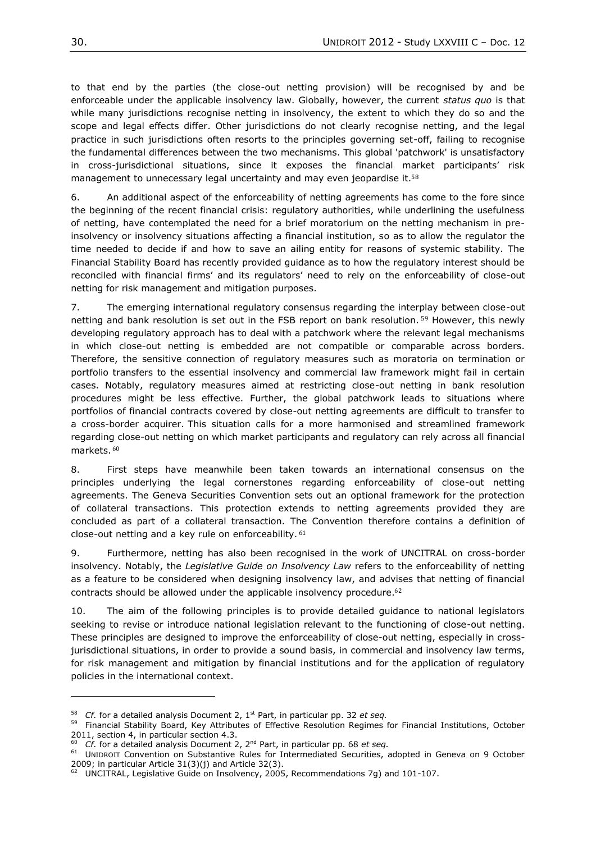to that end by the parties (the close-out netting provision) will be recognised by and be enforceable under the applicable insolvency law. Globally, however, the current *status quo* is that while many jurisdictions recognise netting in insolvency, the extent to which they do so and the scope and legal effects differ. Other jurisdictions do not clearly recognise netting, and the legal practice in such jurisdictions often resorts to the principles governing set-off, failing to recognise the fundamental differences between the two mechanisms. This global 'patchwork' is unsatisfactory in cross-jurisdictional situations, since it exposes the financial market participants' risk management to unnecessary legal uncertainty and may even jeopardise it.<sup>58</sup>

6. An additional aspect of the enforceability of netting agreements has come to the fore since the beginning of the recent financial crisis: regulatory authorities, while underlining the usefulness of netting, have contemplated the need for a brief moratorium on the netting mechanism in preinsolvency or insolvency situations affecting a financial institution, so as to allow the regulator the time needed to decide if and how to save an ailing entity for reasons of systemic stability. The Financial Stability Board has recently provided guidance as to how the regulatory interest should be reconciled with financial firms' and its regulators' need to rely on the enforceability of close-out netting for risk management and mitigation purposes.

7. The emerging international regulatory consensus regarding the interplay between close-out netting and bank resolution is set out in the FSB report on bank resolution. <sup>59</sup> However, this newly developing regulatory approach has to deal with a patchwork where the relevant legal mechanisms in which close-out netting is embedded are not compatible or comparable across borders. Therefore, the sensitive connection of regulatory measures such as moratoria on termination or portfolio transfers to the essential insolvency and commercial law framework might fail in certain cases. Notably, regulatory measures aimed at restricting close-out netting in bank resolution procedures might be less effective. Further, the global patchwork leads to situations where portfolios of financial contracts covered by close-out netting agreements are difficult to transfer to a cross-border acquirer. This situation calls for a more harmonised and streamlined framework regarding close-out netting on which market participants and regulatory can rely across all financial markets. <sup>60</sup>

8. First steps have meanwhile been taken towards an international consensus on the principles underlying the legal cornerstones regarding enforceability of close-out netting agreements. The Geneva Securities Convention sets out an optional framework for the protection of collateral transactions. This protection extends to netting agreements provided they are concluded as part of a collateral transaction. The Convention therefore contains a definition of close-out netting and a key rule on enforceability. <sup>61</sup>

9. Furthermore, netting has also been recognised in the work of UNCITRAL on cross-border insolvency. Notably, the *Legislative Guide on Insolvency Law* refers to the enforceability of netting as a feature to be considered when designing insolvency law, and advises that netting of financial contracts should be allowed under the applicable insolvency procedure.<sup>62</sup>

10. The aim of the following principles is to provide detailed guidance to national legislators seeking to revise or introduce national legislation relevant to the functioning of close-out netting. These principles are designed to improve the enforceability of close-out netting, especially in crossjurisdictional situations, in order to provide a sound basis, in commercial and insolvency law terms, for risk management and mitigation by financial institutions and for the application of regulatory policies in the international context.

<sup>58</sup> *Cf.* for a detailed analysis Document 2, 1st Part, in particular pp. 32 *et seq.*

<sup>59</sup> Financial Stability Board, Key Attributes of Effective Resolution Regimes for Financial Institutions, October 2011, section 4, in particular section 4.3.

<sup>60</sup> *Cf.* for a detailed analysis Document 2, 2nd Part, in particular pp. 68 *et seq.*

<sup>&</sup>lt;sup>61</sup> UNIDROIT Convention on Substantive Rules for Intermediated Securities, adopted in Geneva on 9 October 2009; in particular Article 31(3)(j) and Article 32(3).

<sup>62</sup> UNCITRAL, Legislative Guide on Insolvency, 2005, Recommendations 7g) and 101-107.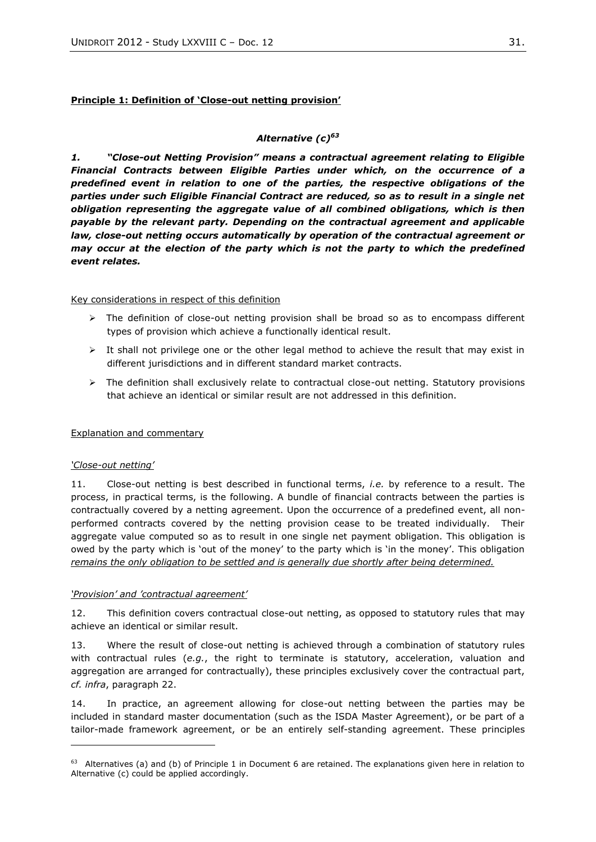## **Principle 1: Definition of 'Close-out netting provision'**

## *Alternative (c)<sup>63</sup>*

*1. "Close-out Netting Provision" means a contractual agreement relating to Eligible Financial Contracts between Eligible Parties under which, on the occurrence of a predefined event in relation to one of the parties, the respective obligations of the parties under such Eligible Financial Contract are reduced, so as to result in a single net obligation representing the aggregate value of all combined obligations, which is then payable by the relevant party. Depending on the contractual agreement and applicable law, close-out netting occurs automatically by operation of the contractual agreement or may occur at the election of the party which is not the party to which the predefined event relates.*

### Key considerations in respect of this definition

- $\triangleright$  The definition of close-out netting provision shall be broad so as to encompass different types of provision which achieve a functionally identical result.
- $\triangleright$  It shall not privilege one or the other legal method to achieve the result that may exist in different jurisdictions and in different standard market contracts.
- $\triangleright$  The definition shall exclusively relate to contractual close-out netting. Statutory provisions that achieve an identical or similar result are not addressed in this definition.

## Explanation and commentary

## *'Close-out netting'*

l

11. Close-out netting is best described in functional terms, *i.e.* by reference to a result. The process, in practical terms, is the following. A bundle of financial contracts between the parties is contractually covered by a netting agreement. Upon the occurrence of a predefined event, all nonperformed contracts covered by the netting provision cease to be treated individually. Their aggregate value computed so as to result in one single net payment obligation. This obligation is owed by the party which is 'out of the money' to the party which is 'in the money'. This obligation *remains the only obligation to be settled and is generally due shortly after being determined.*

## *'Provision' and 'contractual agreement'*

12. This definition covers contractual close-out netting, as opposed to statutory rules that may achieve an identical or similar result.

<span id="page-30-0"></span>13. Where the result of close-out netting is achieved through a combination of statutory rules with contractual rules (*e.g.*, the right to terminate is statutory, acceleration, valuation and aggregation are arranged for contractually), these principles exclusively cover the contractual part, *cf. infra*, paragraph [22.](#page-32-0)

14. In practice, an agreement allowing for close-out netting between the parties may be included in standard master documentation (such as the ISDA Master Agreement), or be part of a tailor-made framework agreement, or be an entirely self-standing agreement. These principles

 $63$  Alternatives (a) and (b) of Principle 1 in Document 6 are retained. The explanations given here in relation to Alternative (c) could be applied accordingly.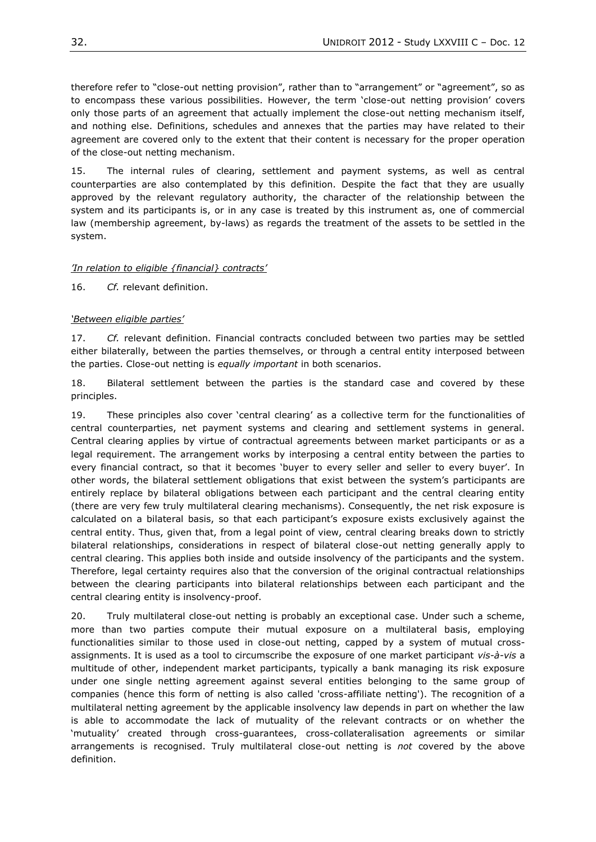therefore refer to "close-out netting provision", rather than to "arrangement" or "agreement", so as to encompass these various possibilities. However, the term 'close-out netting provision' covers only those parts of an agreement that actually implement the close-out netting mechanism itself, and nothing else. Definitions, schedules and annexes that the parties may have related to their agreement are covered only to the extent that their content is necessary for the proper operation of the close-out netting mechanism.

15. The internal rules of clearing, settlement and payment systems, as well as central counterparties are also contemplated by this definition. Despite the fact that they are usually approved by the relevant regulatory authority, the character of the relationship between the system and its participants is, or in any case is treated by this instrument as, one of commercial law (membership agreement, by-laws) as regards the treatment of the assets to be settled in the system.

## *'In relation to eligible {financial} contracts'*

16. *Cf.* relevant definition.

## *'Between eligible parties'*

17. *Cf.* relevant definition. Financial contracts concluded between two parties may be settled either bilaterally, between the parties themselves, or through a central entity interposed between the parties. Close-out netting is *equally important* in both scenarios.

18. Bilateral settlement between the parties is the standard case and covered by these principles.

<span id="page-31-0"></span>19. These principles also cover 'central clearing' as a collective term for the functionalities of central counterparties, net payment systems and clearing and settlement systems in general. Central clearing applies by virtue of contractual agreements between market participants or as a legal requirement. The arrangement works by interposing a central entity between the parties to every financial contract, so that it becomes 'buyer to every seller and seller to every buyer'. In other words, the bilateral settlement obligations that exist between the system's participants are entirely replace by bilateral obligations between each participant and the central clearing entity (there are very few truly multilateral clearing mechanisms). Consequently, the net risk exposure is calculated on a bilateral basis, so that each participant's exposure exists exclusively against the central entity. Thus, given that, from a legal point of view, central clearing breaks down to strictly bilateral relationships, considerations in respect of bilateral close-out netting generally apply to central clearing. This applies both inside and outside insolvency of the participants and the system. Therefore, legal certainty requires also that the conversion of the original contractual relationships between the clearing participants into bilateral relationships between each participant and the central clearing entity is insolvency-proof.

20. Truly multilateral close-out netting is probably an exceptional case. Under such a scheme, more than two parties compute their mutual exposure on a multilateral basis, employing functionalities similar to those used in close-out netting, capped by a system of mutual crossassignments. It is used as a tool to circumscribe the exposure of one market participant *vis-à-vis* a multitude of other, independent market participants, typically a bank managing its risk exposure under one single netting agreement against several entities belonging to the same group of companies (hence this form of netting is also called 'cross-affiliate netting'). The recognition of a multilateral netting agreement by the applicable insolvency law depends in part on whether the law is able to accommodate the lack of mutuality of the relevant contracts or on whether the 'mutuality' created through cross-guarantees, cross-collateralisation agreements or similar arrangements is recognised. Truly multilateral close-out netting is *not* covered by the above definition.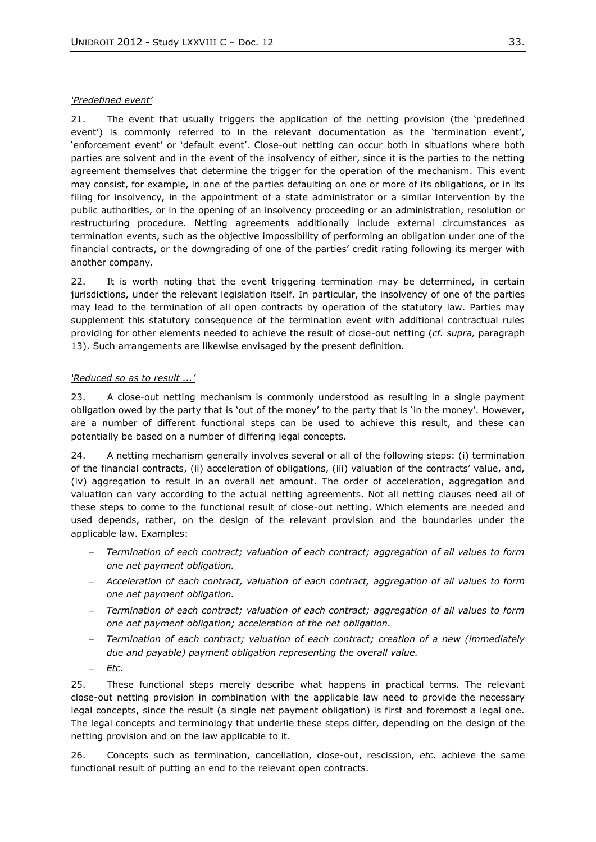### *'Predefined event'*

21. The event that usually triggers the application of the netting provision (the 'predefined event') is commonly referred to in the relevant documentation as the 'termination event', 'enforcement event' or 'default event'. Close-out netting can occur both in situations where both parties are solvent and in the event of the insolvency of either, since it is the parties to the netting agreement themselves that determine the trigger for the operation of the mechanism. This event may consist, for example, in one of the parties defaulting on one or more of its obligations, or in its filing for insolvency, in the appointment of a state administrator or a similar intervention by the public authorities, or in the opening of an insolvency proceeding or an administration, resolution or restructuring procedure. Netting agreements additionally include external circumstances as termination events, such as the objective impossibility of performing an obligation under one of the financial contracts, or the downgrading of one of the parties' credit rating following its merger with another company.

<span id="page-32-0"></span>22. It is worth noting that the event triggering termination may be determined, in certain jurisdictions, under the relevant legislation itself. In particular, the insolvency of one of the parties may lead to the termination of all open contracts by operation of the statutory law. Parties may supplement this statutory consequence of the termination event with additional contractual rules providing for other elements needed to achieve the result of close-out netting (*cf. supra,* paragraph [13\)](#page-30-0). Such arrangements are likewise envisaged by the present definition.

## *'Reduced so as to result ...'*

23. A close-out netting mechanism is commonly understood as resulting in a single payment obligation owed by the party that is 'out of the money' to the party that is 'in the money'. However, are a number of different functional steps can be used to achieve this result, and these can potentially be based on a number of differing legal concepts.

24. A netting mechanism generally involves several or all of the following steps: (i) termination of the financial contracts, (ii) acceleration of obligations, (iii) valuation of the contracts' value, and, (iv) aggregation to result in an overall net amount. The order of acceleration, aggregation and valuation can vary according to the actual netting agreements. Not all netting clauses need all of these steps to come to the functional result of close-out netting. Which elements are needed and used depends, rather, on the design of the relevant provision and the boundaries under the applicable law. Examples:

- *Termination of each contract; valuation of each contract; aggregation of all values to form one net payment obligation.*
- *Acceleration of each contract, valuation of each contract, aggregation of all values to form one net payment obligation.*
- *Termination of each contract; valuation of each contract; aggregation of all values to form one net payment obligation; acceleration of the net obligation.*
- *Termination of each contract; valuation of each contract; creation of a new (immediately due and payable) payment obligation representing the overall value.*
- *Etc.*

25. These functional steps merely describe what happens in practical terms. The relevant close-out netting provision in combination with the applicable law need to provide the necessary legal concepts, since the result (a single net payment obligation) is first and foremost a legal one. The legal concepts and terminology that underlie these steps differ, depending on the design of the netting provision and on the law applicable to it.

26. Concepts such as termination, cancellation, close-out, rescission, *etc.* achieve the same functional result of putting an end to the relevant open contracts.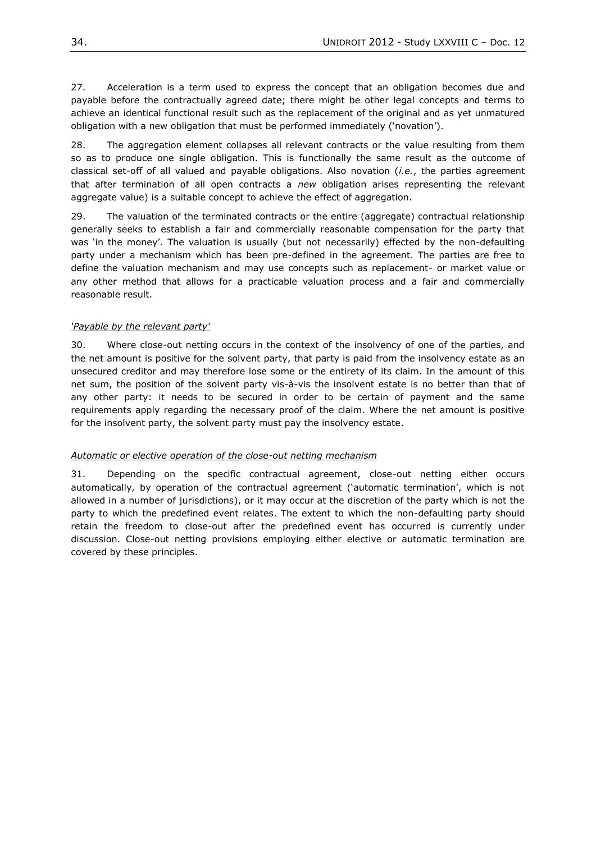27. Acceleration is a term used to express the concept that an obligation becomes due and payable before the contractually agreed date; there might be other legal concepts and terms to achieve an identical functional result such as the replacement of the original and as yet unmatured obligation with a new obligation that must be performed immediately ('novation').

28. The aggregation element collapses all relevant contracts or the value resulting from them so as to produce one single obligation. This is functionally the same result as the outcome of classical set-off of all valued and payable obligations. Also novation (*i.e.*, the parties agreement that after termination of all open contracts a *new* obligation arises representing the relevant aggregate value) is a suitable concept to achieve the effect of aggregation.

29. The valuation of the terminated contracts or the entire (aggregate) contractual relationship generally seeks to establish a fair and commercially reasonable compensation for the party that was 'in the money'. The valuation is usually (but not necessarily) effected by the non-defaulting party under a mechanism which has been pre-defined in the agreement. The parties are free to define the valuation mechanism and may use concepts such as replacement- or market value or any other method that allows for a practicable valuation process and a fair and commercially reasonable result.

### *'Payable by the relevant party'*

30. Where close-out netting occurs in the context of the insolvency of one of the parties, and the net amount is positive for the solvent party, that party is paid from the insolvency estate as an unsecured creditor and may therefore lose some or the entirety of its claim. In the amount of this net sum, the position of the solvent party vis-à-vis the insolvent estate is no better than that of any other party: it needs to be secured in order to be certain of payment and the same requirements apply regarding the necessary proof of the claim. Where the net amount is positive for the insolvent party, the solvent party must pay the insolvency estate.

#### *Automatic or elective operation of the close-out netting mechanism*

31. Depending on the specific contractual agreement, close-out netting either occurs automatically, by operation of the contractual agreement ('automatic termination', which is not allowed in a number of jurisdictions), or it may occur at the discretion of the party which is not the party to which the predefined event relates. The extent to which the non-defaulting party should retain the freedom to close-out after the predefined event has occurred is currently under discussion. Close-out netting provisions employing either elective or automatic termination are covered by these principles.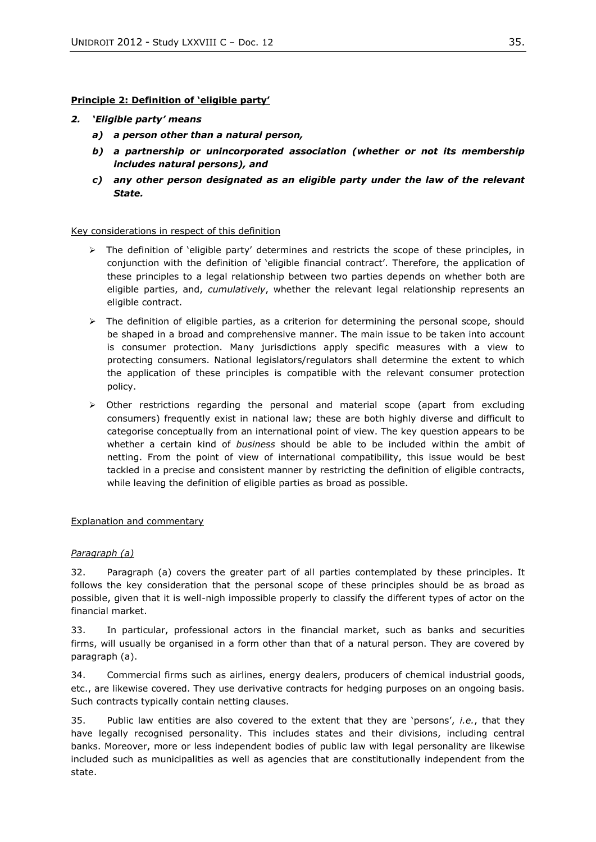## **Principle 2: Definition of 'eligible party'**

## *2. 'Eligible party' means*

- *a) a person other than a natural person,*
- *b) a partnership or unincorporated association (whether or not its membership includes natural persons), and*
- *c) any other person designated as an eligible party under the law of the relevant State.*

## Key considerations in respect of this definition

- $\triangleright$  The definition of 'eligible party' determines and restricts the scope of these principles, in conjunction with the definition of 'eligible financial contract'. Therefore, the application of these principles to a legal relationship between two parties depends on whether both are eligible parties, and, *cumulatively*, whether the relevant legal relationship represents an eligible contract.
- $\triangleright$  The definition of eligible parties, as a criterion for determining the personal scope, should be shaped in a broad and comprehensive manner. The main issue to be taken into account is consumer protection. Many jurisdictions apply specific measures with a view to protecting consumers. National legislators/regulators shall determine the extent to which the application of these principles is compatible with the relevant consumer protection policy.
- $\triangleright$  Other restrictions regarding the personal and material scope (apart from excluding consumers) frequently exist in national law; these are both highly diverse and difficult to categorise conceptually from an international point of view. The key question appears to be whether a certain kind of *business* should be able to be included within the ambit of netting. From the point of view of international compatibility, this issue would be best tackled in a precise and consistent manner by restricting the definition of eligible contracts, while leaving the definition of eligible parties as broad as possible.

## Explanation and commentary

## *Paragraph (a)*

32. Paragraph (a) covers the greater part of all parties contemplated by these principles. It follows the key consideration that the personal scope of these principles should be as broad as possible, given that it is well-nigh impossible properly to classify the different types of actor on the financial market.

33. In particular, professional actors in the financial market, such as banks and securities firms, will usually be organised in a form other than that of a natural person. They are covered by paragraph (a).

34. Commercial firms such as airlines, energy dealers, producers of chemical industrial goods, etc., are likewise covered. They use derivative contracts for hedging purposes on an ongoing basis. Such contracts typically contain netting clauses.

35. Public law entities are also covered to the extent that they are 'persons', *i.e.*, that they have legally recognised personality. This includes states and their divisions, including central banks. Moreover, more or less independent bodies of public law with legal personality are likewise included such as municipalities as well as agencies that are constitutionally independent from the state.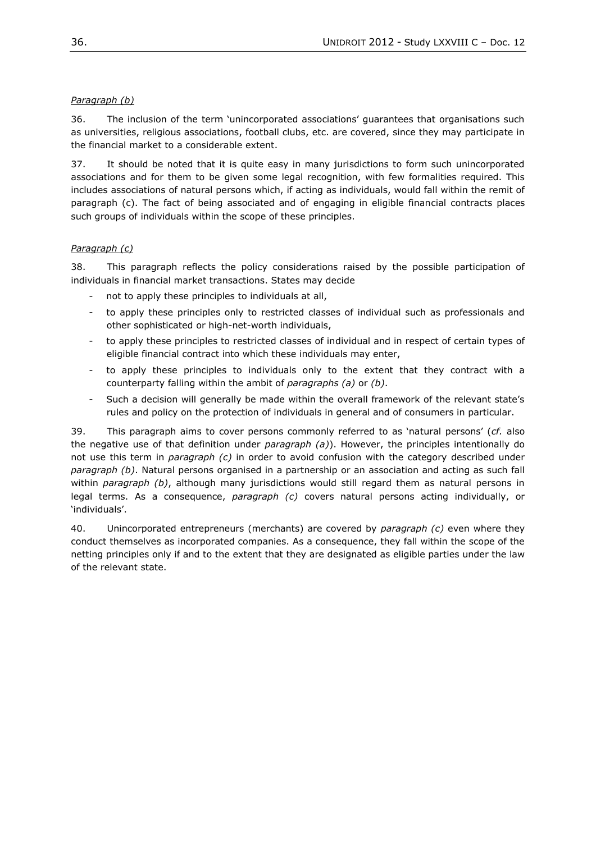# *Paragraph (b)*

36. The inclusion of the term 'unincorporated associations' guarantees that organisations such as universities, religious associations, football clubs, etc. are covered, since they may participate in the financial market to a considerable extent.

37. It should be noted that it is quite easy in many jurisdictions to form such unincorporated associations and for them to be given some legal recognition, with few formalities required. This includes associations of natural persons which, if acting as individuals, would fall within the remit of paragraph (c). The fact of being associated and of engaging in eligible financial contracts places such groups of individuals within the scope of these principles.

# *Paragraph (c)*

38. This paragraph reflects the policy considerations raised by the possible participation of individuals in financial market transactions. States may decide

- not to apply these principles to individuals at all,
- to apply these principles only to restricted classes of individual such as professionals and other sophisticated or high-net-worth individuals,
- to apply these principles to restricted classes of individual and in respect of certain types of eligible financial contract into which these individuals may enter,
- to apply these principles to individuals only to the extent that they contract with a counterparty falling within the ambit of *paragraphs (a)* or *(b)*.
- Such a decision will generally be made within the overall framework of the relevant state's rules and policy on the protection of individuals in general and of consumers in particular.

39. This paragraph aims to cover persons commonly referred to as 'natural persons' (*cf.* also the negative use of that definition under *paragraph (a)*). However, the principles intentionally do not use this term in *paragraph (c)* in order to avoid confusion with the category described under *paragraph (b)*. Natural persons organised in a partnership or an association and acting as such fall within *paragraph (b)*, although many jurisdictions would still regard them as natural persons in legal terms. As a consequence, *paragraph (c)* covers natural persons acting individually, or 'individuals'.

40. Unincorporated entrepreneurs (merchants) are covered by *paragraph (c)* even where they conduct themselves as incorporated companies. As a consequence, they fall within the scope of the netting principles only if and to the extent that they are designated as eligible parties under the law of the relevant state.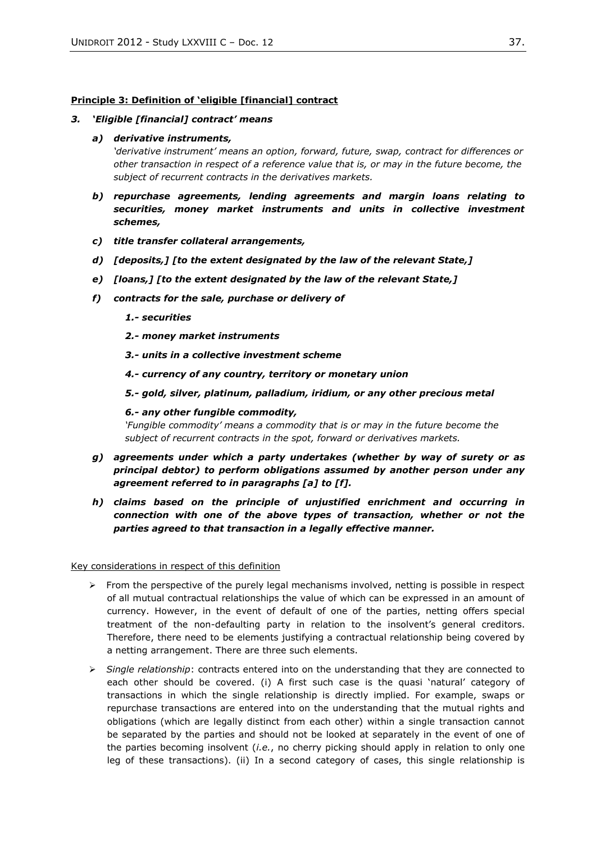#### **Principle 3: Definition of 'eligible [financial] contract**

#### *3. 'Eligible [financial] contract' means*

#### *a) derivative instruments,*

*'derivative instrument' means an option, forward, future, swap, contract for differences or other transaction in respect of a reference value that is, or may in the future become, the subject of recurrent contracts in the derivatives markets.*

- *b) repurchase agreements, lending agreements and margin loans relating to securities, money market instruments and units in collective investment schemes,*
- *c) title transfer collateral arrangements,*
- *d) [deposits,] [to the extent designated by the law of the relevant State,]*
- *e) [loans,] [to the extent designated by the law of the relevant State,]*
- *f) contracts for the sale, purchase or delivery of*
	- *1.- securities*
	- *2.- money market instruments*
	- *3.- units in a collective investment scheme*
	- *4.- currency of any country, territory or monetary union*
	- *5.- gold, silver, platinum, palladium, iridium, or any other precious metal*

#### *6.- any other fungible commodity,*

*'Fungible commodity' means a commodity that is or may in the future become the subject of recurrent contracts in the spot, forward or derivatives markets.*

- *g) agreements under which a party undertakes (whether by way of surety or as principal debtor) to perform obligations assumed by another person under any agreement referred to in paragraphs [a] to [f].*
- *h) claims based on the principle of unjustified enrichment and occurring in connection with one of the above types of transaction, whether or not the parties agreed to that transaction in a legally effective manner.*

Key considerations in respect of this definition

- $\triangleright$  From the perspective of the purely legal mechanisms involved, netting is possible in respect of all mutual contractual relationships the value of which can be expressed in an amount of currency. However, in the event of default of one of the parties, netting offers special treatment of the non-defaulting party in relation to the insolvent's general creditors. Therefore, there need to be elements justifying a contractual relationship being covered by a netting arrangement. There are three such elements.
- *Single relationship*: contracts entered into on the understanding that they are connected to each other should be covered. (i) A first such case is the quasi 'natural' category of transactions in which the single relationship is directly implied. For example, swaps or repurchase transactions are entered into on the understanding that the mutual rights and obligations (which are legally distinct from each other) within a single transaction cannot be separated by the parties and should not be looked at separately in the event of one of the parties becoming insolvent (*i.e.*, no cherry picking should apply in relation to only one leg of these transactions). (ii) In a second category of cases, this single relationship is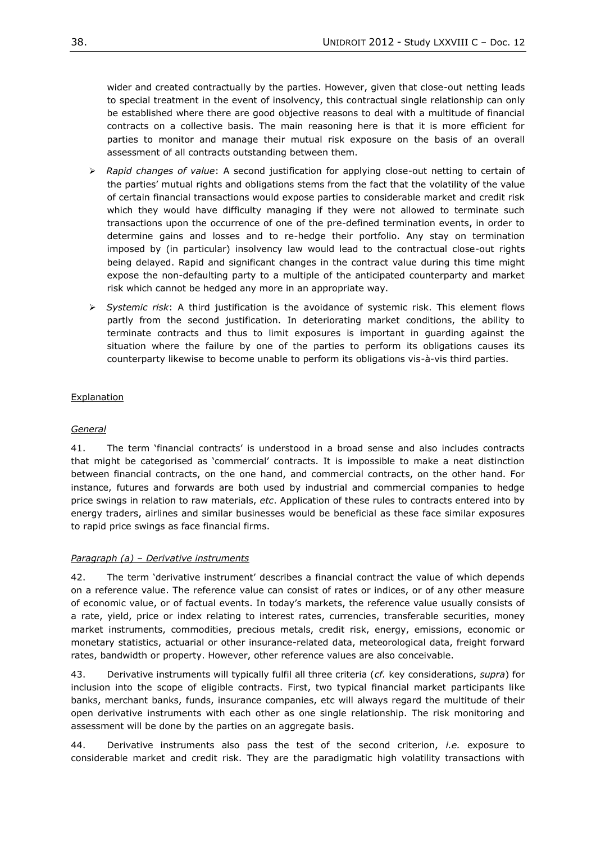wider and created contractually by the parties. However, given that close-out netting leads to special treatment in the event of insolvency, this contractual single relationship can only be established where there are good objective reasons to deal with a multitude of financial contracts on a collective basis. The main reasoning here is that it is more efficient for parties to monitor and manage their mutual risk exposure on the basis of an overall assessment of all contracts outstanding between them.

- *Rapid changes of value*: A second justification for applying close-out netting to certain of the parties' mutual rights and obligations stems from the fact that the volatility of the value of certain financial transactions would expose parties to considerable market and credit risk which they would have difficulty managing if they were not allowed to terminate such transactions upon the occurrence of one of the pre-defined termination events, in order to determine gains and losses and to re-hedge their portfolio. Any stay on termination imposed by (in particular) insolvency law would lead to the contractual close-out rights being delayed. Rapid and significant changes in the contract value during this time might expose the non-defaulting party to a multiple of the anticipated counterparty and market risk which cannot be hedged any more in an appropriate way.
- *Systemic risk*: A third justification is the avoidance of systemic risk. This element flows partly from the second justification. In deteriorating market conditions, the ability to terminate contracts and thus to limit exposures is important in guarding against the situation where the failure by one of the parties to perform its obligations causes its counterparty likewise to become unable to perform its obligations vis-à-vis third parties.

# Explanation

## *General*

41. The term 'financial contracts' is understood in a broad sense and also includes contracts that might be categorised as 'commercial' contracts. It is impossible to make a neat distinction between financial contracts, on the one hand, and commercial contracts, on the other hand. For instance, futures and forwards are both used by industrial and commercial companies to hedge price swings in relation to raw materials, *etc*. Application of these rules to contracts entered into by energy traders, airlines and similar businesses would be beneficial as these face similar exposures to rapid price swings as face financial firms.

## *Paragraph (a) – Derivative instruments*

42. The term 'derivative instrument' describes a financial contract the value of which depends on a reference value. The reference value can consist of rates or indices, or of any other measure of economic value, or of factual events. In today's markets, the reference value usually consists of a rate, yield, price or index relating to interest rates, currencies, transferable securities, money market instruments, commodities, precious metals, credit risk, energy, emissions, economic or monetary statistics, actuarial or other insurance-related data, meteorological data, freight forward rates, bandwidth or property. However, other reference values are also conceivable.

43. Derivative instruments will typically fulfil all three criteria (*cf.* key considerations, *supra*) for inclusion into the scope of eligible contracts. First, two typical financial market participants like banks, merchant banks, funds, insurance companies, etc will always regard the multitude of their open derivative instruments with each other as one single relationship. The risk monitoring and assessment will be done by the parties on an aggregate basis.

44. Derivative instruments also pass the test of the second criterion, *i.e.* exposure to considerable market and credit risk. They are the paradigmatic high volatility transactions with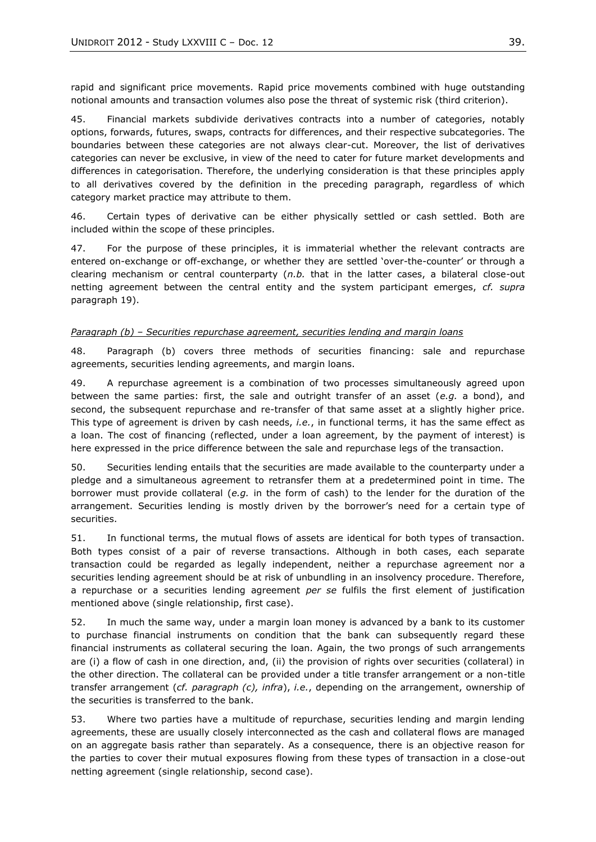rapid and significant price movements. Rapid price movements combined with huge outstanding notional amounts and transaction volumes also pose the threat of systemic risk (third criterion).

45. Financial markets subdivide derivatives contracts into a number of categories, notably options, forwards, futures, swaps, contracts for differences, and their respective subcategories. The boundaries between these categories are not always clear-cut. Moreover, the list of derivatives categories can never be exclusive, in view of the need to cater for future market developments and differences in categorisation. Therefore, the underlying consideration is that these principles apply to all derivatives covered by the definition in the preceding paragraph, regardless of which category market practice may attribute to them.

46. Certain types of derivative can be either physically settled or cash settled. Both are included within the scope of these principles.

47. For the purpose of these principles, it is immaterial whether the relevant contracts are entered on-exchange or off-exchange, or whether they are settled 'over-the-counter' or through a clearing mechanism or central counterparty (*n.b.* that in the latter cases, a bilateral close-out netting agreement between the central entity and the system participant emerges, *cf. supra* paragraph [19\)](#page-31-0).

### *Paragraph (b) – Securities repurchase agreement, securities lending and margin loans*

48. Paragraph (b) covers three methods of securities financing: sale and repurchase agreements, securities lending agreements, and margin loans.

49. A repurchase agreement is a combination of two processes simultaneously agreed upon between the same parties: first, the sale and outright transfer of an asset (*e.g.* a bond), and second, the subsequent repurchase and re-transfer of that same asset at a slightly higher price. This type of agreement is driven by cash needs, *i.e.*, in functional terms, it has the same effect as a loan. The cost of financing (reflected, under a loan agreement, by the payment of interest) is here expressed in the price difference between the sale and repurchase legs of the transaction.

50. Securities lending entails that the securities are made available to the counterparty under a pledge and a simultaneous agreement to retransfer them at a predetermined point in time. The borrower must provide collateral (*e.g.* in the form of cash) to the lender for the duration of the arrangement. Securities lending is mostly driven by the borrower's need for a certain type of securities.

51. In functional terms, the mutual flows of assets are identical for both types of transaction. Both types consist of a pair of reverse transactions. Although in both cases, each separate transaction could be regarded as legally independent, neither a repurchase agreement nor a securities lending agreement should be at risk of unbundling in an insolvency procedure. Therefore, a repurchase or a securities lending agreement *per se* fulfils the first element of justification mentioned above (single relationship, first case).

52. In much the same way, under a margin loan money is advanced by a bank to its customer to purchase financial instruments on condition that the bank can subsequently regard these financial instruments as collateral securing the loan. Again, the two prongs of such arrangements are (i) a flow of cash in one direction, and, (ii) the provision of rights over securities (collateral) in the other direction. The collateral can be provided under a title transfer arrangement or a non-title transfer arrangement (*cf. paragraph (c), infra*), *i.e.*, depending on the arrangement, ownership of the securities is transferred to the bank.

53. Where two parties have a multitude of repurchase, securities lending and margin lending agreements, these are usually closely interconnected as the cash and collateral flows are managed on an aggregate basis rather than separately. As a consequence, there is an objective reason for the parties to cover their mutual exposures flowing from these types of transaction in a close-out netting agreement (single relationship, second case).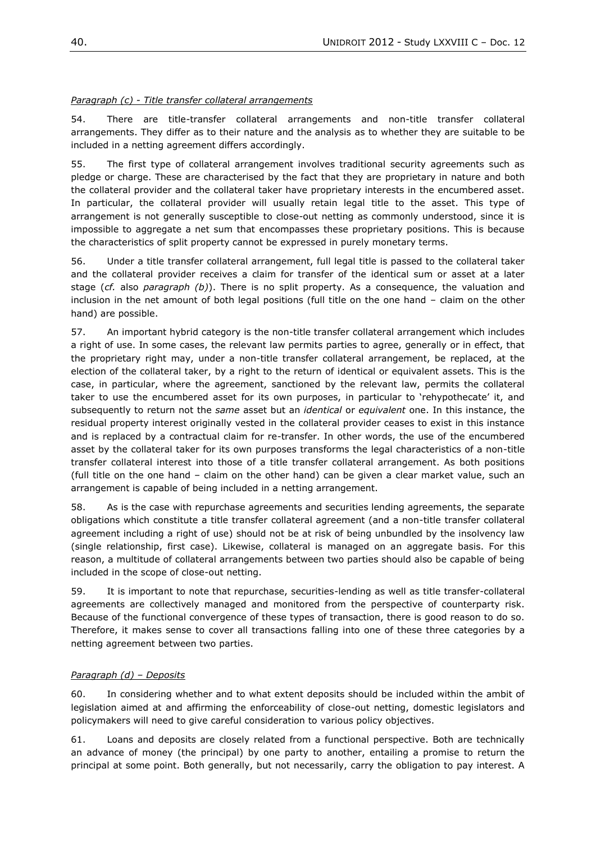# *Paragraph (c) - Title transfer collateral arrangements*

54. There are title-transfer collateral arrangements and non-title transfer collateral arrangements. They differ as to their nature and the analysis as to whether they are suitable to be included in a netting agreement differs accordingly.

55. The first type of collateral arrangement involves traditional security agreements such as pledge or charge. These are characterised by the fact that they are proprietary in nature and both the collateral provider and the collateral taker have proprietary interests in the encumbered asset. In particular, the collateral provider will usually retain legal title to the asset. This type of arrangement is not generally susceptible to close-out netting as commonly understood, since it is impossible to aggregate a net sum that encompasses these proprietary positions. This is because the characteristics of split property cannot be expressed in purely monetary terms.

56. Under a title transfer collateral arrangement, full legal title is passed to the collateral taker and the collateral provider receives a claim for transfer of the identical sum or asset at a later stage (*cf.* also *paragraph (b)*). There is no split property. As a consequence, the valuation and inclusion in the net amount of both legal positions (full title on the one hand – claim on the other hand) are possible.

57. An important hybrid category is the non-title transfer collateral arrangement which includes a right of use. In some cases, the relevant law permits parties to agree, generally or in effect, that the proprietary right may, under a non-title transfer collateral arrangement, be replaced, at the election of the collateral taker, by a right to the return of identical or equivalent assets. This is the case, in particular, where the agreement, sanctioned by the relevant law, permits the collateral taker to use the encumbered asset for its own purposes, in particular to 'rehypothecate' it, and subsequently to return not the *same* asset but an *identical* or *equivalent* one. In this instance, the residual property interest originally vested in the collateral provider ceases to exist in this instance and is replaced by a contractual claim for re-transfer. In other words, the use of the encumbered asset by the collateral taker for its own purposes transforms the legal characteristics of a non-title transfer collateral interest into those of a title transfer collateral arrangement. As both positions (full title on the one hand – claim on the other hand) can be given a clear market value, such an arrangement is capable of being included in a netting arrangement.

58. As is the case with repurchase agreements and securities lending agreements, the separate obligations which constitute a title transfer collateral agreement (and a non-title transfer collateral agreement including a right of use) should not be at risk of being unbundled by the insolvency law (single relationship, first case). Likewise, collateral is managed on an aggregate basis. For this reason, a multitude of collateral arrangements between two parties should also be capable of being included in the scope of close-out netting.

59. It is important to note that repurchase, securities-lending as well as title transfer-collateral agreements are collectively managed and monitored from the perspective of counterparty risk. Because of the functional convergence of these types of transaction, there is good reason to do so. Therefore, it makes sense to cover all transactions falling into one of these three categories by a netting agreement between two parties.

## *Paragraph (d) – Deposits*

60. In considering whether and to what extent deposits should be included within the ambit of legislation aimed at and affirming the enforceability of close-out netting, domestic legislators and policymakers will need to give careful consideration to various policy objectives.

61. Loans and deposits are closely related from a functional perspective. Both are technically an advance of money (the principal) by one party to another, entailing a promise to return the principal at some point. Both generally, but not necessarily, carry the obligation to pay interest. A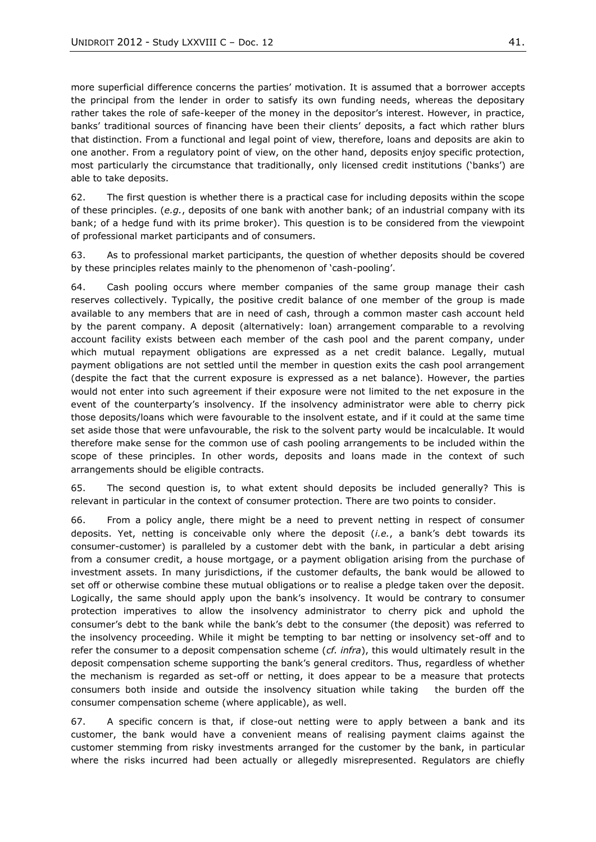more superficial difference concerns the parties' motivation. It is assumed that a borrower accepts the principal from the lender in order to satisfy its own funding needs, whereas the depositary rather takes the role of safe-keeper of the money in the depositor's interest. However, in practice, banks' traditional sources of financing have been their clients' deposits, a fact which rather blurs that distinction. From a functional and legal point of view, therefore, loans and deposits are akin to one another. From a regulatory point of view, on the other hand, deposits enjoy specific protection, most particularly the circumstance that traditionally, only licensed credit institutions ('banks') are able to take deposits.

62. The first question is whether there is a practical case for including deposits within the scope of these principles. (*e.g.*, deposits of one bank with another bank; of an industrial company with its bank; of a hedge fund with its prime broker). This question is to be considered from the viewpoint of professional market participants and of consumers.

63. As to professional market participants, the question of whether deposits should be covered by these principles relates mainly to the phenomenon of 'cash-pooling'.

64. Cash pooling occurs where member companies of the same group manage their cash reserves collectively. Typically, the positive credit balance of one member of the group is made available to any members that are in need of cash, through a common master cash account held by the parent company. A deposit (alternatively: loan) arrangement comparable to a revolving account facility exists between each member of the cash pool and the parent company, under which mutual repayment obligations are expressed as a net credit balance. Legally, mutual payment obligations are not settled until the member in question exits the cash pool arrangement (despite the fact that the current exposure is expressed as a net balance). However, the parties would not enter into such agreement if their exposure were not limited to the net exposure in the event of the counterparty's insolvency. If the insolvency administrator were able to cherry pick those deposits/loans which were favourable to the insolvent estate, and if it could at the same time set aside those that were unfavourable, the risk to the solvent party would be incalculable. It would therefore make sense for the common use of cash pooling arrangements to be included within the scope of these principles. In other words, deposits and loans made in the context of such arrangements should be eligible contracts.

65. The second question is, to what extent should deposits be included generally? This is relevant in particular in the context of consumer protection. There are two points to consider.

66. From a policy angle, there might be a need to prevent netting in respect of consumer deposits. Yet, netting is conceivable only where the deposit (*i.e.*, a bank's debt towards its consumer-customer) is paralleled by a customer debt with the bank, in particular a debt arising from a consumer credit, a house mortgage, or a payment obligation arising from the purchase of investment assets. In many jurisdictions, if the customer defaults, the bank would be allowed to set off or otherwise combine these mutual obligations or to realise a pledge taken over the deposit. Logically, the same should apply upon the bank's insolvency. It would be contrary to consumer protection imperatives to allow the insolvency administrator to cherry pick and uphold the consumer's debt to the bank while the bank's debt to the consumer (the deposit) was referred to the insolvency proceeding. While it might be tempting to bar netting or insolvency set-off and to refer the consumer to a deposit compensation scheme (*cf. infra*), this would ultimately result in the deposit compensation scheme supporting the bank's general creditors. Thus, regardless of whether the mechanism is regarded as set-off or netting, it does appear to be a measure that protects consumers both inside and outside the insolvency situation while taking the burden off the consumer compensation scheme (where applicable), as well.

67. A specific concern is that, if close-out netting were to apply between a bank and its customer, the bank would have a convenient means of realising payment claims against the customer stemming from risky investments arranged for the customer by the bank, in particular where the risks incurred had been actually or allegedly misrepresented. Regulators are chiefly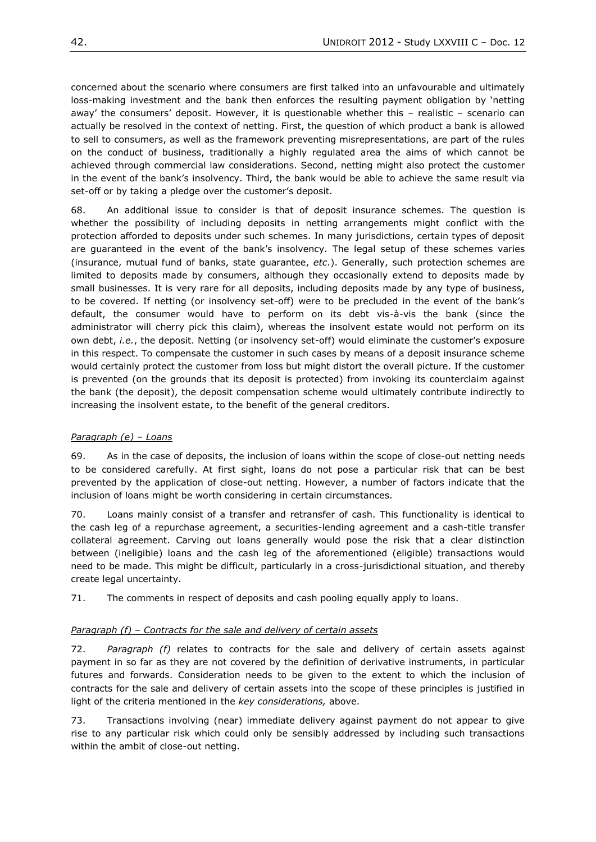concerned about the scenario where consumers are first talked into an unfavourable and ultimately loss-making investment and the bank then enforces the resulting payment obligation by 'netting away' the consumers' deposit. However, it is questionable whether this – realistic – scenario can actually be resolved in the context of netting. First, the question of which product a bank is allowed to sell to consumers, as well as the framework preventing misrepresentations, are part of the rules on the conduct of business, traditionally a highly regulated area the aims of which cannot be achieved through commercial law considerations. Second, netting might also protect the customer in the event of the bank's insolvency. Third, the bank would be able to achieve the same result via set-off or by taking a pledge over the customer's deposit.

68. An additional issue to consider is that of deposit insurance schemes. The question is whether the possibility of including deposits in netting arrangements might conflict with the protection afforded to deposits under such schemes. In many jurisdictions, certain types of deposit are guaranteed in the event of the bank's insolvency. The legal setup of these schemes varies (insurance, mutual fund of banks, state guarantee, *etc*.). Generally, such protection schemes are limited to deposits made by consumers, although they occasionally extend to deposits made by small businesses. It is very rare for all deposits, including deposits made by any type of business, to be covered. If netting (or insolvency set-off) were to be precluded in the event of the bank's default, the consumer would have to perform on its debt vis-à-vis the bank (since the administrator will cherry pick this claim), whereas the insolvent estate would not perform on its own debt, *i.e.*, the deposit. Netting (or insolvency set-off) would eliminate the customer's exposure in this respect. To compensate the customer in such cases by means of a deposit insurance scheme would certainly protect the customer from loss but might distort the overall picture. If the customer is prevented (on the grounds that its deposit is protected) from invoking its counterclaim against the bank (the deposit), the deposit compensation scheme would ultimately contribute indirectly to increasing the insolvent estate, to the benefit of the general creditors.

# *Paragraph (e) – Loans*

69. As in the case of deposits, the inclusion of loans within the scope of close-out netting needs to be considered carefully. At first sight, loans do not pose a particular risk that can be best prevented by the application of close-out netting. However, a number of factors indicate that the inclusion of loans might be worth considering in certain circumstances.

70. Loans mainly consist of a transfer and retransfer of cash. This functionality is identical to the cash leg of a repurchase agreement, a securities-lending agreement and a cash-title transfer collateral agreement. Carving out loans generally would pose the risk that a clear distinction between (ineligible) loans and the cash leg of the aforementioned (eligible) transactions would need to be made. This might be difficult, particularly in a cross-jurisdictional situation, and thereby create legal uncertainty.

71. The comments in respect of deposits and cash pooling equally apply to loans.

## *Paragraph (f) – Contracts for the sale and delivery of certain assets*

72. *Paragraph (f)* relates to contracts for the sale and delivery of certain assets against payment in so far as they are not covered by the definition of derivative instruments, in particular futures and forwards. Consideration needs to be given to the extent to which the inclusion of contracts for the sale and delivery of certain assets into the scope of these principles is justified in light of the criteria mentioned in the *key considerations,* above.

73. Transactions involving (near) immediate delivery against payment do not appear to give rise to any particular risk which could only be sensibly addressed by including such transactions within the ambit of close-out netting.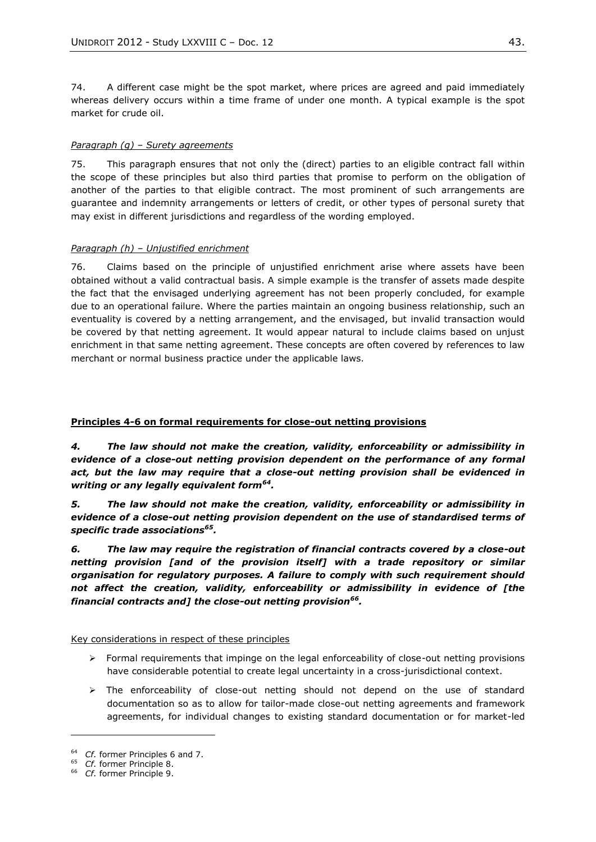74. A different case might be the spot market, where prices are agreed and paid immediately whereas delivery occurs within a time frame of under one month. A typical example is the spot market for crude oil.

## *Paragraph (g) – Surety agreements*

75. This paragraph ensures that not only the (direct) parties to an eligible contract fall within the scope of these principles but also third parties that promise to perform on the obligation of another of the parties to that eligible contract. The most prominent of such arrangements are guarantee and indemnity arrangements or letters of credit, or other types of personal surety that may exist in different jurisdictions and regardless of the wording employed.

## *Paragraph (h) – Unjustified enrichment*

76. Claims based on the principle of unjustified enrichment arise where assets have been obtained without a valid contractual basis. A simple example is the transfer of assets made despite the fact that the envisaged underlying agreement has not been properly concluded, for example due to an operational failure. Where the parties maintain an ongoing business relationship, such an eventuality is covered by a netting arrangement, and the envisaged, but invalid transaction would be covered by that netting agreement. It would appear natural to include claims based on unjust enrichment in that same netting agreement. These concepts are often covered by references to law merchant or normal business practice under the applicable laws.

# **Principles 4-6 on formal requirements for close-out netting provisions**

*4. The law should not make the creation, validity, enforceability or admissibility in evidence of a close-out netting provision dependent on the performance of any formal act, but the law may require that a close-out netting provision shall be evidenced in writing or any legally equivalent form<sup>64</sup> .*

*5. The law should not make the creation, validity, enforceability or admissibility in evidence of a close-out netting provision dependent on the use of standardised terms of specific trade associations<sup>65</sup> .*

*6. The law may require the registration of financial contracts covered by a close-out netting provision [and of the provision itself] with a trade repository or similar organisation for regulatory purposes. A failure to comply with such requirement should not affect the creation, validity, enforceability or admissibility in evidence of [the financial contracts and] the close-out netting provision<sup>66</sup> .*

Key considerations in respect of these principles

- $\triangleright$  Formal requirements that impinge on the legal enforceability of close-out netting provisions have considerable potential to create legal uncertainty in a cross-jurisdictional context.
- $\triangleright$  The enforceability of close-out netting should not depend on the use of standard documentation so as to allow for tailor-made close-out netting agreements and framework agreements, for individual changes to existing standard documentation or for market-led

<sup>&</sup>lt;sup>64</sup> *Cf.* former Principles 6 and 7.<br><sup>65</sup> *Cf.* former Principle 8

<sup>65</sup> *Cf.* former Principle 8.

<sup>66</sup> *Cf.* former Principle 9.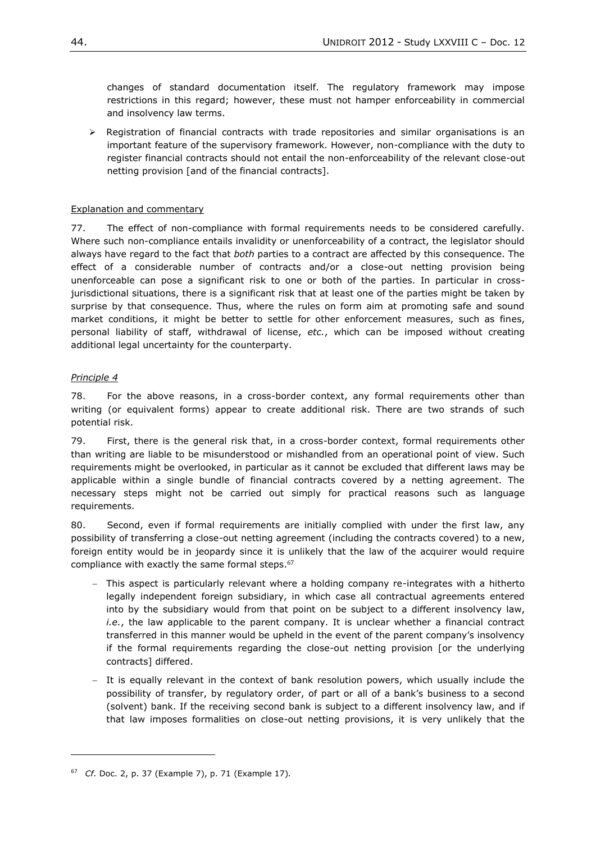changes of standard documentation itself. The regulatory framework may impose restrictions in this regard; however, these must not hamper enforceability in commercial and insolvency law terms.

 $\triangleright$  Registration of financial contracts with trade repositories and similar organisations is an important feature of the supervisory framework. However, non-compliance with the duty to register financial contracts should not entail the non-enforceability of the relevant close-out netting provision [and of the financial contracts].

## Explanation and commentary

77. The effect of non-compliance with formal requirements needs to be considered carefully. Where such non-compliance entails invalidity or unenforceability of a contract, the legislator should always have regard to the fact that *both* parties to a contract are affected by this consequence. The effect of a considerable number of contracts and/or a close-out netting provision being unenforceable can pose a significant risk to one or both of the parties. In particular in crossjurisdictional situations, there is a significant risk that at least one of the parties might be taken by surprise by that consequence. Thus, where the rules on form aim at promoting safe and sound market conditions, it might be better to settle for other enforcement measures, such as fines, personal liability of staff, withdrawal of license, *etc.*, which can be imposed without creating additional legal uncertainty for the counterparty.

## *Principle 4*

l

78. For the above reasons, in a cross-border context, any formal requirements other than writing (or equivalent forms) appear to create additional risk. There are two strands of such potential risk.

79. First, there is the general risk that, in a cross-border context, formal requirements other than writing are liable to be misunderstood or mishandled from an operational point of view. Such requirements might be overlooked, in particular as it cannot be excluded that different laws may be applicable within a single bundle of financial contracts covered by a netting agreement. The necessary steps might not be carried out simply for practical reasons such as language requirements.

80. Second, even if formal requirements are initially complied with under the first law, any possibility of transferring a close-out netting agreement (including the contracts covered) to a new, foreign entity would be in jeopardy since it is unlikely that the law of the acquirer would require compliance with exactly the same formal steps.<sup>67</sup>

- This aspect is particularly relevant where a holding company re-integrates with a hitherto legally independent foreign subsidiary, in which case all contractual agreements entered into by the subsidiary would from that point on be subject to a different insolvency law, *i.e.*, the law applicable to the parent company. It is unclear whether a financial contract transferred in this manner would be upheld in the event of the parent company's insolvency if the formal requirements regarding the close-out netting provision [or the underlying contracts] differed.
- It is equally relevant in the context of bank resolution powers, which usually include the possibility of transfer, by regulatory order, of part or all of a bank's business to a second (solvent) bank. If the receiving second bank is subject to a different insolvency law, and if that law imposes formalities on close-out netting provisions, it is very unlikely that the

<sup>67</sup> *Cf.* Doc. 2, p. 37 (Example 7), p. 71 (Example 17)*.*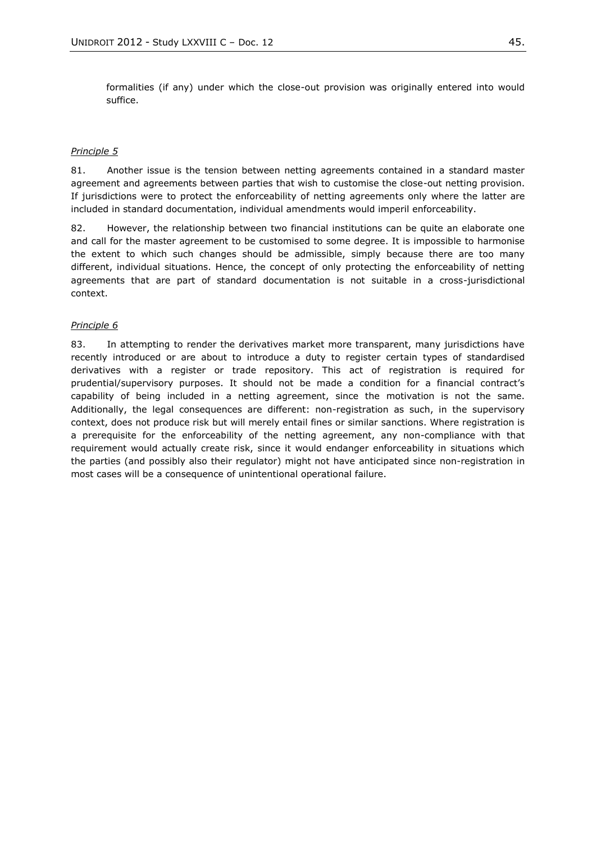formalities (if any) under which the close-out provision was originally entered into would suffice.

#### *Principle 5*

81. Another issue is the tension between netting agreements contained in a standard master agreement and agreements between parties that wish to customise the close-out netting provision. If jurisdictions were to protect the enforceability of netting agreements only where the latter are included in standard documentation, individual amendments would imperil enforceability.

82. However, the relationship between two financial institutions can be quite an elaborate one and call for the master agreement to be customised to some degree. It is impossible to harmonise the extent to which such changes should be admissible, simply because there are too many different, individual situations. Hence, the concept of only protecting the enforceability of netting agreements that are part of standard documentation is not suitable in a cross-jurisdictional context.

#### *Principle 6*

83. In attempting to render the derivatives market more transparent, many jurisdictions have recently introduced or are about to introduce a duty to register certain types of standardised derivatives with a register or trade repository. This act of registration is required for prudential/supervisory purposes. It should not be made a condition for a financial contract's capability of being included in a netting agreement, since the motivation is not the same. Additionally, the legal consequences are different: non-registration as such, in the supervisory context, does not produce risk but will merely entail fines or similar sanctions. Where registration is a prerequisite for the enforceability of the netting agreement, any non-compliance with that requirement would actually create risk, since it would endanger enforceability in situations which the parties (and possibly also their regulator) might not have anticipated since non-registration in most cases will be a consequence of unintentional operational failure.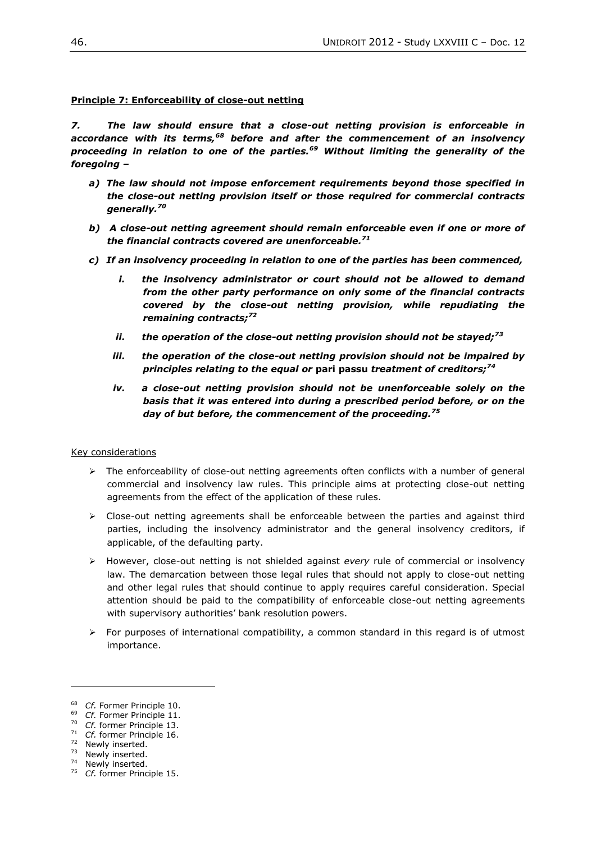### **Principle 7: Enforceability of close-out netting**

*7. The law should ensure that a close-out netting provision is enforceable in accordance with its terms,<sup>68</sup> before and after the commencement of an insolvency proceeding in relation to one of the parties.<sup>69</sup> Without limiting the generality of the foregoing –*

- *a) The law should not impose enforcement requirements beyond those specified in the close-out netting provision itself or those required for commercial contracts generally.<sup>70</sup>*
- *b) A close-out netting agreement should remain enforceable even if one or more of the financial contracts covered are unenforceable.<sup>71</sup>*
- *c) If an insolvency proceeding in relation to one of the parties has been commenced,* 
	- *i. the insolvency administrator or court should not be allowed to demand from the other party performance on only some of the financial contracts covered by the close-out netting provision, while repudiating the remaining contracts;<sup>72</sup>*
	- *ii. the operation of the close-out netting provision should not be stayed;<sup>73</sup>*
	- *iii. the operation of the close-out netting provision should not be impaired by principles relating to the equal or* **pari passu** *treatment of creditors;<sup>74</sup>*
	- *iv. a close-out netting provision should not be unenforceable solely on the basis that it was entered into during a prescribed period before, or on the day of but before, the commencement of the proceeding.<sup>75</sup>*

#### Key considerations

- $\triangleright$  The enforceability of close-out netting agreements often conflicts with a number of general commercial and insolvency law rules. This principle aims at protecting close-out netting agreements from the effect of the application of these rules.
- $\triangleright$  Close-out netting agreements shall be enforceable between the parties and against third parties, including the insolvency administrator and the general insolvency creditors, if applicable, of the defaulting party.
- However, close-out netting is not shielded against *every* rule of commercial or insolvency law. The demarcation between those legal rules that should not apply to close-out netting and other legal rules that should continue to apply requires careful consideration. Special attention should be paid to the compatibility of enforceable close-out netting agreements with supervisory authorities' bank resolution powers.
- $\triangleright$  For purposes of international compatibility, a common standard in this regard is of utmost importance.

 $\overline{a}$ 

<sup>68</sup> *Cf.* Former Principle 10.

<sup>69</sup> *Cf.* Former Principle 11.

<sup>70</sup> *Cf.* former Principle 13.

<sup>71</sup> *Cf.* former Principle 16. <sup>72</sup> Newly inserted.

<sup>73</sup> Newly inserted.

<sup>&</sup>lt;sup>74</sup> Newly inserted.

<sup>75</sup> *Cf.* former Principle 15.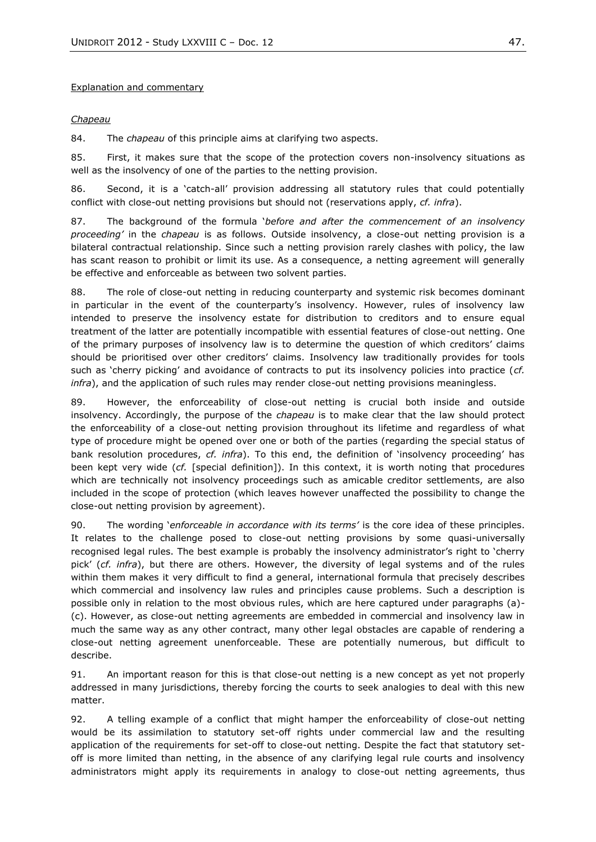#### Explanation and commentary

### *Chapeau*

84. The *chapeau* of this principle aims at clarifying two aspects.

85. First, it makes sure that the scope of the protection covers non-insolvency situations as well as the insolvency of one of the parties to the netting provision.

86. Second, it is a 'catch-all' provision addressing all statutory rules that could potentially conflict with close-out netting provisions but should not (reservations apply, *cf. infra*).

87. The background of the formula '*before and after the commencement of an insolvency proceeding'* in the *chapeau* is as follows. Outside insolvency, a close-out netting provision is a bilateral contractual relationship. Since such a netting provision rarely clashes with policy, the law has scant reason to prohibit or limit its use. As a consequence, a netting agreement will generally be effective and enforceable as between two solvent parties.

88. The role of close-out netting in reducing counterparty and systemic risk becomes dominant in particular in the event of the counterparty's insolvency. However, rules of insolvency law intended to preserve the insolvency estate for distribution to creditors and to ensure equal treatment of the latter are potentially incompatible with essential features of close-out netting. One of the primary purposes of insolvency law is to determine the question of which creditors' claims should be prioritised over other creditors' claims. Insolvency law traditionally provides for tools such as 'cherry picking' and avoidance of contracts to put its insolvency policies into practice (*cf. infra*), and the application of such rules may render close-out netting provisions meaningless.

89. However, the enforceability of close-out netting is crucial both inside and outside insolvency. Accordingly, the purpose of the *chapeau* is to make clear that the law should protect the enforceability of a close-out netting provision throughout its lifetime and regardless of what type of procedure might be opened over one or both of the parties (regarding the special status of bank resolution procedures, *cf. infra*). To this end, the definition of 'insolvency proceeding' has been kept very wide (*cf.* [special definition]). In this context, it is worth noting that procedures which are technically not insolvency proceedings such as amicable creditor settlements, are also included in the scope of protection (which leaves however unaffected the possibility to change the close-out netting provision by agreement).

90. The wording '*enforceable in accordance with its terms'* is the core idea of these principles. It relates to the challenge posed to close-out netting provisions by some quasi-universally recognised legal rules. The best example is probably the insolvency administrator's right to 'cherry pick' (*cf. infra*), but there are others. However, the diversity of legal systems and of the rules within them makes it very difficult to find a general, international formula that precisely describes which commercial and insolvency law rules and principles cause problems. Such a description is possible only in relation to the most obvious rules, which are here captured under paragraphs (a)- (c). However, as close-out netting agreements are embedded in commercial and insolvency law in much the same way as any other contract, many other legal obstacles are capable of rendering a close-out netting agreement unenforceable. These are potentially numerous, but difficult to describe.

91. An important reason for this is that close-out netting is a new concept as yet not properly addressed in many jurisdictions, thereby forcing the courts to seek analogies to deal with this new matter.

92. A telling example of a conflict that might hamper the enforceability of close-out netting would be its assimilation to statutory set-off rights under commercial law and the resulting application of the requirements for set-off to close-out netting. Despite the fact that statutory setoff is more limited than netting, in the absence of any clarifying legal rule courts and insolvency administrators might apply its requirements in analogy to close-out netting agreements, thus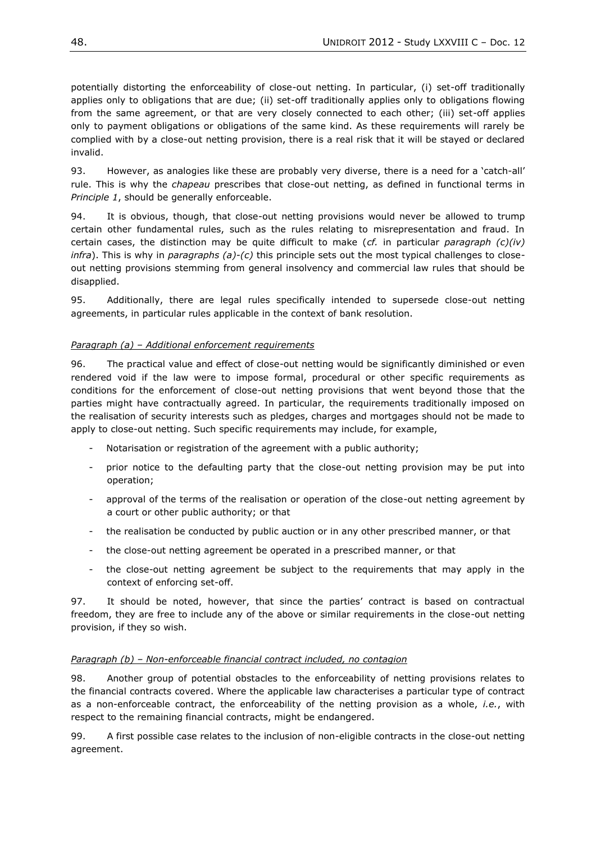potentially distorting the enforceability of close-out netting. In particular, (i) set-off traditionally applies only to obligations that are due; (ii) set-off traditionally applies only to obligations flowing from the same agreement, or that are very closely connected to each other; (iii) set-off applies only to payment obligations or obligations of the same kind. As these requirements will rarely be complied with by a close-out netting provision, there is a real risk that it will be stayed or declared invalid.

93. However, as analogies like these are probably very diverse, there is a need for a 'catch-all' rule. This is why the *chapeau* prescribes that close-out netting, as defined in functional terms in *Principle 1*, should be generally enforceable.

94. It is obvious, though, that close-out netting provisions would never be allowed to trump certain other fundamental rules, such as the rules relating to misrepresentation and fraud. In certain cases, the distinction may be quite difficult to make (*cf.* in particular *paragraph (c)(iv) infra*). This is why in *paragraphs (a)-(c)* this principle sets out the most typical challenges to closeout netting provisions stemming from general insolvency and commercial law rules that should be disapplied.

95. Additionally, there are legal rules specifically intended to supersede close-out netting agreements, in particular rules applicable in the context of bank resolution.

# *Paragraph (a) – Additional enforcement requirements*

96. The practical value and effect of close-out netting would be significantly diminished or even rendered void if the law were to impose formal, procedural or other specific requirements as conditions for the enforcement of close-out netting provisions that went beyond those that the parties might have contractually agreed. In particular, the requirements traditionally imposed on the realisation of security interests such as pledges, charges and mortgages should not be made to apply to close-out netting. Such specific requirements may include, for example,

- Notarisation or registration of the agreement with a public authority;
- prior notice to the defaulting party that the close-out netting provision may be put into operation;
- approval of the terms of the realisation or operation of the close-out netting agreement by a court or other public authority; or that
- the realisation be conducted by public auction or in any other prescribed manner, or that
- the close-out netting agreement be operated in a prescribed manner, or that
- the close-out netting agreement be subject to the requirements that may apply in the context of enforcing set-off.

97. It should be noted, however, that since the parties' contract is based on contractual freedom, they are free to include any of the above or similar requirements in the close-out netting provision, if they so wish.

# *Paragraph (b) – Non-enforceable financial contract included, no contagion*

98. Another group of potential obstacles to the enforceability of netting provisions relates to the financial contracts covered. Where the applicable law characterises a particular type of contract as a non-enforceable contract, the enforceability of the netting provision as a whole, *i.e.*, with respect to the remaining financial contracts, might be endangered.

99. A first possible case relates to the inclusion of non-eligible contracts in the close-out netting agreement.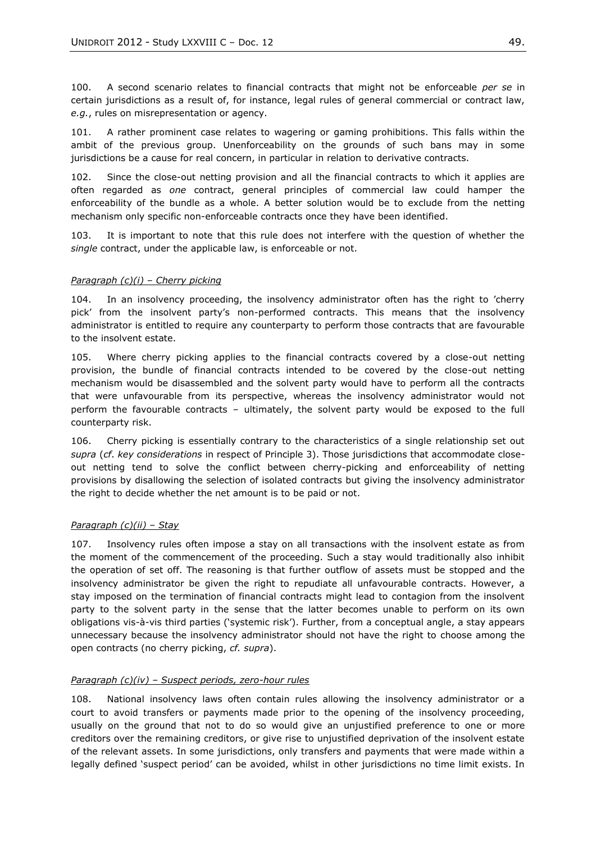100. A second scenario relates to financial contracts that might not be enforceable *per se* in certain jurisdictions as a result of, for instance, legal rules of general commercial or contract law, *e.g.*, rules on misrepresentation or agency.

101. A rather prominent case relates to wagering or gaming prohibitions. This falls within the ambit of the previous group. Unenforceability on the grounds of such bans may in some jurisdictions be a cause for real concern, in particular in relation to derivative contracts.

102. Since the close-out netting provision and all the financial contracts to which it applies are often regarded as *one* contract, general principles of commercial law could hamper the enforceability of the bundle as a whole. A better solution would be to exclude from the netting mechanism only specific non-enforceable contracts once they have been identified.

103. It is important to note that this rule does not interfere with the question of whether the *single* contract, under the applicable law, is enforceable or not.

#### *Paragraph (c)(i) – Cherry picking*

104. In an insolvency proceeding, the insolvency administrator often has the right to 'cherry pick' from the insolvent party's non-performed contracts. This means that the insolvency administrator is entitled to require any counterparty to perform those contracts that are favourable to the insolvent estate.

105. Where cherry picking applies to the financial contracts covered by a close-out netting provision, the bundle of financial contracts intended to be covered by the close-out netting mechanism would be disassembled and the solvent party would have to perform all the contracts that were unfavourable from its perspective, whereas the insolvency administrator would not perform the favourable contracts – ultimately, the solvent party would be exposed to the full counterparty risk.

106. Cherry picking is essentially contrary to the characteristics of a single relationship set out *supra* (*cf*. *key considerations* in respect of Principle 3). Those jurisdictions that accommodate closeout netting tend to solve the conflict between cherry-picking and enforceability of netting provisions by disallowing the selection of isolated contracts but giving the insolvency administrator the right to decide whether the net amount is to be paid or not.

#### *Paragraph (c)(ii) – Stay*

107. Insolvency rules often impose a stay on all transactions with the insolvent estate as from the moment of the commencement of the proceeding. Such a stay would traditionally also inhibit the operation of set off. The reasoning is that further outflow of assets must be stopped and the insolvency administrator be given the right to repudiate all unfavourable contracts. However, a stay imposed on the termination of financial contracts might lead to contagion from the insolvent party to the solvent party in the sense that the latter becomes unable to perform on its own obligations vis-à-vis third parties ('systemic risk'). Further, from a conceptual angle, a stay appears unnecessary because the insolvency administrator should not have the right to choose among the open contracts (no cherry picking, *cf. supra*).

#### *Paragraph (c)(iv) – Suspect periods, zero-hour rules*

108. National insolvency laws often contain rules allowing the insolvency administrator or a court to avoid transfers or payments made prior to the opening of the insolvency proceeding, usually on the ground that not to do so would give an unjustified preference to one or more creditors over the remaining creditors, or give rise to unjustified deprivation of the insolvent estate of the relevant assets. In some jurisdictions, only transfers and payments that were made within a legally defined 'suspect period' can be avoided, whilst in other jurisdictions no time limit exists. In